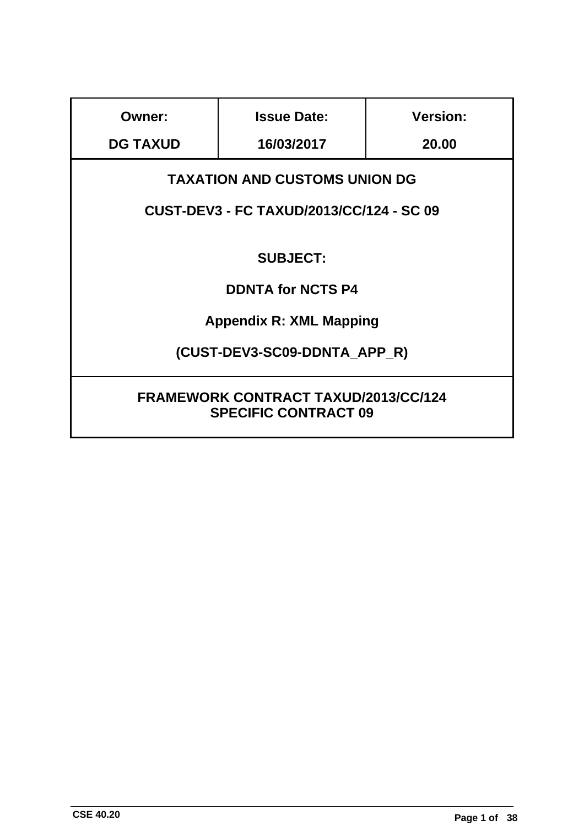| Owner:                                                                     | <b>Issue Date:</b> | <b>Version:</b> |  |
|----------------------------------------------------------------------------|--------------------|-----------------|--|
| <b>DG TAXUD</b>                                                            | 16/03/2017         | 20.00           |  |
| <b>TAXATION AND CUSTOMS UNION DG</b>                                       |                    |                 |  |
| <b>CUST-DEV3 - FC TAXUD/2013/CC/124 - SC 09</b>                            |                    |                 |  |
| <b>SUBJECT:</b>                                                            |                    |                 |  |
| <b>DDNTA for NCTS P4</b>                                                   |                    |                 |  |
| <b>Appendix R: XML Mapping</b>                                             |                    |                 |  |
| (CUST-DEV3-SC09-DDNTA APP R)                                               |                    |                 |  |
| <b>FRAMEWORK CONTRACT TAXUD/2013/CC/124</b><br><b>SPECIFIC CONTRACT 09</b> |                    |                 |  |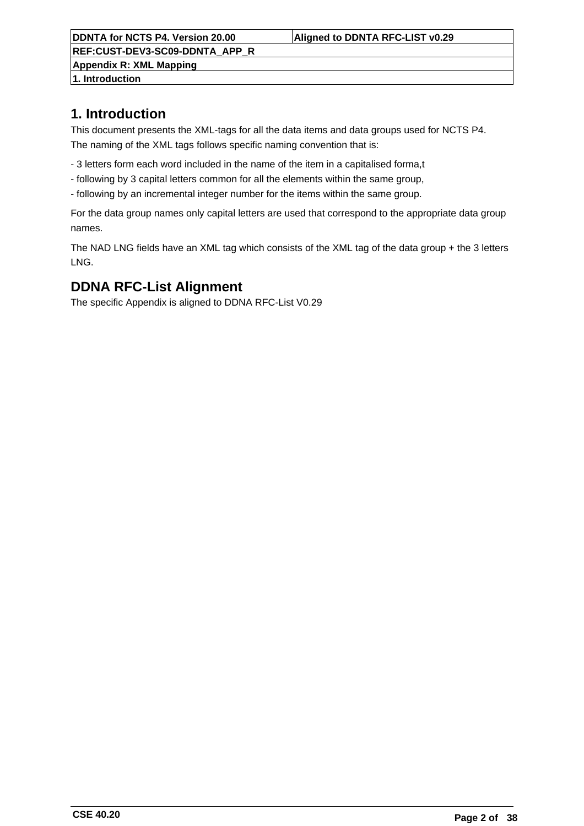**REF:CUST-DEV3-SC09-DDNTA\_APP\_R Appendix R: XML Mapping**

**1. Introduction**

# **1. Introduction**

This document presents the XML-tags for all the data items and data groups used for NCTS P4. The naming of the XML tags follows specific naming convention that is:

- 3 letters form each word included in the name of the item in a capitalised forma,t
- following by 3 capital letters common for all the elements within the same group,
- following by an incremental integer number for the items within the same group.

For the data group names only capital letters are used that correspond to the appropriate data group names.

The NAD LNG fields have an XML tag which consists of the XML tag of the data group + the 3 letters LNG.

# **DDNA RFC-List Alignment**

The specific Appendix is aligned to DDNA RFC-List V0.29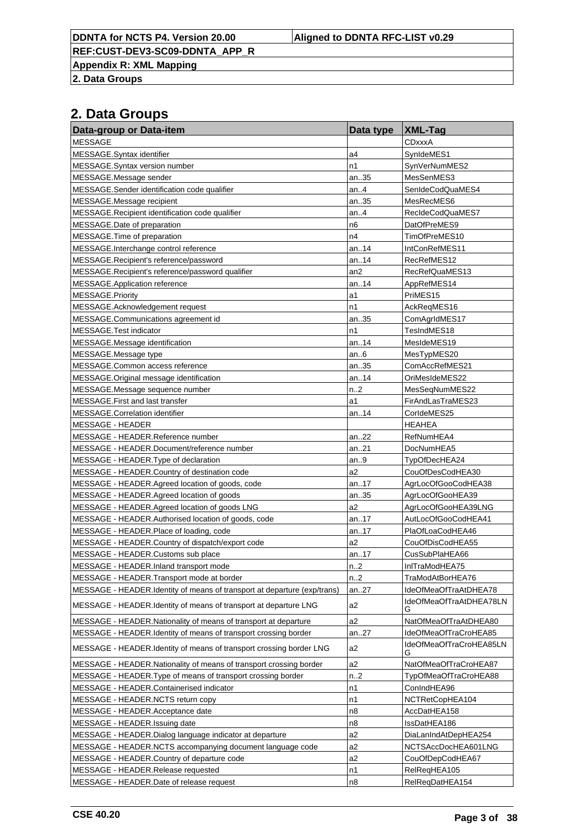**DDNTA for NCTS P4. Version 20.00 Aligned to DDNTA RFC-LIST v0.29**

**REF:CUST-DEV3-SC09-DDNTA\_APP\_R**

**Appendix R: XML Mapping**

**2. Data Groups**

| Data-group or Data-item                                                  | Data type        | <b>XML-Tag</b>               |
|--------------------------------------------------------------------------|------------------|------------------------------|
| <b>MESSAGE</b>                                                           |                  | CDxxxA                       |
| MESSAGE.Syntax identifier                                                | a4               | SynIdeMES1                   |
| MESSAGE.Syntax version number                                            | n1               | SynVerNumMES2                |
| MESSAGE.Message sender                                                   | an35             | MesSenMES3                   |
| MESSAGE.Sender identification code qualifier                             | an.4             | SenIdeCodQuaMES4             |
| MESSAGE.Message recipient                                                | an35             | MesRecMES6                   |
| MESSAGE.Recipient identification code qualifier                          | an.4             | RecIdeCodQuaMES7             |
| MESSAGE.Date of preparation                                              | n <sub>6</sub>   | DatOfPreMES9                 |
| MESSAGE. Time of preparation                                             | n4               | TimOfPreMES10                |
| MESSAGE.Interchange control reference                                    | an14             | IntConRefMES11               |
| MESSAGE.Recipient's reference/password                                   | an14             | RecRefMES12                  |
| MESSAGE.Recipient's reference/password qualifier                         | an <sub>2</sub>  | RecRefQuaMES13               |
| MESSAGE.Application reference                                            | an14             | AppRefMES14                  |
| MESSAGE.Priority                                                         | a1               | PriMES15                     |
| MESSAGE.Acknowledgement request                                          | n1               | AckReqMES16                  |
| MESSAGE.Communications agreement id                                      | an35             | ComAgrIdMES17                |
| MESSAGE. Test indicator                                                  | n1               | TesIndMES18                  |
| MESSAGE.Message identification                                           | an14             | MesIdeMES19                  |
| MESSAGE.Message type                                                     | an6              | MesTypMES20                  |
| MESSAGE.Common access reference                                          | an35             | ComAccRefMES21               |
| MESSAGE.Original message identification                                  | an14             | OriMesIdeMES22               |
| MESSAGE. Message sequence number                                         | n.2              | MesSeqNumMES22               |
| MESSAGE. First and last transfer                                         | a1               | FirAndLasTraMES23            |
| MESSAGE.Correlation identifier                                           | an14             | CorldeMES25                  |
| <b>MESSAGE - HEADER</b>                                                  |                  | <b>HEAHEA</b>                |
| MESSAGE - HEADER.Reference number                                        | an22             | RefNumHEA4                   |
| MESSAGE - HEADER.Document/reference number                               | an21             | DocNumHEA5                   |
| MESSAGE - HEADER. Type of declaration                                    | an9              | TypOfDecHEA24                |
| MESSAGE - HEADER Country of destination code                             | a2               | CouOfDesCodHEA30             |
| MESSAGE - HEADER.Agreed location of goods, code                          | an17             | AgrLocOfGooCodHEA38          |
| MESSAGE - HEADER.Agreed location of goods                                | an35             | AgrLocOfGooHEA39             |
| MESSAGE - HEADER.Agreed location of goods LNG                            | a2               | AgrLocOfGooHEA39LNG          |
| MESSAGE - HEADER.Authorised location of goods, code                      | an17             | AutLocOfGooCodHEA41          |
| MESSAGE - HEADER.Place of loading, code                                  | an17             | PlaOfLoaCodHEA46             |
| MESSAGE - HEADER.Country of dispatch/export code                         | a2               | CouOfDisCodHEA55             |
| MESSAGE - HEADER.Customs sub place                                       | an17             | CusSubPlaHEA66               |
| MESSAGE - HEADER.Inland transport mode                                   | n2               | InITraModHEA75               |
| MESSAGE - HEADER. Transport mode at border                               | n.2              | TraModAtBorHEA76             |
| MESSAGE - HEADER.Identity of means of transport at departure (exp/trans) | an27             | IdeOfMeaOfTraAtDHEA78        |
| MESSAGE - HEADER.Identity of means of transport at departure LNG         | a2               | IdeOfMeaOfTraAtDHEA78LN<br>G |
| MESSAGE - HEADER. Nationality of means of transport at departure         | a2               | NatOfMeaOfTraAtDHEA80        |
| MESSAGE - HEADER.Identity of means of transport crossing border          | an.27            | IdeOfMeaOfTraCroHEA85        |
| MESSAGE - HEADER.Identity of means of transport crossing border LNG      | a2               | IdeOfMeaOfTraCroHEA85LN<br>G |
| MESSAGE - HEADER. Nationality of means of transport crossing border      | a2               | NatOfMeaOfTraCroHEA87        |
| MESSAGE - HEADER. Type of means of transport crossing border             | n <sub>1</sub> 2 | TypOfMeaOfTraCroHEA88        |
| MESSAGE - HEADER.Containerised indicator                                 | n1               | ConIndHEA96                  |
| MESSAGE - HEADER.NCTS return copy                                        | n1               | NCTRetCopHEA104              |
| MESSAGE - HEADER.Acceptance date                                         | n <sub>8</sub>   | AccDatHEA158                 |
| MESSAGE - HEADER.Issuing date                                            | n <sub>8</sub>   | IssDatHEA186                 |
| MESSAGE - HEADER.Dialog language indicator at departure                  | a2               | DiaLanIndAtDepHEA254         |
| MESSAGE - HEADER.NCTS accompanying document language code                | a <sub>2</sub>   | NCTSAccDocHEA601LNG          |
| MESSAGE - HEADER.Country of departure code                               | a <sub>2</sub>   | CouOfDepCodHEA67             |
| MESSAGE - HEADER.Release requested                                       | n1               | RelReqHEA105                 |
| MESSAGE - HEADER.Date of release request                                 | n8               | RelReqDatHEA154              |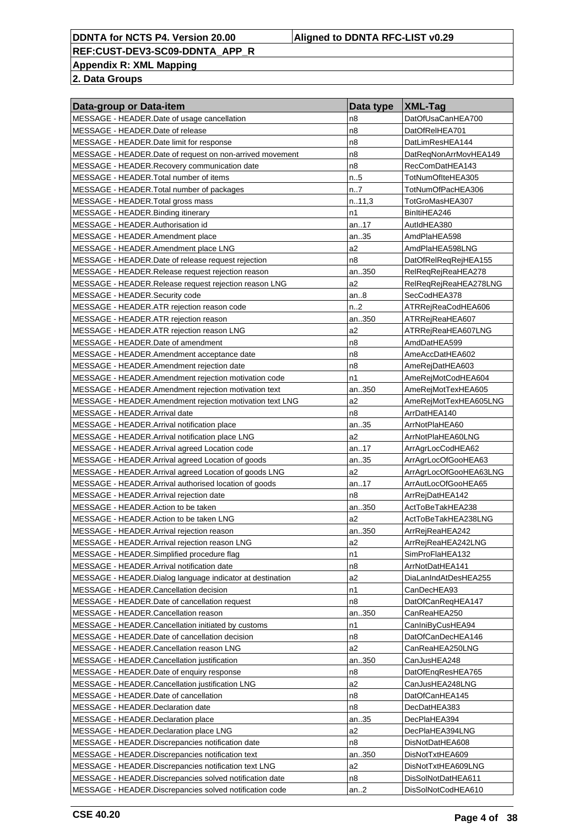**Appendix R: XML Mapping**

| Data-group or Data-item                                                                  | Data type      | XML-Tag                          |
|------------------------------------------------------------------------------------------|----------------|----------------------------------|
| MESSAGE - HEADER. Date of usage cancellation                                             | n8             | DatOfUsaCanHEA700                |
| MESSAGE - HEADER.Date of release                                                         | n <sub>8</sub> | DatOfRelHEA701                   |
| MESSAGE - HEADER. Date limit for response                                                | n8             | DatLimResHEA144                  |
| MESSAGE - HEADER. Date of request on non-arrived movement                                | n8             | DatRegNonArrMovHEA149            |
| MESSAGE - HEADER. Recovery communication date                                            | n8             | RecComDatHEA143                  |
| MESSAGE - HEADER. Total number of items                                                  | n.5            | TotNumOfIteHEA305                |
| MESSAGE - HEADER. Total number of packages                                               | n7             | TotNumOfPacHEA306                |
| MESSAGE - HEADER. Total gross mass                                                       | n.11,3         | TotGroMasHEA307                  |
| MESSAGE - HEADER. Binding itinerary                                                      | n1             | BinItiHEA246                     |
| MESSAGE - HEADER.Authorisation id                                                        | an17           | AutIdHEA380                      |
| MESSAGE - HEADER.Amendment place                                                         | an35           | AmdPlaHEA598                     |
| MESSAGE - HEADER.Amendment place LNG                                                     | a2             | AmdPlaHEA598LNG                  |
| MESSAGE - HEADER. Date of release request rejection                                      | n8             | DatOfRelReqRejHEA155             |
| MESSAGE - HEADER.Release request rejection reason                                        | an350          | RelReqRejReaHEA278               |
| MESSAGE - HEADER.Release request rejection reason LNG                                    | a2             | RelReqRejReaHEA278LNG            |
| MESSAGE - HEADER.Security code                                                           | an8            | SecCodHEA378                     |
| MESSAGE - HEADER.ATR rejection reason code                                               | n2             | ATRRejReaCodHEA606               |
| MESSAGE - HEADER.ATR rejection reason                                                    | an350          | ATRRejReaHEA607                  |
| MESSAGE - HEADER.ATR rejection reason LNG                                                | a2             | ATRRejReaHEA607LNG               |
| MESSAGE - HEADER. Date of amendment                                                      | n8             | AmdDatHEA599                     |
| MESSAGE - HEADER.Amendment acceptance date                                               | n8             | AmeAccDatHEA602                  |
| MESSAGE - HEADER.Amendment rejection date                                                | n8             | AmeRejDatHEA603                  |
| MESSAGE - HEADER.Amendment rejection motivation code                                     | n1             | AmeRejMotCodHEA604               |
| MESSAGE - HEADER.Amendment rejection motivation text                                     | an350          | AmeRejMotTexHEA605               |
| MESSAGE - HEADER.Amendment rejection motivation text LNG                                 | a2             | AmeRejMotTexHEA605LNG            |
| MESSAGE - HEADER.Arrival date                                                            | n8             | ArrDatHEA140                     |
| MESSAGE - HEADER.Arrival notification place                                              | an35           | ArrNotPlaHEA60                   |
| MESSAGE - HEADER. Arrival notification place LNG                                         | a2             | ArrNotPlaHEA60LNG                |
| MESSAGE - HEADER.Arrival agreed Location code                                            | an17           | ArrAgrLocCodHEA62                |
| MESSAGE - HEADER.Arrival agreed Location of goods                                        | an35           | ArrAgrLocOfGooHEA63              |
| MESSAGE - HEADER.Arrival agreed Location of goods LNG                                    | a2             | ArrAgrLocOfGooHEA63LNG           |
| MESSAGE - HEADER. Arrival authorised location of goods                                   | an17           | ArrAutLocOfGooHEA65              |
| MESSAGE - HEADER.Arrival rejection date                                                  | n8             | ArrRejDatHEA142                  |
| MESSAGE - HEADER. Action to be taken                                                     | an350          | ActToBeTakHEA238                 |
| MESSAGE - HEADER. Action to be taken LNG                                                 | a2             | ActToBeTakHEA238LNG              |
| MESSAGE - HEADER.Arrival rejection reason                                                | an350          | ArrRejReaHEA242                  |
| MESSAGE - HEADER.Arrival rejection reason LNG                                            | a2             | ArrRejReaHEA242LNG               |
| MESSAGE - HEADER.Simplified procedure flag                                               | n1             | SimProFlaHEA132                  |
| MESSAGE - HEADER. Arrival notification date                                              | n8             | ArrNotDatHEA141                  |
| MESSAGE - HEADER.Dialog language indicator at destination                                | a2<br>n1       | DiaLanIndAtDesHEA255             |
| MESSAGE - HEADER.Cancellation decision<br>MESSAGE - HEADER. Date of cancellation request | n8             | CanDecHEA93<br>DatOfCanRegHEA147 |
| MESSAGE - HEADER.Cancellation reason                                                     | an350          | CanReaHEA250                     |
| MESSAGE - HEADER.Cancellation initiated by customs                                       | n1             | CanIniByCusHEA94                 |
| MESSAGE - HEADER. Date of cancellation decision                                          | n8             | DatOfCanDecHEA146                |
| MESSAGE - HEADER.Cancellation reason LNG                                                 | a2             | CanReaHEA250LNG                  |
| MESSAGE - HEADER.Cancellation justification                                              | an350          | CanJusHEA248                     |
| MESSAGE - HEADER. Date of enquiry response                                               | n8             | DatOfEngResHEA765                |
| MESSAGE - HEADER.Cancellation justification LNG                                          | a2             | CanJusHEA248LNG                  |
| MESSAGE - HEADER. Date of cancellation                                                   | n8             | DatOfCanHEA145                   |
| MESSAGE - HEADER.Declaration date                                                        | n8             | DecDatHEA383                     |
| MESSAGE - HEADER. Declaration place                                                      | an35           | DecPlaHEA394                     |
| MESSAGE - HEADER. Declaration place LNG                                                  | a2             | DecPlaHEA394LNG                  |
| MESSAGE - HEADER. Discrepancies notification date                                        | n8             | DisNotDatHEA608                  |
| MESSAGE - HEADER. Discrepancies notification text                                        | an350          | DisNotTxtHEA609                  |
| MESSAGE - HEADER. Discrepancies notification text LNG                                    | a2             | DisNotTxtHEA609LNG               |
| MESSAGE - HEADER. Discrepancies solved notification date                                 | n8             | DisSolNotDatHEA611               |
| MESSAGE - HEADER.Discrepancies solved notification code                                  | an.2           | DisSolNotCodHEA610               |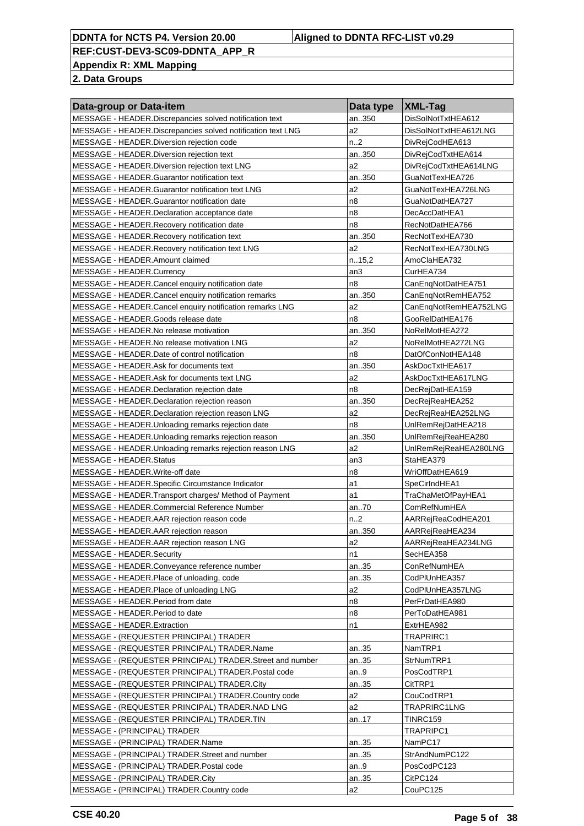**Appendix R: XML Mapping**

| Data-group or Data-item                                      | Data type | <b>XML-Tag</b>        |
|--------------------------------------------------------------|-----------|-----------------------|
| MESSAGE - HEADER. Discrepancies solved notification text     | an350     | DisSolNotTxtHEA612    |
| MESSAGE - HEADER. Discrepancies solved notification text LNG | a2        | DisSolNotTxtHEA612LNG |
| MESSAGE - HEADER. Diversion rejection code                   | n.2       | DivRejCodHEA613       |
| MESSAGE - HEADER. Diversion rejection text                   | an350     | DivRejCodTxtHEA614    |
| MESSAGE - HEADER. Diversion rejection text LNG               | a2        | DivRejCodTxtHEA614LNG |
| MESSAGE - HEADER.Guarantor notification text                 | an350     | GuaNotTexHEA726       |
| MESSAGE - HEADER.Guarantor notification text LNG             | a2        | GuaNotTexHEA726LNG    |
| MESSAGE - HEADER.Guarantor notification date                 | n8        | GuaNotDatHEA727       |
| MESSAGE - HEADER.Declaration acceptance date                 | n8        | DecAccDatHEA1         |
| MESSAGE - HEADER.Recovery notification date                  | n8        | RecNotDatHEA766       |
| MESSAGE - HEADER. Recovery notification text                 | an350     | RecNotTexHEA730       |
| MESSAGE - HEADER. Recovery notification text LNG             | a2        | RecNotTexHEA730LNG    |
| MESSAGE - HEADER.Amount claimed                              | n.15,2    | AmoClaHEA732          |
| MESSAGE - HEADER.Currency                                    | an3       | CurHEA734             |
| MESSAGE - HEADER.Cancel enquiry notification date            | n8        | CanEnqNotDatHEA751    |
| MESSAGE - HEADER.Cancel enquiry notification remarks         | an350     | CanEnqNotRemHEA752    |
| MESSAGE - HEADER.Cancel enquiry notification remarks LNG     | a2        | CanEnqNotRemHEA752LNG |
| MESSAGE - HEADER.Goods release date                          | n8        | GooRelDatHEA176       |
| MESSAGE - HEADER.No release motivation                       | an350     | NoRelMotHEA272        |
| MESSAGE - HEADER.No release motivation LNG                   | a2        | NoRelMotHEA272LNG     |
| MESSAGE - HEADER.Date of control notification                | n8        | DatOfConNotHEA148     |
| MESSAGE - HEADER.Ask for documents text                      | an350     | AskDocTxtHEA617       |
| MESSAGE - HEADER.Ask for documents text LNG                  | a2        | AskDocTxtHEA617LNG    |
|                                                              | n8        |                       |
| MESSAGE - HEADER.Declaration rejection date                  |           | DecRejDatHEA159       |
| MESSAGE - HEADER. Declaration rejection reason               | an350     | DecRejReaHEA252       |
| MESSAGE - HEADER.Declaration rejection reason LNG            | a2        | DecRejReaHEA252LNG    |
| MESSAGE - HEADER.Unloading remarks rejection date            | n8        | UnlRemRejDatHEA218    |
| MESSAGE - HEADER.Unloading remarks rejection reason          | an350     | UnlRemRejReaHEA280    |
| MESSAGE - HEADER. Unloading remarks rejection reason LNG     | a2        | UnlRemRejReaHEA280LNG |
| MESSAGE - HEADER.Status                                      | an3       | StaHEA379             |
| MESSAGE - HEADER. Write-off date                             | n8        | WriOffDatHEA619       |
| MESSAGE - HEADER.Specific Circumstance Indicator             | a1        | SpeCirIndHEA1         |
| MESSAGE - HEADER. Transport charges/ Method of Payment       | a1        | TraChaMetOfPayHEA1    |
| MESSAGE - HEADER.Commercial Reference Number                 | an70      | ComRefNumHEA          |
| MESSAGE - HEADER.AAR rejection reason code                   | n.2       | AARRejReaCodHEA201    |
| MESSAGE - HEADER.AAR rejection reason                        | an350     | AARRejReaHEA234       |
| MESSAGE - HEADER.AAR rejection reason LNG                    | a2        | AARRejReaHEA234LNG    |
| MESSAGE - HEADER.Security                                    | n1        | SecHEA358             |
| MESSAGE - HEADER.Conveyance reference number                 | an35      | ConRefNumHEA          |
| MESSAGE - HEADER.Place of unloading, code                    | an35      | CodPIUnHEA357         |
| MESSAGE - HEADER.Place of unloading LNG                      | a2        | CodPIUnHEA357LNG      |
| MESSAGE - HEADER. Period from date                           | n8        | PerFrDatHEA980        |
| MESSAGE - HEADER. Period to date                             | n8        | PerToDatHEA981        |
| MESSAGE - HEADER.Extraction                                  | n1        | ExtrHEA982            |
| MESSAGE - (REQUESTER PRINCIPAL) TRADER                       |           | TRAPRIRC1             |
| MESSAGE - (REQUESTER PRINCIPAL) TRADER.Name                  | an35      | NamTRP1               |
| MESSAGE - (REQUESTER PRINCIPAL) TRADER.Street and number     | an35      | StrNumTRP1            |
| MESSAGE - (REQUESTER PRINCIPAL) TRADER. Postal code          | an9       | PosCodTRP1            |
| MESSAGE - (REQUESTER PRINCIPAL) TRADER.City                  | an35      | CitTRP1               |
| MESSAGE - (REQUESTER PRINCIPAL) TRADER.Country code          | a2        | CouCodTRP1            |
| MESSAGE - (REQUESTER PRINCIPAL) TRADER.NAD LNG               | a2        | TRAPRIRC1LNG          |
| MESSAGE - (REQUESTER PRINCIPAL) TRADER.TIN                   | an17      | TINRC159              |
| MESSAGE - (PRINCIPAL) TRADER                                 |           | TRAPRIPC1             |
| MESSAGE - (PRINCIPAL) TRADER.Name                            | an35      | NamPC17               |
| MESSAGE - (PRINCIPAL) TRADER.Street and number               | an35      | StrAndNumPC122        |
| MESSAGE - (PRINCIPAL) TRADER. Postal code                    | an9       | PosCodPC123           |
| MESSAGE - (PRINCIPAL) TRADER.City                            | an35      | CitPC124              |
| MESSAGE - (PRINCIPAL) TRADER.Country code                    | a2        | CouPC125              |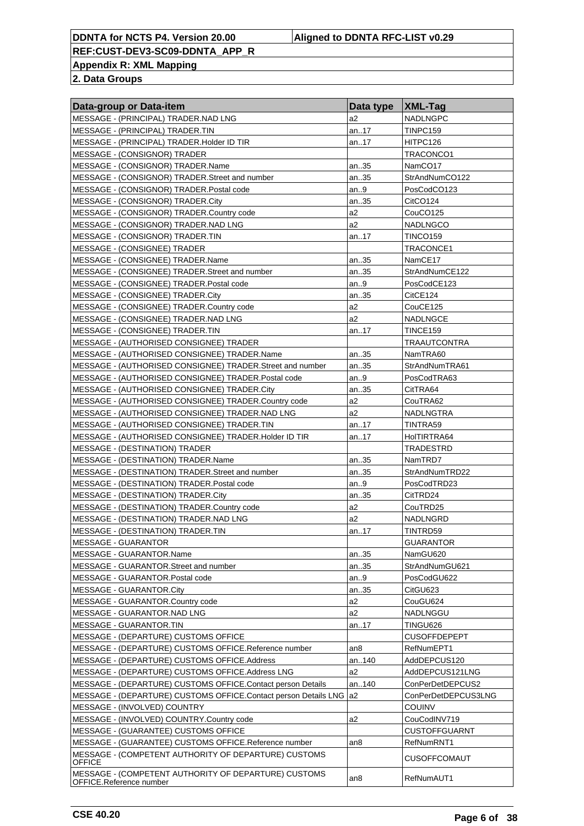**Appendix R: XML Mapping**

| Data-group or Data-item                                               | Data type   XML-Tag |                      |
|-----------------------------------------------------------------------|---------------------|----------------------|
| MESSAGE - (PRINCIPAL) TRADER.NAD LNG                                  | a2                  | <b>NADLNGPC</b>      |
| MESSAGE - (PRINCIPAL) TRADER.TIN                                      | an17                | TINPC159             |
| MESSAGE - (PRINCIPAL) TRADER.Holder ID TIR                            | an17                | HITPC126             |
| MESSAGE - (CONSIGNOR) TRADER                                          |                     | TRACONCO1            |
| MESSAGE - (CONSIGNOR) TRADER.Name                                     | an35                | NamCO <sub>17</sub>  |
| MESSAGE - (CONSIGNOR) TRADER.Street and number                        | an35                | StrAndNumCO122       |
| MESSAGE - (CONSIGNOR) TRADER. Postal code                             | an9                 | PosCodCO123          |
| MESSAGE - (CONSIGNOR) TRADER.City                                     | an35                | CitCO124             |
| MESSAGE - (CONSIGNOR) TRADER.Country code                             | a2                  | CouCO125             |
| MESSAGE - (CONSIGNOR) TRADER.NAD LNG                                  | a2                  | <b>NADLNGCO</b>      |
| MESSAGE - (CONSIGNOR) TRADER.TIN                                      | an17                | TINCO159             |
| MESSAGE - (CONSIGNEE) TRADER                                          |                     | TRACONCE1            |
| MESSAGE - (CONSIGNEE) TRADER.Name                                     | an35                | NamCE17              |
| MESSAGE - (CONSIGNEE) TRADER.Street and number                        | an35                | StrAndNumCE122       |
| MESSAGE - (CONSIGNEE) TRADER. Postal code                             | an9                 | PosCodCE123          |
| MESSAGE - (CONSIGNEE) TRADER.City                                     | an35                | CitCE124             |
| MESSAGE - (CONSIGNEE) TRADER.Country code                             | a2                  | CouCE125             |
| MESSAGE - (CONSIGNEE) TRADER.NAD LNG                                  | a2                  | NADLNGCE             |
| MESSAGE - (CONSIGNEE) TRADER.TIN                                      | an17                | TINCE159             |
| MESSAGE - (AUTHORISED CONSIGNEE) TRADER                               |                     | <b>TRAAUTCONTRA</b>  |
| MESSAGE - (AUTHORISED CONSIGNEE) TRADER.Name                          | an35                | NamTRA60             |
| MESSAGE - (AUTHORISED CONSIGNEE) TRADER. Street and number            | an35                | StrAndNumTRA61       |
| MESSAGE - (AUTHORISED CONSIGNEE) TRADER. Postal code                  | an.9                | PosCodTRA63          |
| MESSAGE - (AUTHORISED CONSIGNEE) TRADER.City                          | an35                | CitTRA64             |
| MESSAGE - (AUTHORISED CONSIGNEE) TRADER.Country code                  | a2                  | CouTRA62             |
| MESSAGE - (AUTHORISED CONSIGNEE) TRADER.NAD LNG                       | a2                  | NADLNGTRA            |
| MESSAGE - (AUTHORISED CONSIGNEE) TRADER.TIN                           | an17                | TINTRA59             |
| MESSAGE - (AUTHORISED CONSIGNEE) TRADER.Holder ID TIR                 | an17                | HoITIRTRA64          |
| MESSAGE - (DESTINATION) TRADER                                        |                     | TRADESTRD            |
| MESSAGE - (DESTINATION) TRADER.Name                                   | an35                | NamTRD7              |
| MESSAGE - (DESTINATION) TRADER.Street and number                      | an35                | StrAndNumTRD22       |
| MESSAGE - (DESTINATION) TRADER. Postal code                           | an9                 | PosCodTRD23          |
| MESSAGE - (DESTINATION) TRADER.City                                   | an35                | CitTRD24             |
| MESSAGE - (DESTINATION) TRADER.Country code                           | a2                  | CouTRD25             |
| MESSAGE - (DESTINATION) TRADER.NAD LNG                                | a2                  | NADLNGRD             |
| MESSAGE - (DESTINATION) TRADER.TIN                                    | an17                | TINTRD59             |
| <b>MESSAGE - GUARANTOR</b>                                            |                     | <b>GUARANTOR</b>     |
| MESSAGE - GUARANTOR.Name                                              | an35                | NamGU620             |
| MESSAGE - GUARANTOR.Street and number                                 | an35                | StrAndNumGU621       |
| MESSAGE - GUARANTOR. Postal code                                      | an9                 | PosCodGU622          |
| MESSAGE - GUARANTOR.City                                              | an35                | CitGU623             |
| MESSAGE - GUARANTOR.Country code                                      | a2                  | CouGU624             |
| MESSAGE - GUARANTOR.NAD LNG<br>MESSAGE - GUARANTOR.TIN                | a2                  | NADLNGGU<br>TINGU626 |
| MESSAGE - (DEPARTURE) CUSTOMS OFFICE                                  | an17                | <b>CUSOFFDEPEPT</b>  |
| MESSAGE - (DEPARTURE) CUSTOMS OFFICE.Reference number                 | an8                 | RefNumEPT1           |
| MESSAGE - (DEPARTURE) CUSTOMS OFFICE.Address                          | an140               | AddDEPCUS120         |
| MESSAGE - (DEPARTURE) CUSTOMS OFFICE.Address LNG                      | a2                  | AddDEPCUS121LNG      |
| MESSAGE - (DEPARTURE) CUSTOMS OFFICE.Contact person Details           | an140               | ConPerDetDEPCUS2     |
| MESSAGE - (DEPARTURE) CUSTOMS OFFICE.Contact person Details LNG       | a <sub>2</sub>      | ConPerDetDEPCUS3LNG  |
| MESSAGE - (INVOLVED) COUNTRY                                          |                     | <b>COUINV</b>        |
| MESSAGE - (INVOLVED) COUNTRY.Country code                             | a2                  | CouCodINV719         |
| MESSAGE - (GUARANTEE) CUSTOMS OFFICE                                  |                     | <b>CUSTOFFGUARNT</b> |
| MESSAGE - (GUARANTEE) CUSTOMS OFFICE.Reference number                 | an8                 | RefNumRNT1           |
| MESSAGE - (COMPETENT AUTHORITY OF DEPARTURE) CUSTOMS                  |                     |                      |
| <b>OFFICE</b><br>MESSAGE - (COMPETENT AUTHORITY OF DEPARTURE) CUSTOMS |                     | <b>CUSOFFCOMAUT</b>  |
| OFFICE.Reference number                                               | an8                 | RefNumAUT1           |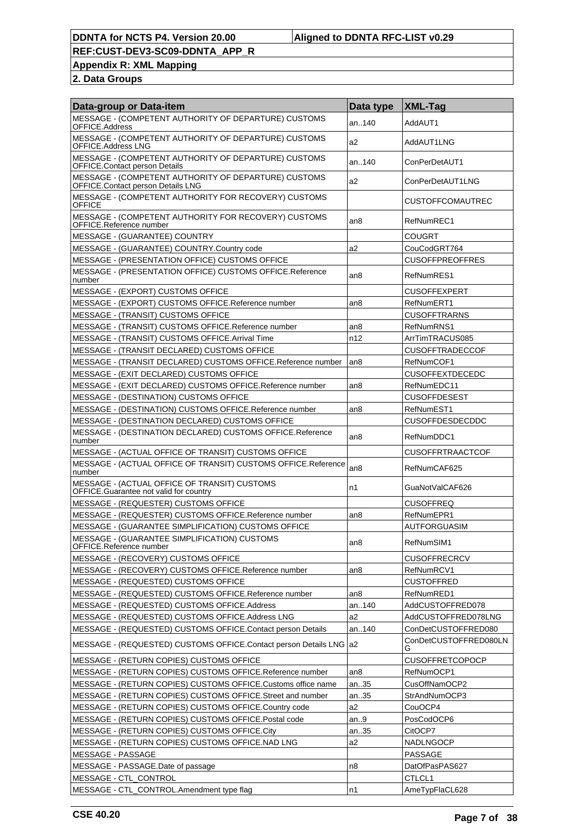**Appendix R: XML Mapping**

| Data-group or Data-item                                                                      | Data type       | <b>XML-Tag</b>             |
|----------------------------------------------------------------------------------------------|-----------------|----------------------------|
| MESSAGE - (COMPETENT AUTHORITY OF DEPARTURE) CUSTOMS<br>OFFICE.Address                       | an140           | AddAUT1                    |
| MESSAGE - (COMPETENT AUTHORITY OF DEPARTURE) CUSTOMS<br>OFFICE.Address LNG                   | a2              | AddAUT1LNG                 |
| MESSAGE - (COMPETENT AUTHORITY OF DEPARTURE) CUSTOMS<br><b>OFFICE.Contact person Details</b> | an140           | ConPerDetAUT1              |
| MESSAGE - (COMPETENT AUTHORITY OF DEPARTURE) CUSTOMS<br>OFFICE.Contact person Details LNG    | a2              | ConPerDetAUT1LNG           |
| MESSAGE - (COMPETENT AUTHORITY FOR RECOVERY) CUSTOMS<br><b>OFFICE</b>                        |                 | <b>CUSTOFFCOMAUTREC</b>    |
| MESSAGE - (COMPETENT AUTHORITY FOR RECOVERY) CUSTOMS<br>OFFICE.Reference number              | an <sub>8</sub> | RefNumREC1                 |
| MESSAGE - (GUARANTEE) COUNTRY                                                                |                 | COUGRT                     |
| MESSAGE - (GUARANTEE) COUNTRY.Country code                                                   | a2              | CouCodGRT764               |
| MESSAGE - (PRESENTATION OFFICE) CUSTOMS OFFICE                                               |                 | <b>CUSOFFPREOFFRES</b>     |
| MESSAGE - (PRESENTATION OFFICE) CUSTOMS OFFICE.Reference<br>number                           | an8             | RefNumRES1                 |
| MESSAGE - (EXPORT) CUSTOMS OFFICE                                                            |                 | <b>CUSOFFEXPERT</b>        |
| MESSAGE - (EXPORT) CUSTOMS OFFICE.Reference number                                           | an8             | RefNumERT1                 |
| <b>MESSAGE - (TRANSIT) CUSTOMS OFFICE</b>                                                    |                 | <b>CUSOFFTRARNS</b>        |
| MESSAGE - (TRANSIT) CUSTOMS OFFICE.Reference number                                          | an <sub>8</sub> | RefNumRNS1                 |
| MESSAGE - (TRANSIT) CUSTOMS OFFICE. Arrival Time                                             | n12             | ArrTimTRACUS085            |
| MESSAGE - (TRANSIT DECLARED) CUSTOMS OFFICE                                                  |                 | <b>CUSOFFTRADECCOF</b>     |
| MESSAGE - (TRANSIT DECLARED) CUSTOMS OFFICE.Reference number                                 | an <sub>8</sub> | RefNumCOF1                 |
| MESSAGE - (EXIT DECLARED) CUSTOMS OFFICE                                                     |                 | <b>CUSOFFEXTDECEDC</b>     |
| MESSAGE - (EXIT DECLARED) CUSTOMS OFFICE.Reference number                                    | an8             | RefNumEDC11                |
| MESSAGE - (DESTINATION) CUSTOMS OFFICE                                                       |                 | <b>CUSOFFDESEST</b>        |
| MESSAGE - (DESTINATION) CUSTOMS OFFICE.Reference number                                      | an <sub>8</sub> | RefNumEST1                 |
| MESSAGE - (DESTINATION DECLARED) CUSTOMS OFFICE                                              |                 | <b>CUSOFFDESDECDDC</b>     |
| MESSAGE - (DESTINATION DECLARED) CUSTOMS OFFICE.Reference<br>number                          | an8             | RefNumDDC1                 |
| MESSAGE - (ACTUAL OFFICE OF TRANSIT) CUSTOMS OFFICE                                          |                 | <b>CUSOFFRTRAACTCOF</b>    |
| MESSAGE - (ACTUAL OFFICE OF TRANSIT) CUSTOMS OFFICE.Reference<br>number                      | an <sub>8</sub> | RefNumCAF625               |
| MESSAGE - (ACTUAL OFFICE OF TRANSIT) CUSTOMS<br>OFFICE.Guarantee not valid for country       | n1              | GuaNotValCAF626            |
| MESSAGE - (REQUESTER) CUSTOMS OFFICE                                                         |                 | <b>CUSOFFREQ</b>           |
| MESSAGE - (REQUESTER) CUSTOMS OFFICE.Reference number                                        | an8             | RefNumEPR1                 |
| MESSAGE - (GUARANTEE SIMPLIFICATION) CUSTOMS OFFICE                                          |                 | AUTFORGUASIM               |
| MESSAGE - (GUARANTEE SIMPLIFICATION) CUSTOMS<br>OFFICE.Reference number                      | an8             | RefNumSIM1                 |
| MESSAGE - (RECOVERY) CUSTOMS OFFICE                                                          |                 | <b>CUSOFFRECRCV</b>        |
| MESSAGE - (RECOVERY) CUSTOMS OFFICE.Reference number                                         | an8             | RefNumRCV1                 |
| MESSAGE - (REQUESTED) CUSTOMS OFFICE                                                         |                 | <b>CUSTOFFRED</b>          |
| MESSAGE - (REQUESTED) CUSTOMS OFFICE.Reference number                                        | an8             | RefNumRED1                 |
| MESSAGE - (REQUESTED) CUSTOMS OFFICE.Address                                                 | an140           | AddCUSTOFFRED078           |
| MESSAGE - (REQUESTED) CUSTOMS OFFICE.Address LNG                                             | a2              | AddCUSTOFFRED078LNG        |
| MESSAGE - (REQUESTED) CUSTOMS OFFICE Contact person Details                                  | an140           | ConDetCUSTOFFRED080        |
| MESSAGE - (REQUESTED) CUSTOMS OFFICE.Contact person Details LNG                              | la2             | ConDetCUSTOFFRED080LN<br>G |
| MESSAGE - (RETURN COPIES) CUSTOMS OFFICE                                                     |                 | <b>CUSOFFRETCOPOCP</b>     |
| MESSAGE - (RETURN COPIES) CUSTOMS OFFICE.Reference number                                    | an8             | RefNumOCP1                 |
| MESSAGE - (RETURN COPIES) CUSTOMS OFFICE.Customs office name                                 | an35            | CusOffNamOCP2              |
| MESSAGE - (RETURN COPIES) CUSTOMS OFFICE.Street and number                                   | an35            | StrAndNumOCP3              |
| MESSAGE - (RETURN COPIES) CUSTOMS OFFICE.Country code                                        | a <sub>2</sub>  | CouOCP4                    |
| MESSAGE - (RETURN COPIES) CUSTOMS OFFICE. Postal code                                        | an9             | PosCodOCP6                 |
|                                                                                              |                 |                            |
| MESSAGE - (RETURN COPIES) CUSTOMS OFFICE.City                                                | an35<br>a2      | CitOCP7                    |
| MESSAGE - (RETURN COPIES) CUSTOMS OFFICE.NAD LNG                                             |                 | NADLNGOCP                  |
| MESSAGE - PASSAGE                                                                            |                 | PASSAGE                    |
| MESSAGE - PASSAGE.Date of passage                                                            | n8              | DatOfPasPAS627             |
| MESSAGE - CTL_CONTROL                                                                        |                 | CTLCL1                     |
| MESSAGE - CTL_CONTROL.Amendment type flag                                                    | n1              | AmeTypFlaCL628             |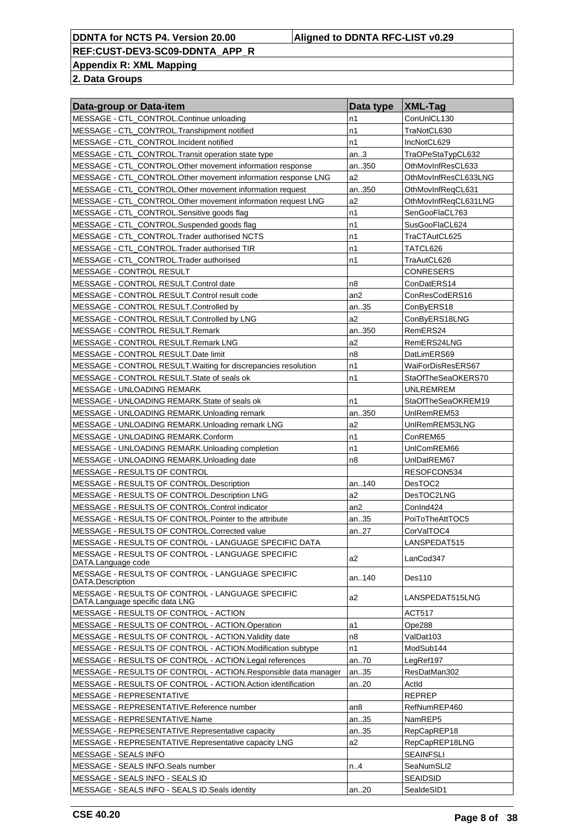**Appendix R: XML Mapping**

| Data-group or Data-item                                                             | Data type       | $ XML-Tag$           |
|-------------------------------------------------------------------------------------|-----------------|----------------------|
| MESSAGE - CTL_CONTROL.Continue unloading                                            | n1              | ConUnICL130          |
| MESSAGE - CTL_CONTROL.Transhipment notified                                         | n1              | TraNotCL630          |
| MESSAGE - CTL_CONTROL.Incident notified                                             | n1              | IncNotCL629          |
| MESSAGE - CTL_CONTROL.Transit operation state type                                  | an.3            | TraOPeStaTypCL632    |
| MESSAGE - CTL_CONTROL.Other movement information response                           | an350           | OthMovInfResCL633    |
| MESSAGE - CTL_CONTROL.Other movement information response LNG                       | a <sub>2</sub>  | OthMovInfResCL633LNG |
| MESSAGE - CTL_CONTROL.Other movement information request                            | an350           | OthMovInfReqCL631    |
| MESSAGE - CTL_CONTROL.Other movement information request LNG                        | a <sub>2</sub>  | OthMovInfReqCL631LNG |
| MESSAGE - CTL_CONTROL.Sensitive goods flag                                          | n1              | SenGooFlaCL763       |
| MESSAGE - CTL_CONTROL.Suspended goods flag                                          | n1              | SusGooFlaCL624       |
| MESSAGE - CTL_CONTROL.Trader authorised NCTS                                        | n1              | TraCTAutCL625        |
| MESSAGE - CTL_CONTROL.Trader authorised TIR                                         | n1              | TATCL626             |
| MESSAGE - CTL_CONTROL.Trader authorised                                             | n1              | TraAutCL626          |
| MESSAGE - CONTROL RESULT                                                            |                 | <b>CONRESERS</b>     |
| MESSAGE - CONTROL RESULT.Control date                                               | n8              | ConDatERS14          |
| MESSAGE - CONTROL RESULT.Control result code                                        | an <sub>2</sub> | ConResCodERS16       |
| MESSAGE - CONTROL RESULT.Controlled by                                              | an35            | ConByERS18           |
| MESSAGE - CONTROL RESULT.Controlled by LNG                                          | a <sub>2</sub>  | ConByERS18LNG        |
| MESSAGE - CONTROL RESULT.Remark                                                     | an350           | RemERS24             |
| MESSAGE - CONTROL RESULT.Remark LNG                                                 | a <sub>2</sub>  | RemERS24LNG          |
| MESSAGE - CONTROL RESULT.Date limit                                                 | n8              | DatLimERS69          |
| MESSAGE - CONTROL RESULT. Waiting for discrepancies resolution                      | n1              | WaiForDisResERS67    |
| MESSAGE - CONTROL RESULT. State of seals ok                                         | n1              | StaOfTheSeaOKERS70   |
| MESSAGE - UNLOADING REMARK                                                          |                 | <b>UNLREMREM</b>     |
| MESSAGE - UNLOADING REMARK. State of seals ok                                       | n1              | StaOfTheSeaOKREM19   |
| MESSAGE - UNLOADING REMARK.Unloading remark                                         | an350           | UnlRemREM53          |
| MESSAGE - UNLOADING REMARK.Unloading remark LNG                                     | a <sub>2</sub>  | UnlRemREM53LNG       |
| MESSAGE - UNLOADING REMARK.Conform                                                  | n1              | ConREM65             |
| MESSAGE - UNLOADING REMARK.Unloading completion                                     | n1              | UnIComREM66          |
| MESSAGE - UNLOADING REMARK.Unloading date                                           | n8              | UnlDatREM67          |
| MESSAGE - RESULTS OF CONTROL                                                        |                 | RESOFCON534          |
| MESSAGE - RESULTS OF CONTROL. Description                                           | an140           | DesTOC2              |
| MESSAGE - RESULTS OF CONTROL. Description LNG                                       | a2              | DesTOC2LNG           |
| MESSAGE - RESULTS OF CONTROL.Control indicator                                      | an <sub>2</sub> | ConInd424            |
| MESSAGE - RESULTS OF CONTROL. Pointer to the attribute                              | an35            | PoiToTheAttTOC5      |
| MESSAGE - RESULTS OF CONTROL.Corrected value                                        | an27            | CorValTOC4           |
| MESSAGE - RESULTS OF CONTROL - LANGUAGE SPECIFIC DATA                               |                 | LANSPEDAT515         |
| MESSAGE - RESULTS OF CONTROL - LANGUAGE SPECIFIC<br>DATA.Language code              | a2              | LanCod347            |
| MESSAGE - RESULTS OF CONTROL - LANGUAGE SPECIFIC<br>DATA.Description                | an140           | Des110               |
| MESSAGE - RESULTS OF CONTROL - LANGUAGE SPECIFIC<br>DATA.Language specific data LNG | a2              | LANSPEDAT515LNG      |
| MESSAGE - RESULTS OF CONTROL - ACTION                                               |                 | <b>ACT517</b>        |
| MESSAGE - RESULTS OF CONTROL - ACTION.Operation                                     | a1              | Ope288               |
| MESSAGE - RESULTS OF CONTROL - ACTION. Validity date                                | n8              | ValDat103            |
| MESSAGE - RESULTS OF CONTROL - ACTION.Modification subtype                          | n1              | ModSub144            |
| MESSAGE - RESULTS OF CONTROL - ACTION. Legal references                             | an.70           | LegRef197            |
| MESSAGE - RESULTS OF CONTROL - ACTION.Responsible data manager                      | an35            | ResDatMan302         |
| MESSAGE - RESULTS OF CONTROL - ACTION.Action identification                         | an20            | Actid                |
| MESSAGE - REPRESENTATIVE                                                            |                 | <b>REPREP</b>        |
| MESSAGE - REPRESENTATIVE.Reference number                                           | an8             | RefNumREP460         |
| MESSAGE - REPRESENTATIVE.Name                                                       | an35            | NamREP5              |
| MESSAGE - REPRESENTATIVE.Representative capacity                                    | an35            | RepCapREP18          |
| MESSAGE - REPRESENTATIVE.Representative capacity LNG                                | a2              | RepCapREP18LNG       |
| MESSAGE - SEALS INFO                                                                |                 | <b>SEAINFSLI</b>     |
| MESSAGE - SEALS INFO.Seals number                                                   | n.A             | SeaNumSLI2           |
| MESSAGE - SEALS INFO - SEALS ID                                                     |                 | <b>SEAIDSID</b>      |
| MESSAGE - SEALS INFO - SEALS ID. Seals identity                                     | an20            | SealdeSID1           |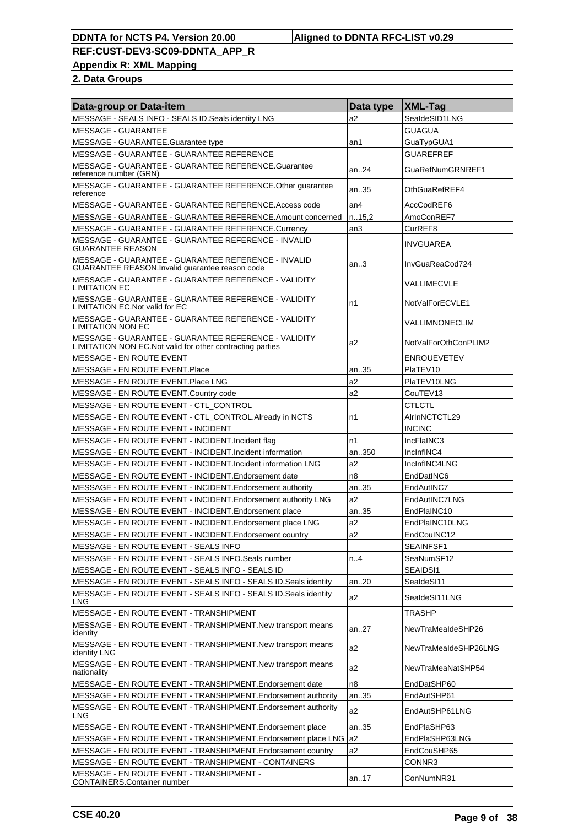**Appendix R: XML Mapping**

| Data-group or Data-item                                                                                            | Data type       | <b>XML-Tag</b>       |
|--------------------------------------------------------------------------------------------------------------------|-----------------|----------------------|
| MESSAGE - SEALS INFO - SEALS ID. Seals identity LNG                                                                | a2              | SealdeSID1LNG        |
| <b>MESSAGE - GUARANTEE</b>                                                                                         |                 | <b>GUAGUA</b>        |
| MESSAGE - GUARANTEE.Guarantee type                                                                                 | an1             | GuaTypGUA1           |
| MESSAGE - GUARANTEE - GUARANTEE REFERENCE                                                                          |                 | <b>GUAREFREF</b>     |
| MESSAGE - GUARANTEE - GUARANTEE REFERENCE.Guarantee<br>reference number (GRN)                                      | an.24           | GuaRefNumGRNREF1     |
| MESSAGE - GUARANTEE - GUARANTEE REFERENCE. Other guarantee<br>reference                                            | an35            | OthGuaRefREF4        |
| MESSAGE - GUARANTEE - GUARANTEE REFERENCE.Access code                                                              | an <sub>4</sub> | AccCodREF6           |
| MESSAGE - GUARANTEE - GUARANTEE REFERENCE.Amount concerned                                                         | n.15,2          | AmoConREF7           |
| MESSAGE - GUARANTEE - GUARANTEE REFERENCE.Currency                                                                 | an3             | CurREF8              |
| MESSAGE - GUARANTEE - GUARANTEE REFERENCE - INVALID<br><b>GUARANTEE REASON</b>                                     |                 | <b>INVGUAREA</b>     |
| MESSAGE - GUARANTEE - GUARANTEE REFERENCE - INVALID<br>GUARANTEE REASON. Invalid guarantee reason code             | an.3            | InvGuaReaCod724      |
| MESSAGE - GUARANTEE - GUARANTEE REFERENCE - VALIDITY<br><b>LIMITATION EC</b>                                       |                 | VALLIMECVLE          |
| MESSAGE - GUARANTEE - GUARANTEE REFERENCE - VALIDITY<br>LIMITATION EC. Not valid for EC                            | n1              | NotValForECVLE1      |
| MESSAGE - GUARANTEE - GUARANTEE REFERENCE - VALIDITY<br><b>LIMITATION NON EC</b>                                   |                 | VALLIMNONECLIM       |
| MESSAGE - GUARANTEE - GUARANTEE REFERENCE - VALIDITY<br>LIMITATION NON EC. Not valid for other contracting parties | a2              | NotValForOthConPLIM2 |
| MESSAGE - EN ROUTE EVENT                                                                                           |                 | <b>ENROUEVETEV</b>   |
| MESSAGE - EN ROUTE EVENT.Place                                                                                     | an35            | PlaTEV10             |
| MESSAGE - EN ROUTE EVENT. Place LNG                                                                                | a2              | PlaTEV10LNG          |
| MESSAGE - EN ROUTE EVENT. Country code                                                                             | a2              | CouTEV13             |
| MESSAGE - EN ROUTE EVENT - CTL_CONTROL                                                                             |                 | <b>CTLCTL</b>        |
| MESSAGE - EN ROUTE EVENT - CTL_CONTROL.Already in NCTS                                                             | n1              | AlrInNCTCTL29        |
| MESSAGE - EN ROUTE EVENT - INCIDENT                                                                                |                 | <b>INCINC</b>        |
| MESSAGE - EN ROUTE EVENT - INCIDENT. Incident flag                                                                 | n1              | IncFlaINC3           |
| MESSAGE - EN ROUTE EVENT - INCIDENT Incident information                                                           | an350           | IncinfINC4           |
| MESSAGE - EN ROUTE EVENT - INCIDENT. Incident information LNG                                                      | a2              | InclnfINC4LNG        |
| MESSAGE - EN ROUTE EVENT - INCIDENT Endorsement date                                                               | n <sub>8</sub>  | EndDatINC6           |
| MESSAGE - EN ROUTE EVENT - INCIDENT. Endorsement authority                                                         | an35            | EndAutINC7           |
| MESSAGE - EN ROUTE EVENT - INCIDENT. Endorsement authority LNG                                                     | a2              | EndAutINC7LNG        |
| MESSAGE - EN ROUTE EVENT - INCIDENT. Endorsement place                                                             | an35            | EndPlaINC10          |
| MESSAGE - EN ROUTE EVENT - INCIDENT. Endorsement place LNG                                                         | a2              | EndPlaINC10LNG       |
| MESSAGE - EN ROUTE EVENT - INCIDENT. Endorsement country                                                           | a2              | EndCoulNC12          |
| MESSAGE - EN ROUTE EVENT - SEALS INFO                                                                              |                 | SEAINFSF1            |
| MESSAGE - EN ROUTE EVENT - SEALS INFO. Seals number                                                                | n.A             | SeaNumSF12           |
| MESSAGE - EN ROUTE EVENT - SEALS INFO - SEALS ID                                                                   |                 | SEAIDSI1             |
| MESSAGE - EN ROUTE EVENT - SEALS INFO - SEALS ID. Seals identity                                                   | an20            | SealdeSI11           |
| MESSAGE - EN ROUTE EVENT - SEALS INFO - SEALS ID. Seals identity<br>LNG                                            | a2              | SealdeSI11LNG        |
| MESSAGE - EN ROUTE EVENT - TRANSHIPMENT                                                                            |                 | TRASHP               |
| MESSAGE - EN ROUTE EVENT - TRANSHIPMENT. New transport means<br>identity                                           | an.27           | NewTraMeaIdeSHP26    |
| MESSAGE - EN ROUTE EVENT - TRANSHIPMENT. New transport means<br>identity LNG                                       | a2              | NewTraMeaIdeSHP26LNG |
| MESSAGE - EN ROUTE EVENT - TRANSHIPMENT. New transport means<br>nationality                                        | a2              | NewTraMeaNatSHP54    |
| MESSAGE - EN ROUTE EVENT - TRANSHIPMENT. Endorsement date                                                          | n8              | EndDatSHP60          |
| MESSAGE - EN ROUTE EVENT - TRANSHIPMENT. Endorsement authority                                                     | an35            | EndAutSHP61          |
| MESSAGE - EN ROUTE EVENT - TRANSHIPMENT. Endorsement authority<br><b>LNG</b>                                       | a2              | EndAutSHP61LNG       |
| MESSAGE - EN ROUTE EVENT - TRANSHIPMENT. Endorsement place                                                         | an35            | EndPlaSHP63          |
| MESSAGE - EN ROUTE EVENT - TRANSHIPMENT. Endorsement place LNG                                                     | la2             | EndPlaSHP63LNG       |
| MESSAGE - EN ROUTE EVENT - TRANSHIPMENT. Endorsement country                                                       | a2              | EndCouSHP65          |
| MESSAGE - EN ROUTE EVENT - TRANSHIPMENT - CONTAINERS                                                               |                 | CONNR3               |
| MESSAGE - EN ROUTE EVENT - TRANSHIPMENT -                                                                          | an17            | ConNumNR31           |
| <b>CONTAINERS.Container number</b>                                                                                 |                 |                      |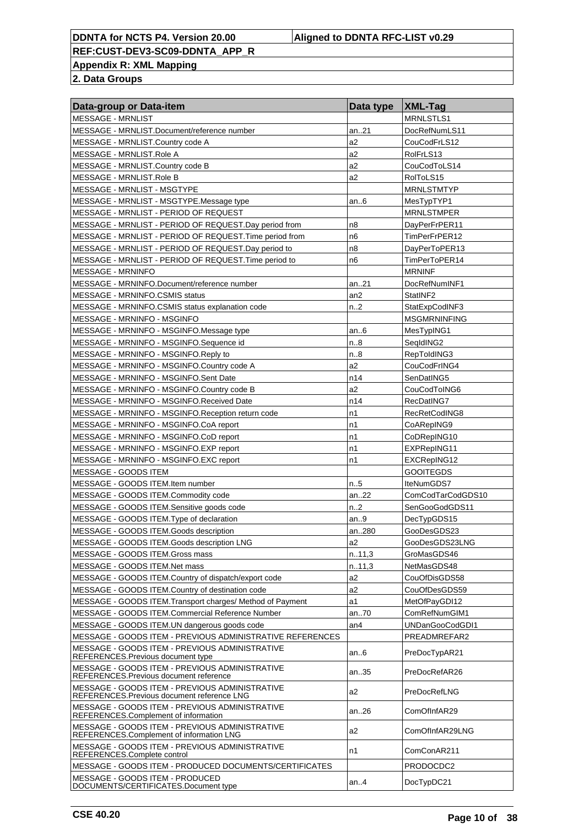**Appendix R: XML Mapping**

| Data-group or Data-item                                                                       | Data type       | $ XML-Tag$          |
|-----------------------------------------------------------------------------------------------|-----------------|---------------------|
| MESSAGE - MRNLIST                                                                             |                 | MRNLSTLS1           |
| MESSAGE - MRNLIST.Document/reference number                                                   | an21            | DocRefNumLS11       |
| MESSAGE - MRNLIST.Country code A                                                              | a2              | CouCodFrLS12        |
| MESSAGE - MRNLIST.Role A                                                                      | a2              | RolFrLS13           |
| MESSAGE - MRNLIST.Country code B                                                              | a2              | CouCodToLS14        |
| MESSAGE - MRNLIST.Role B                                                                      | a2              | RolToLS15           |
| MESSAGE - MRNLIST - MSGTYPE                                                                   |                 | <b>MRNLSTMTYP</b>   |
| MESSAGE - MRNLIST - MSGTYPE.Message type                                                      | an6             | MesTypTYP1          |
| MESSAGE - MRNLIST - PERIOD OF REQUEST                                                         |                 | <b>MRNLSTMPER</b>   |
| MESSAGE - MRNLIST - PERIOD OF REQUEST.Day period from                                         | n <sub>8</sub>  | DayPerFrPER11       |
| MESSAGE - MRNLIST - PERIOD OF REQUEST. Time period from                                       | n6              | TimPerFrPER12       |
| MESSAGE - MRNLIST - PERIOD OF REQUEST. Day period to                                          | n <sub>8</sub>  | DayPerToPER13       |
| MESSAGE - MRNLIST - PERIOD OF REQUEST. Time period to                                         | n <sub>6</sub>  | TimPerToPER14       |
| <b>MESSAGE - MRNINFO</b>                                                                      |                 | <b>MRNINF</b>       |
| MESSAGE - MRNINFO.Document/reference number                                                   | an21            | DocRefNumINF1       |
| MESSAGE - MRNINFO.CSMIS status                                                                | an <sub>2</sub> | StatINF2            |
| MESSAGE - MRNINFO.CSMIS status explanation code                                               | n.2             | StatExpCodINF3      |
| MESSAGE - MRNINFO - MSGINFO                                                                   |                 | <b>MSGMRNINFING</b> |
| MESSAGE - MRNINFO - MSGINFO.Message type                                                      | an.6            | MesTypING1          |
| MESSAGE - MRNINFO - MSGINFO.Sequence id                                                       | n.8             | SeqIdING2           |
| MESSAGE - MRNINFO - MSGINFO.Reply to                                                          | n.8             | RepToldING3         |
| MESSAGE - MRNINFO - MSGINFO.Country code A                                                    | a2              | CouCodFrING4        |
| MESSAGE - MRNINFO - MSGINFO.Sent Date                                                         | n14             | SenDatING5          |
| MESSAGE - MRNINFO - MSGINFO.Country code B                                                    | a2              | CouCodToING6        |
| MESSAGE - MRNINFO - MSGINFO.Received Date                                                     | n14             | RecDatING7          |
|                                                                                               | n1              | RecRetCodING8       |
| MESSAGE - MRNINFO - MSGINFO.Reception return code                                             | n1              |                     |
| MESSAGE - MRNINFO - MSGINFO.CoA report                                                        |                 | CoARepING9          |
| MESSAGE - MRNINFO - MSGINFO.CoD report                                                        | n1              | CoDRepING10         |
| MESSAGE - MRNINFO - MSGINFO.EXP report                                                        | n1              | EXPRepING11         |
| MESSAGE - MRNINFO - MSGINFO.EXC report                                                        | n1              | EXCRepING12         |
| MESSAGE - GOODS ITEM                                                                          |                 | <b>GOOITEGDS</b>    |
| MESSAGE - GOODS ITEM.Item number                                                              | n.5             | IteNumGDS7          |
| MESSAGE - GOODS ITEM.Commodity code                                                           | an22            | ComCodTarCodGDS10   |
| MESSAGE - GOODS ITEM.Sensitive goods code                                                     | n.2             | SenGooGodGDS11      |
| MESSAGE - GOODS ITEM. Type of declaration                                                     | an.9            | DecTypGDS15         |
| MESSAGE - GOODS ITEM.Goods description                                                        | an280           | GooDesGDS23         |
| MESSAGE - GOODS ITEM.Goods description LNG                                                    | a2              | GooDesGDS23LNG      |
| MESSAGE - GOODS ITEM.Gross mass                                                               | n.11,3          | GroMasGDS46         |
| MESSAGE - GOODS ITEM.Net mass                                                                 | n.11,3          | NetMasGDS48         |
| MESSAGE - GOODS ITEM.Country of dispatch/export code                                          | a <sub>2</sub>  | CouOfDisGDS58       |
| MESSAGE - GOODS ITEM.Country of destination code                                              | a2              | CouOfDesGDS59       |
| MESSAGE - GOODS ITEM. Transport charges/ Method of Payment                                    | a1              | MetOfPayGDI12       |
| MESSAGE - GOODS ITEM.Commercial Reference Number                                              | an70            | ComRefNumGIM1       |
| MESSAGE - GOODS ITEM.UN dangerous goods code                                                  | an4             | UNDanGooCodGDI1     |
| MESSAGE - GOODS ITEM - PREVIOUS ADMINISTRATIVE REFERENCES                                     |                 | PREADMREFAR2        |
| MESSAGE - GOODS ITEM - PREVIOUS ADMINISTRATIVE<br>REFERENCES.Previous document type           | an $6$          | PreDocTypAR21       |
| MESSAGE - GOODS ITEM - PREVIOUS ADMINISTRATIVE<br>REFERENCES.Previous document reference      | an35            | PreDocRefAR26       |
| MESSAGE - GOODS ITEM - PREVIOUS ADMINISTRATIVE<br>REFERENCES. Previous document reference LNG | a2              | PreDocRefLNG        |
| MESSAGE - GOODS ITEM - PREVIOUS ADMINISTRATIVE<br>REFERENCES.Complement of information        | an26            | ComOfInfAR29        |
| MESSAGE - GOODS ITEM - PREVIOUS ADMINISTRATIVE<br>REFERENCES.Complement of information LNG    | a2              | ComOfInfAR29LNG     |
| MESSAGE - GOODS ITEM - PREVIOUS ADMINISTRATIVE<br>REFERENCES.Complete control                 | n1              | ComConAR211         |
| MESSAGE - GOODS ITEM - PRODUCED DOCUMENTS/CERTIFICATES                                        |                 | PRODOCDC2           |
| MESSAGE - GOODS ITEM - PRODUCED<br>DOCUMENTS/CERTIFICATES.Document type                       | an4             | DocTypDC21          |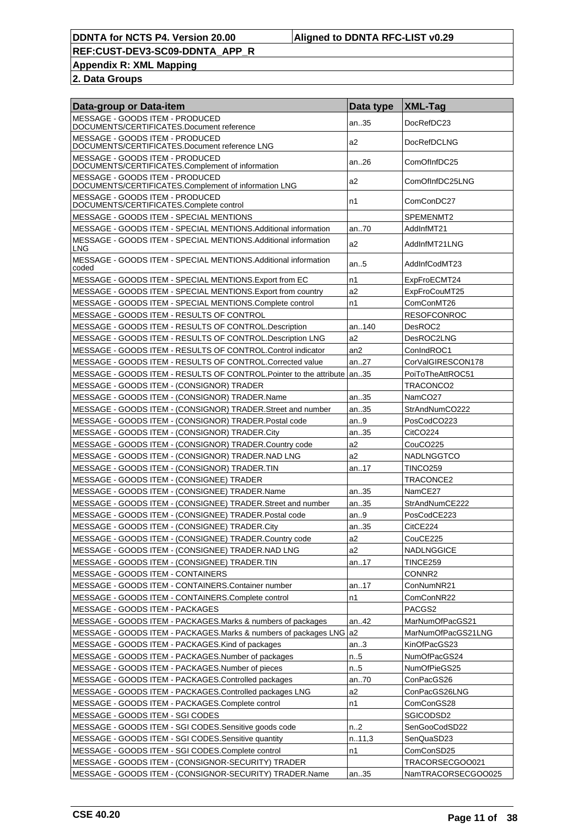**Appendix R: XML Mapping**

| Data-group or Data-item                                                                 | Data type | <b>XML-Tag</b>      |
|-----------------------------------------------------------------------------------------|-----------|---------------------|
| MESSAGE - GOODS ITEM - PRODUCED<br>DOCUMENTS/CERTIFICATES.Document reference            | an35      | DocRefDC23          |
| MESSAGE - GOODS ITEM - PRODUCED<br>DOCUMENTS/CERTIFICATES.Document reference LNG        | a2        | DocRefDCLNG         |
| MESSAGE - GOODS ITEM - PRODUCED<br>DOCUMENTS/CERTIFICATES.Complement of information     | an26      | ComOfInfDC25        |
| MESSAGE - GOODS ITEM - PRODUCED<br>DOCUMENTS/CERTIFICATES.Complement of information LNG | a2        | ComOfInfDC25LNG     |
| MESSAGE - GOODS ITEM - PRODUCED<br>DOCUMENTS/CERTIFICATES.Complete control              | n1        | ComConDC27          |
| MESSAGE - GOODS ITEM - SPECIAL MENTIONS                                                 |           | SPEMENMT2           |
| MESSAGE - GOODS ITEM - SPECIAL MENTIONS. Additional information                         | an.70     | AddInfMT21          |
| MESSAGE - GOODS ITEM - SPECIAL MENTIONS Additional information<br><b>LNG</b>            | a2        | AddInfMT21LNG       |
| MESSAGE - GOODS ITEM - SPECIAL MENTIONS. Additional information<br>coded                | an.5      | AddInfCodMT23       |
| MESSAGE - GOODS ITEM - SPECIAL MENTIONS. Export from EC                                 | n1        | ExpFroECMT24        |
| MESSAGE - GOODS ITEM - SPECIAL MENTIONS. Export from country                            | a2        | ExpFroCouMT25       |
| MESSAGE - GOODS ITEM - SPECIAL MENTIONS.Complete control                                | n1        | ComConMT26          |
| MESSAGE - GOODS ITEM - RESULTS OF CONTROL                                               |           | <b>RESOFCONROC</b>  |
| MESSAGE - GOODS ITEM - RESULTS OF CONTROL.Description                                   | an140     | DesROC2             |
| MESSAGE - GOODS ITEM - RESULTS OF CONTROL.Description LNG                               | a2        | DesROC2LNG          |
| MESSAGE - GOODS ITEM - RESULTS OF CONTROL.Control indicator                             | an2       | ConIndROC1          |
|                                                                                         |           |                     |
| MESSAGE - GOODS ITEM - RESULTS OF CONTROL.Corrected value                               | an27      | CorValGIRESCON178   |
| MESSAGE - GOODS ITEM - RESULTS OF CONTROL. Pointer to the attribute   an35              |           | PoiToTheAttROC51    |
| MESSAGE - GOODS ITEM - (CONSIGNOR) TRADER                                               |           | TRACONCO2           |
| MESSAGE - GOODS ITEM - (CONSIGNOR) TRADER.Name                                          | an35      | NamCO <sub>27</sub> |
| MESSAGE - GOODS ITEM - (CONSIGNOR) TRADER.Street and number                             | an35      | StrAndNumCO222      |
| MESSAGE - GOODS ITEM - (CONSIGNOR) TRADER. Postal code                                  | an9       | PosCodCO223         |
| MESSAGE - GOODS ITEM - (CONSIGNOR) TRADER.City                                          | an35      | CitCO224            |
| MESSAGE - GOODS ITEM - (CONSIGNOR) TRADER.Country code                                  | a2        | CouCO225            |
| MESSAGE - GOODS ITEM - (CONSIGNOR) TRADER.NAD LNG                                       | a2        | NADLNGGTCO          |
| MESSAGE - GOODS ITEM - (CONSIGNOR) TRADER.TIN                                           | an17      | <b>TINCO259</b>     |
| MESSAGE - GOODS ITEM - (CONSIGNEE) TRADER                                               |           | TRACONCE2           |
| MESSAGE - GOODS ITEM - (CONSIGNEE) TRADER.Name                                          | an35      | NamCE27             |
| MESSAGE - GOODS ITEM - (CONSIGNEE) TRADER.Street and number                             | an35      | StrAndNumCE222      |
| MESSAGE - GOODS ITEM - (CONSIGNEE) TRADER. Postal code                                  | an.9      | PosCodCE223         |
| MESSAGE - GOODS ITEM - (CONSIGNEE) TRADER.City                                          | an35      | CitCE224            |
| MESSAGE - GOODS ITEM - (CONSIGNEE) TRADER.Country code                                  | a2        | CouCE225            |
|                                                                                         |           |                     |
| MESSAGE - GOODS ITEM - (CONSIGNEE) TRADER.NAD LNG                                       | a2        | NADLNGGICE          |
| MESSAGE - GOODS ITEM - (CONSIGNEE) TRADER.TIN                                           | an17      | <b>TINCE259</b>     |
| MESSAGE - GOODS ITEM - CONTAINERS                                                       |           | CONNR <sub>2</sub>  |
| MESSAGE - GOODS ITEM - CONTAINERS.Container number                                      | an17      | ConNumNR21          |
| MESSAGE - GOODS ITEM - CONTAINERS.Complete control                                      | n1        | ComConNR22          |
| MESSAGE - GOODS ITEM - PACKAGES                                                         |           | PACGS2              |
| MESSAGE - GOODS ITEM - PACKAGES.Marks & numbers of packages                             | an42      | MarNumOfPacGS21     |
| MESSAGE - GOODS ITEM - PACKAGES.Marks & numbers of packages LNG a2                      |           | MarNumOfPacGS21LNG  |
| MESSAGE - GOODS ITEM - PACKAGES.Kind of packages                                        | an.3      | KinOfPacGS23        |
| MESSAGE - GOODS ITEM - PACKAGES.Number of packages                                      | n. 5      | NumOfPacGS24        |
| MESSAGE - GOODS ITEM - PACKAGES.Number of pieces                                        | n.5       | NumOfPieGS25        |
| MESSAGE - GOODS ITEM - PACKAGES.Controlled packages                                     | an70      | ConPacGS26          |
| MESSAGE - GOODS ITEM - PACKAGES.Controlled packages LNG                                 | a2        | ConPacGS26LNG       |
| MESSAGE - GOODS ITEM - PACKAGES.Complete control                                        | n1        | ComConGS28          |
| MESSAGE - GOODS ITEM - SGI CODES                                                        |           | SGICODSD2           |
| MESSAGE - GOODS ITEM - SGI CODES.Sensitive goods code                                   | n2        | SenGooCodSD22       |
| MESSAGE - GOODS ITEM - SGI CODES.Sensitive quantity                                     | n11,3     | SenQuaSD23          |
|                                                                                         |           |                     |
| MESSAGE - GOODS ITEM - SGI CODES.Complete control                                       | n1        | ComConSD25          |
| MESSAGE - GOODS ITEM - (CONSIGNOR-SECURITY) TRADER                                      |           | TRACORSECGOO021     |
| MESSAGE - GOODS ITEM - (CONSIGNOR-SECURITY) TRADER.Name                                 | an35      | NamTRACORSECGOO025  |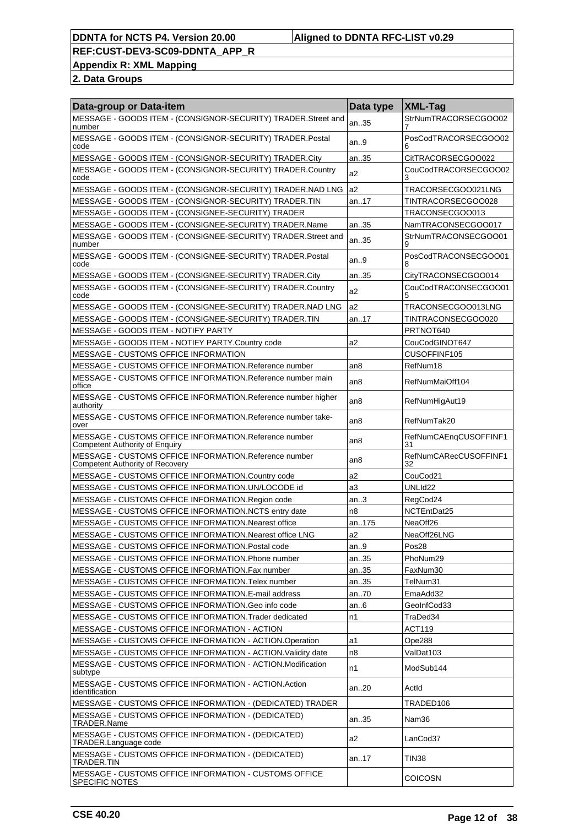## **Appendix R: XML Mapping**

| Data-group or Data-item                                                                         | Data type       | <b>XML-Tag</b>              |
|-------------------------------------------------------------------------------------------------|-----------------|-----------------------------|
| MESSAGE - GOODS ITEM - (CONSIGNOR-SECURITY) TRADER.Street and<br>number                         | an35            | StrNumTRACORSECGOO02        |
| MESSAGE - GOODS ITEM - (CONSIGNOR-SECURITY) TRADER.Postal<br>code                               | an.9            | PosCodTRACORSECGOO02<br>h   |
| MESSAGE - GOODS ITEM - (CONSIGNOR-SECURITY) TRADER.City                                         | an35            | CitTRACORSECGOO022          |
| MESSAGE - GOODS ITEM - (CONSIGNOR-SECURITY) TRADER.Country<br>code                              | a2              | CouCodTRACORSECGOO02<br>3   |
| MESSAGE - GOODS ITEM - (CONSIGNOR-SECURITY) TRADER.NAD LNG                                      | a2              | TRACORSECGOO021LNG          |
| MESSAGE - GOODS ITEM - (CONSIGNOR-SECURITY) TRADER.TIN                                          | an17            | TINTRACORSECGOO028          |
| MESSAGE - GOODS ITEM - (CONSIGNEE-SECURITY) TRADER                                              |                 | TRACONSECGOO013             |
| MESSAGE - GOODS ITEM - (CONSIGNEE-SECURITY) TRADER.Name                                         | an35            | NamTRACONSECGOO017          |
| MESSAGE - GOODS ITEM - (CONSIGNEE-SECURITY) TRADER.Street and<br>number                         | an35            | StrNumTRACONSECGOO01<br>9   |
| MESSAGE - GOODS ITEM - (CONSIGNEE-SECURITY) TRADER.Postal<br>code                               | an.9            | PosCodTRACONSECGOO01<br>8   |
| MESSAGE - GOODS ITEM - (CONSIGNEE-SECURITY) TRADER.City                                         | an35            | CityTRACONSECGOO014         |
| MESSAGE - GOODS ITEM - (CONSIGNEE-SECURITY) TRADER.Country<br>code                              | a2              | CouCodTRACONSECGOO01        |
| MESSAGE - GOODS ITEM - (CONSIGNEE-SECURITY) TRADER.NAD LNG                                      | a2              | TRACONSECGOO013LNG          |
| MESSAGE - GOODS ITEM - (CONSIGNEE-SECURITY) TRADER.TIN                                          | an17            | TINTRACONSECGOO020          |
| MESSAGE - GOODS ITEM - NOTIFY PARTY                                                             |                 | PRTNOT640                   |
| MESSAGE - GOODS ITEM - NOTIFY PARTY.Country code                                                | a2              | CouCodGINOT647              |
| MESSAGE - CUSTOMS OFFICE INFORMATION                                                            |                 | CUSOFFINF105                |
| MESSAGE - CUSTOMS OFFICE INFORMATION.Reference number                                           | an8             | RefNum18                    |
| MESSAGE - CUSTOMS OFFICE INFORMATION.Reference number main<br>office                            | an <sub>8</sub> | RefNumMaiOff104             |
| MESSAGE - CUSTOMS OFFICE INFORMATION.Reference number higher<br>authority                       | an <sub>8</sub> | RefNumHigAut19              |
| MESSAGE - CUSTOMS OFFICE INFORMATION.Reference number take-<br>over                             | an <sub>8</sub> | RefNumTak20                 |
| MESSAGE - CUSTOMS OFFICE INFORMATION.Reference number<br><b>Competent Authority of Enquiry</b>  | an <sub>8</sub> | RefNumCAEnqCUSOFFINF1<br>31 |
| MESSAGE - CUSTOMS OFFICE INFORMATION.Reference number<br><b>Competent Authority of Recovery</b> | an8             | RefNumCARecCUSOFFINF1<br>32 |
| MESSAGE - CUSTOMS OFFICE INFORMATION.Country code                                               | a2              | CouCod21                    |
| MESSAGE - CUSTOMS OFFICE INFORMATION.UN/LOCODE id                                               | a3              | UNLId22                     |
| MESSAGE - CUSTOMS OFFICE INFORMATION.Region code                                                | an.3            | RegCod24                    |
| MESSAGE - CUSTOMS OFFICE INFORMATION.NCTS entry date                                            | n8              | NCTEntDat25                 |
| MESSAGE - CUSTOMS OFFICE INFORMATION. Nearest office                                            | an175           | NeaOff26                    |
| MESSAGE - CUSTOMS OFFICE INFORMATION.Nearest office LNG                                         | a2              | NeaOff26LNG                 |
| MESSAGE - CUSTOMS OFFICE INFORMATION.Postal code                                                | an.9            | Pos <sub>28</sub>           |
| MESSAGE - CUSTOMS OFFICE INFORMATION. Phone number                                              | an35            | PhoNum29                    |
| MESSAGE - CUSTOMS OFFICE INFORMATION.Fax number                                                 | an35            | FaxNum30                    |
| MESSAGE - CUSTOMS OFFICE INFORMATION. Telex number                                              | an35            | TelNum31                    |
| MESSAGE - CUSTOMS OFFICE INFORMATION.E-mail address                                             | an70            | EmaAdd32                    |
| MESSAGE - CUSTOMS OFFICE INFORMATION.Geo info code                                              | an.6            | GeoInfCod33                 |
| MESSAGE - CUSTOMS OFFICE INFORMATION. Trader dedicated                                          | n1              | TraDed34                    |
| MESSAGE - CUSTOMS OFFICE INFORMATION - ACTION                                                   |                 | ACT119                      |
| MESSAGE - CUSTOMS OFFICE INFORMATION - ACTION.Operation                                         | a1              | Ope288                      |
| MESSAGE - CUSTOMS OFFICE INFORMATION - ACTION. Validity date                                    | n8              | ValDat103                   |
| MESSAGE - CUSTOMS OFFICE INFORMATION - ACTION.Modification<br>subtype                           | n1              | ModSub144                   |
| MESSAGE - CUSTOMS OFFICE INFORMATION - ACTION.Action<br>identification                          | an20            | Actid                       |
| MESSAGE - CUSTOMS OFFICE INFORMATION - (DEDICATED) TRADER                                       |                 | TRADED106                   |
| MESSAGE - CUSTOMS OFFICE INFORMATION - (DEDICATED)<br>TRADER.Name                               | an35            | Nam36                       |
| MESSAGE - CUSTOMS OFFICE INFORMATION - (DEDICATED)<br>TRADER.Language code                      | a2              | LanCod37                    |
| MESSAGE - CUSTOMS OFFICE INFORMATION - (DEDICATED)<br>TRADER.TIN                                | an17            | TIN38                       |
| MESSAGE - CUSTOMS OFFICE INFORMATION - CUSTOMS OFFICE<br> SPECIFIC NOTES                        |                 | <b>COICOSN</b>              |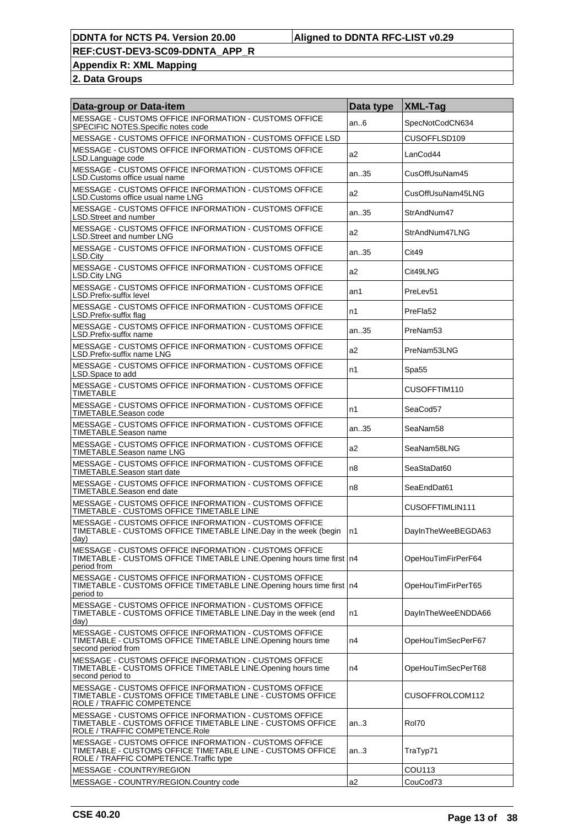**Appendix R: XML Mapping**

| Data-group or Data-item                                                                                                                                        | Data type      | <b>XML-Tag</b>       |
|----------------------------------------------------------------------------------------------------------------------------------------------------------------|----------------|----------------------|
| MESSAGE - CUSTOMS OFFICE INFORMATION - CUSTOMS OFFICE<br>SPECIFIC NOTES.Specific notes code                                                                    | an6            | SpecNotCodCN634      |
| MESSAGE - CUSTOMS OFFICE INFORMATION - CUSTOMS OFFICE LSD                                                                                                      |                | CUSOFFLSD109         |
| MESSAGE - CUSTOMS OFFICE INFORMATION - CUSTOMS OFFICE<br>LSD.Language code                                                                                     | a2             | LanCod44             |
| MESSAGE - CUSTOMS OFFICE INFORMATION - CUSTOMS OFFICE<br>LSD.Customs office usual name                                                                         | an.35          | CusOffUsuNam45       |
| MESSAGE - CUSTOMS OFFICE INFORMATION - CUSTOMS OFFICE<br>LSD. Customs office usual name LNG                                                                    | a <sub>2</sub> | CusOffUsuNam45LNG    |
| MESSAGE - CUSTOMS OFFICE INFORMATION - CUSTOMS OFFICE<br>LSD.Street and number                                                                                 | an.35          | StrAndNum47          |
| MESSAGE - CUSTOMS OFFICE INFORMATION - CUSTOMS OFFICE<br>LSD.Street and number LNG                                                                             | a <sub>2</sub> | StrAndNum47LNG       |
| MESSAGE - CUSTOMS OFFICE INFORMATION - CUSTOMS OFFICE<br>LSD.City                                                                                              | an35           | Cit49                |
| MESSAGE - CUSTOMS OFFICE INFORMATION - CUSTOMS OFFICE<br><b>LSD.City LNG</b>                                                                                   | a2             | Cit49LNG             |
| MESSAGE - CUSTOMS OFFICE INFORMATION - CUSTOMS OFFICE<br>LSD.Prefix-suffix level                                                                               | an1            | PreLev <sub>51</sub> |
| MESSAGE - CUSTOMS OFFICE INFORMATION - CUSTOMS OFFICE<br>LSD.Prefix-suffix flag                                                                                | n1             | PreFla52             |
| MESSAGE - CUSTOMS OFFICE INFORMATION - CUSTOMS OFFICE<br>LSD.Prefix-suffix name                                                                                | an35           | PreNam <sub>53</sub> |
| MESSAGE - CUSTOMS OFFICE INFORMATION - CUSTOMS OFFICE<br>LSD.Prefix-suffix name LNG                                                                            | a2             | PreNam53LNG          |
| MESSAGE - CUSTOMS OFFICE INFORMATION - CUSTOMS OFFICE<br>LSD.Space to add                                                                                      | n1             | Spa55                |
| MESSAGE - CUSTOMS OFFICE INFORMATION - CUSTOMS OFFICE<br><b>TIMETABLE</b>                                                                                      |                | CUSOFFTIM110         |
| MESSAGE - CUSTOMS OFFICE INFORMATION - CUSTOMS OFFICE<br>TIMETABLE.Season code                                                                                 | n1             | SeaCod57             |
| MESSAGE - CUSTOMS OFFICE INFORMATION - CUSTOMS OFFICE<br>TIMETABLE.Season name                                                                                 | an35           | SeaNam58             |
| MESSAGE - CUSTOMS OFFICE INFORMATION - CUSTOMS OFFICE<br>TIMETABLE.Season name LNG                                                                             | a2             | SeaNam58LNG          |
| MESSAGE - CUSTOMS OFFICE INFORMATION - CUSTOMS OFFICE<br>TIMETABLE.Season start date                                                                           | n8             | SeaStaDat60          |
| MESSAGE - CUSTOMS OFFICE INFORMATION - CUSTOMS OFFICE<br>TIMETABLE.Season end date                                                                             | n8             | SeaEndDat61          |
| MESSAGE - CUSTOMS OFFICE INFORMATION - CUSTOMS OFFICE<br>TIMETABLE - CUSTOMS OFFICE TIMETABLE LINE                                                             |                | CUSOFFTIMLIN111      |
| MESSAGE - CUSTOMS OFFICE INFORMATION - CUSTOMS OFFICE<br>TIMETABLE - CUSTOMS OFFICE TIMETABLE LINE.Day in the week (begin<br>day)                              | n1             | DayInTheWeeBEGDA63   |
| MESSAGE - CUSTOMS OFFICE INFORMATION - CUSTOMS OFFICE<br>TIMETABLE - CUSTOMS OFFICE TIMETABLE LINE. Opening hours time first   n4<br>period from               |                | OpeHouTimFirPerF64   |
| MESSAGE - CUSTOMS OFFICE INFORMATION - CUSTOMS OFFICE<br>TIMETABLE - CUSTOMS OFFICE TIMETABLE LINE. Opening hours time first   n4<br>period to                 |                | OpeHouTimFirPerT65   |
| MESSAGE - CUSTOMS OFFICE INFORMATION - CUSTOMS OFFICE<br>TIMETABLE - CUSTOMS OFFICE TIMETABLE LINE. Day in the week (end<br>day)                               | n1             | DayInTheWeeENDDA66   |
| MESSAGE - CUSTOMS OFFICE INFORMATION - CUSTOMS OFFICE<br>TIMETABLE - CUSTOMS OFFICE TIMETABLE LINE. Opening hours time<br>second period from                   | n4             | OpeHouTimSecPerF67   |
| MESSAGE - CUSTOMS OFFICE INFORMATION - CUSTOMS OFFICE<br>TIMETABLE - CUSTOMS OFFICE TIMETABLE LINE. Opening hours time<br>second period to                     | n4             | OpeHouTimSecPerT68   |
| MESSAGE - CUSTOMS OFFICE INFORMATION - CUSTOMS OFFICE<br>TIMETABLE - CUSTOMS OFFICE TIMETABLE LINE - CUSTOMS OFFICE<br>ROLE / TRAFFIC COMPETENCE               |                | CUSOFFROLCOM112      |
| MESSAGE - CUSTOMS OFFICE INFORMATION - CUSTOMS OFFICE<br>TIMETABLE - CUSTOMS OFFICE TIMETABLE LINE - CUSTOMS OFFICE<br>ROLE / TRAFFIC COMPETENCE.Role          | an.3           | Rol70                |
| MESSAGE - CUSTOMS OFFICE INFORMATION - CUSTOMS OFFICE<br>TIMETABLE - CUSTOMS OFFICE TIMETABLE LINE - CUSTOMS OFFICE<br>ROLE / TRAFFIC COMPETENCE. Traffic type | an.3           | TraTyp71             |
| MESSAGE - COUNTRY/REGION                                                                                                                                       |                | COU113               |
| MESSAGE - COUNTRY/REGION.Country code                                                                                                                          | a2             | CouCod73             |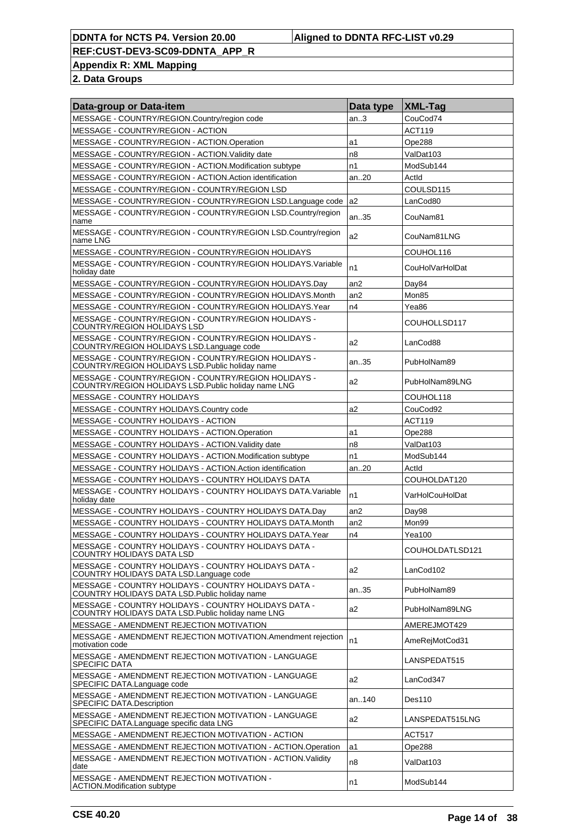**Appendix R: XML Mapping**

| Data-group or Data-item                                                                                      | Data type      | XML-Tag         |
|--------------------------------------------------------------------------------------------------------------|----------------|-----------------|
| MESSAGE - COUNTRY/REGION.Country/region code                                                                 | an.3           | CouCod74        |
| MESSAGE - COUNTRY/REGION - ACTION                                                                            |                | <b>ACT119</b>   |
| MESSAGE - COUNTRY/REGION - ACTION.Operation                                                                  | a1             | Ope288          |
| MESSAGE - COUNTRY/REGION - ACTION. Validity date                                                             | n8             | ValDat103       |
| MESSAGE - COUNTRY/REGION - ACTION.Modification subtype                                                       | n1             | ModSub144       |
| MESSAGE - COUNTRY/REGION - ACTION.Action identification                                                      | an20           | Actid           |
| MESSAGE - COUNTRY/REGION - COUNTRY/REGION LSD                                                                |                | COULSD115       |
| MESSAGE - COUNTRY/REGION - COUNTRY/REGION LSD.Language code                                                  | a2             | LanCod80        |
| MESSAGE - COUNTRY/REGION - COUNTRY/REGION LSD.Country/region<br>name                                         | an35           | CouNam81        |
| MESSAGE - COUNTRY/REGION - COUNTRY/REGION LSD.Country/region<br>name LNG                                     | a2             | CouNam81LNG     |
| MESSAGE - COUNTRY/REGION - COUNTRY/REGION HOLIDAYS                                                           |                | COUHOL116       |
| MESSAGE - COUNTRY/REGION - COUNTRY/REGION HOLIDAYS. Variable<br>holiday date                                 | n1             | CouHolVarHolDat |
| MESSAGE - COUNTRY/REGION - COUNTRY/REGION HOLIDAYS.Day                                                       | an2            | Day84           |
| MESSAGE - COUNTRY/REGION - COUNTRY/REGION HOLIDAYS.Month                                                     | an2            | Mon85           |
| MESSAGE - COUNTRY/REGION - COUNTRY/REGION HOLIDAYS. Year                                                     | n4             | Yea86           |
| MESSAGE - COUNTRY/REGION - COUNTRY/REGION HOLIDAYS -<br><b>COUNTRY/REGION HOLIDAYS LSD</b>                   |                | COUHOLLSD117    |
| MESSAGE - COUNTRY/REGION - COUNTRY/REGION HOLIDAYS -<br>COUNTRY/REGION HOLIDAYS LSD. Language code           | a2             | LanCod88        |
| MESSAGE - COUNTRY/REGION - COUNTRY/REGION HOLIDAYS -<br>COUNTRY/REGION HOLIDAYS LSD. Public holiday name     | an35           | PubHolNam89     |
| MESSAGE - COUNTRY/REGION - COUNTRY/REGION HOLIDAYS -<br>COUNTRY/REGION HOLIDAYS LSD. Public holiday name LNG | a2             | PubHolNam89LNG  |
| <b>MESSAGE - COUNTRY HOLIDAYS</b>                                                                            |                | COUHOL118       |
| MESSAGE - COUNTRY HOLIDAYS.Country code                                                                      | a2             | CouCod92        |
| MESSAGE - COUNTRY HOLIDAYS - ACTION                                                                          |                | <b>ACT119</b>   |
| MESSAGE - COUNTRY HOLIDAYS - ACTION Operation                                                                | a1             | Ope288          |
| MESSAGE - COUNTRY HOLIDAYS - ACTION. Validity date                                                           | n8             | ValDat103       |
| MESSAGE - COUNTRY HOLIDAYS - ACTION. Modification subtype                                                    | n1             | ModSub144       |
| MESSAGE - COUNTRY HOLIDAYS - ACTION. Action identification                                                   | an20           | Actid           |
| MESSAGE - COUNTRY HOLIDAYS - COUNTRY HOLIDAYS DATA                                                           |                | COUHOLDAT120    |
| MESSAGE - COUNTRY HOLIDAYS - COUNTRY HOLIDAYS DATA. Variable<br>holiday date                                 | n1             | VarHolCouHolDat |
| MESSAGE - COUNTRY HOLIDAYS - COUNTRY HOLIDAYS DATA.Day                                                       | an2            | Day98           |
| MESSAGE - COUNTRY HOLIDAYS - COUNTRY HOLIDAYS DATA.Month                                                     | an2            | Mon99           |
| MESSAGE - COUNTRY HOLIDAYS - COUNTRY HOLIDAYS DATA.Year                                                      | n4             | <b>Yea100</b>   |
| MESSAGE - COUNTRY HOLIDAYS - COUNTRY HOLIDAYS DATA -<br>COUNTRY HOLIDAYS DATA LSD                            |                | COUHOLDATLSD121 |
| MESSAGE - COUNTRY HOLIDAYS - COUNTRY HOLIDAYS DATA -<br>COUNTRY HOLIDAYS DATA LSD. Language code             | a2             | LanCod102       |
| MESSAGE - COUNTRY HOLIDAYS - COUNTRY HOLIDAYS DATA -<br>COUNTRY HOLIDAYS DATA LSD. Public holiday name       | an35           | PubHolNam89     |
| MESSAGE - COUNTRY HOLIDAYS - COUNTRY HOLIDAYS DATA -<br>COUNTRY HOLIDAYS DATA LSD. Public holiday name LNG   | a2             | PubHolNam89LNG  |
| MESSAGE - AMENDMENT REJECTION MOTIVATION                                                                     |                | AMEREJMOT429    |
| MESSAGE - AMENDMENT REJECTION MOTIVATION.Amendment rejection<br>motivation code                              | n1             | AmeRejMotCod31  |
| MESSAGE - AMENDMENT REJECTION MOTIVATION - LANGUAGE<br><b>SPECIFIC DATA</b>                                  |                | LANSPEDAT515    |
| MESSAGE - AMENDMENT REJECTION MOTIVATION - LANGUAGE<br>SPECIFIC DATA.Language code                           | a2             | LanCod347       |
| MESSAGE - AMENDMENT REJECTION MOTIVATION - LANGUAGE<br>SPECIFIC DATA.Description                             | an140          | Des110          |
| MESSAGE - AMENDMENT REJECTION MOTIVATION - LANGUAGE<br>SPECIFIC DATA.Language specific data LNG              | a2             | LANSPEDAT515LNG |
| MESSAGE - AMENDMENT REJECTION MOTIVATION - ACTION                                                            |                | <b>ACT517</b>   |
| MESSAGE - AMENDMENT REJECTION MOTIVATION - ACTION.Operation                                                  | a1             | Ope288          |
| MESSAGE - AMENDMENT REJECTION MOTIVATION - ACTION. Validity<br>date                                          | n <sub>8</sub> | ValDat103       |
| MESSAGE - AMENDMENT REJECTION MOTIVATION -<br><b>ACTION.Modification subtype</b>                             | n1             | ModSub144       |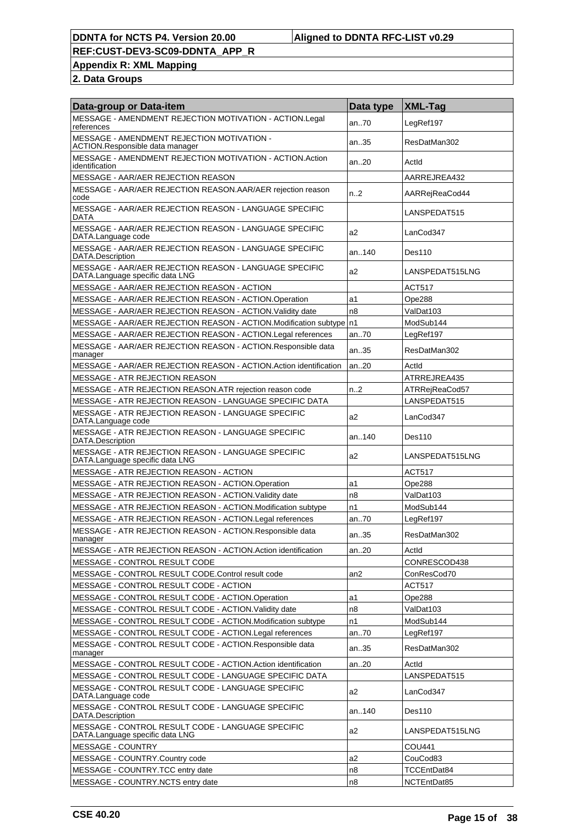# **Appendix R: XML Mapping**

| Data-group or Data-item                                                                   | Data type | XML-Tag         |
|-------------------------------------------------------------------------------------------|-----------|-----------------|
| MESSAGE - AMENDMENT REJECTION MOTIVATION - ACTION.Legal<br>references                     | an70      | LegRef197       |
| MESSAGE - AMENDMENT REJECTION MOTIVATION -<br>ACTION.Responsible data manager             | an35      | ResDatMan302    |
| MESSAGE - AMENDMENT REJECTION MOTIVATION - ACTION.Action<br>identification                | an.20     | Actid           |
| MESSAGE - AAR/AER REJECTION REASON                                                        |           | AARREJREA432    |
| MESSAGE - AAR/AER REJECTION REASON.AAR/AER rejection reason<br>code                       | n2        | AARRejReaCod44  |
| MESSAGE - AAR/AER REJECTION REASON - LANGUAGE SPECIFIC<br>DATA                            |           | LANSPEDAT515    |
| MESSAGE - AAR/AER REJECTION REASON - LANGUAGE SPECIFIC<br>DATA.Language code              | a2        | LanCod347       |
| MESSAGE - AAR/AER REJECTION REASON - LANGUAGE SPECIFIC<br>DATA.Description                | an140     | Des110          |
| MESSAGE - AAR/AER REJECTION REASON - LANGUAGE SPECIFIC<br>DATA.Language specific data LNG | a2        | LANSPEDAT515LNG |
| MESSAGE - AAR/AER REJECTION REASON - ACTION                                               |           | <b>ACT517</b>   |
| MESSAGE - AAR/AER REJECTION REASON - ACTION.Operation                                     | a1        | Ope288          |
| MESSAGE - AAR/AER REJECTION REASON - ACTION. Validity date                                | n8        | ValDat103       |
| MESSAGE - AAR/AER REJECTION REASON - ACTION.Modification subtype n1                       |           | ModSub144       |
| MESSAGE - AAR/AER REJECTION REASON - ACTION.Legal references                              | an70      | LegRef197       |
| MESSAGE - AAR/AER REJECTION REASON - ACTION.Responsible data<br>manager                   | an35      | ResDatMan302    |
| MESSAGE - AAR/AER REJECTION REASON - ACTION.Action identification                         | an20      | Actid           |
| MESSAGE - ATR REJECTION REASON                                                            |           | ATRREJREA435    |
| MESSAGE - ATR REJECTION REASON.ATR rejection reason code                                  | n2        | ATRRejReaCod57  |
| MESSAGE - ATR REJECTION REASON - LANGUAGE SPECIFIC DATA                                   |           | LANSPEDAT515    |
| MESSAGE - ATR REJECTION REASON - LANGUAGE SPECIFIC<br>DATA.Language code                  | a2        | LanCod347       |
| MESSAGE - ATR REJECTION REASON - LANGUAGE SPECIFIC<br>DATA.Description                    | an140     | Des110          |
| MESSAGE - ATR REJECTION REASON - LANGUAGE SPECIFIC<br>DATA.Language specific data LNG     | a2        | LANSPEDAT515LNG |
| MESSAGE - ATR REJECTION REASON - ACTION                                                   |           | ACT517          |
| MESSAGE - ATR REJECTION REASON - ACTION.Operation                                         | a1        | Ope288          |
| MESSAGE - ATR REJECTION REASON - ACTION. Validity date                                    | n8        | ValDat103       |
| MESSAGE - ATR REJECTION REASON - ACTION.Modification subtype                              | n1        | ModSub144       |
| MESSAGE - ATR REJECTION REASON - ACTION.Legal references                                  | an70      | LegRef197       |
| MESSAGE - ATR REJECTION REASON - ACTION.Responsible data<br>manager                       | an35      | ResDatMan302    |
| MESSAGE - ATR REJECTION REASON - ACTION.Action identification                             | an.20     | Actid           |
| MESSAGE - CONTROL RESULT CODE                                                             |           | CONRESCOD438    |
| MESSAGE - CONTROL RESULT CODE.Control result code                                         | an2       | ConResCod70     |
| MESSAGE - CONTROL RESULT CODE - ACTION                                                    |           | <b>ACT517</b>   |
| MESSAGE - CONTROL RESULT CODE - ACTION.Operation                                          | a1        | Ope288          |
| MESSAGE - CONTROL RESULT CODE - ACTION. Validity date                                     | n8        | ValDat103       |
| MESSAGE - CONTROL RESULT CODE - ACTION.Modification subtype                               | n1        | ModSub144       |
| MESSAGE - CONTROL RESULT CODE - ACTION.Legal references                                   | an70      | LegRef197       |
| MESSAGE - CONTROL RESULT CODE - ACTION.Responsible data<br>manager                        | an35      | ResDatMan302    |
| MESSAGE - CONTROL RESULT CODE - ACTION. Action identification                             | an20      | Actid           |
| MESSAGE - CONTROL RESULT CODE - LANGUAGE SPECIFIC DATA                                    |           | LANSPEDAT515    |
| MESSAGE - CONTROL RESULT CODE - LANGUAGE SPECIFIC<br>DATA.Language code                   | a2        | LanCod347       |
| MESSAGE - CONTROL RESULT CODE - LANGUAGE SPECIFIC<br>DATA.Description                     | an140     | Des110          |
| MESSAGE - CONTROL RESULT CODE - LANGUAGE SPECIFIC<br>DATA.Language specific data LNG      | a2        | LANSPEDAT515LNG |
| MESSAGE - COUNTRY                                                                         |           | COU441          |
| MESSAGE - COUNTRY.Country code                                                            | a2        | CouCod83        |
| MESSAGE - COUNTRY.TCC entry date                                                          | n8        | TCCEntDat84     |
| MESSAGE - COUNTRY NCTS entry date                                                         | n8        | NCTEntDat85     |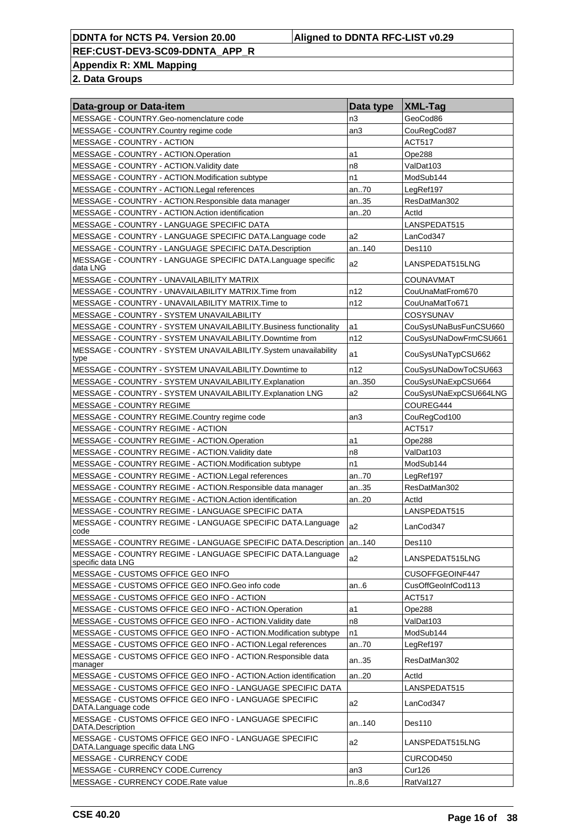**Appendix R: XML Mapping**

| Data-group or Data-item                                                                  | Data type       | <b>XML-Tag</b>        |
|------------------------------------------------------------------------------------------|-----------------|-----------------------|
| MESSAGE - COUNTRY.Geo-nomenclature code                                                  | n3              | GeoCod86              |
| MESSAGE - COUNTRY.Country regime code                                                    | an3             | CouRegCod87           |
| MESSAGE - COUNTRY - ACTION                                                               |                 | <b>ACT517</b>         |
| MESSAGE - COUNTRY - ACTION.Operation                                                     | a1              | Ope288                |
| MESSAGE - COUNTRY - ACTION. Validity date                                                | n8              | ValDat103             |
| MESSAGE - COUNTRY - ACTION.Modification subtype                                          | n1              | ModSub144             |
| MESSAGE - COUNTRY - ACTION.Legal references                                              | an70            | LegRef197             |
| MESSAGE - COUNTRY - ACTION.Responsible data manager                                      | an35            | ResDatMan302          |
| MESSAGE - COUNTRY - ACTION.Action identification                                         | an20            | ActId                 |
| MESSAGE - COUNTRY - LANGUAGE SPECIFIC DATA                                               |                 | LANSPEDAT515          |
| MESSAGE - COUNTRY - LANGUAGE SPECIFIC DATA.Language code                                 | a2              | LanCod347             |
| MESSAGE - COUNTRY - LANGUAGE SPECIFIC DATA.Description                                   | an140           | Des110                |
| MESSAGE - COUNTRY - LANGUAGE SPECIFIC DATA.Language specific<br>data LNG                 | a2              | LANSPEDAT515LNG       |
| MESSAGE - COUNTRY - UNAVAILABILITY MATRIX                                                |                 | COUNAVMAT             |
| MESSAGE - COUNTRY - UNAVAILABILITY MATRIX. Time from                                     | n12             | CouUnaMatFrom670      |
| MESSAGE - COUNTRY - UNAVAILABILITY MATRIX. Time to                                       | n12             | CouUnaMatTo671        |
| MESSAGE - COUNTRY - SYSTEM UNAVAILABILITY                                                |                 | COSYSUNAV             |
| MESSAGE - COUNTRY - SYSTEM UNAVAILABILITY. Business functionality                        | a1              | CouSysUNaBusFunCSU660 |
| MESSAGE - COUNTRY - SYSTEM UNAVAILABILITY.Downtime from                                  | n12             | CouSysUNaDowFrmCSU661 |
| MESSAGE - COUNTRY - SYSTEM UNAVAILABILITY.System unavailability<br>type                  | a1              | CouSysUNaTypCSU662    |
| MESSAGE - COUNTRY - SYSTEM UNAVAILABILITY.Downtime to                                    | n12             | CouSysUNaDowToCSU663  |
| MESSAGE - COUNTRY - SYSTEM UNAVAILABILITY. Explanation                                   | an350           | CouSysUNaExpCSU664    |
| MESSAGE - COUNTRY - SYSTEM UNAVAILABILITY. Explanation LNG                               | a2              | CouSysUNaExpCSU664LNG |
| <b>MESSAGE - COUNTRY REGIME</b>                                                          |                 | COUREG444             |
| MESSAGE - COUNTRY REGIME.Country regime code                                             | an <sub>3</sub> | CouRegCod100          |
| MESSAGE - COUNTRY REGIME - ACTION                                                        |                 | ACT517                |
| MESSAGE - COUNTRY REGIME - ACTION.Operation                                              | a1              | Ope288                |
| MESSAGE - COUNTRY REGIME - ACTION. Validity date                                         | n <sub>8</sub>  | ValDat103             |
| MESSAGE - COUNTRY REGIME - ACTION.Modification subtype                                   | n1              | ModSub144             |
| MESSAGE - COUNTRY REGIME - ACTION.Legal references                                       | an70            | LegRef197             |
| MESSAGE - COUNTRY REGIME - ACTION.Responsible data manager                               | an35            | ResDatMan302          |
| MESSAGE - COUNTRY REGIME - ACTION.Action identification                                  | an20            | ActId                 |
| MESSAGE - COUNTRY REGIME - LANGUAGE SPECIFIC DATA                                        |                 | LANSPEDAT515          |
| MESSAGE - COUNTRY REGIME - LANGUAGE SPECIFIC DATA.Language<br>code                       | a <sub>2</sub>  | LanCod347             |
| MESSAGE - COUNTRY REGIME - LANGUAGE SPECIFIC DATA.Description   an140                    |                 | Des110                |
| MESSAGE - COUNTRY REGIME - LANGUAGE SPECIFIC DATA.Language<br>specific data LNG          | a2              | LANSPEDAT515LNG       |
| MESSAGE - CUSTOMS OFFICE GEO INFO                                                        |                 | CUSOFFGEOINF447       |
| MESSAGE - CUSTOMS OFFICE GEO INFO.Geo info code                                          | an6             | CusOffGeoInfCod113    |
| MESSAGE - CUSTOMS OFFICE GEO INFO - ACTION                                               |                 | ACT517                |
| MESSAGE - CUSTOMS OFFICE GEO INFO - ACTION.Operation                                     | a1              | Ope288                |
| MESSAGE - CUSTOMS OFFICE GEO INFO - ACTION Validity date                                 | n8              | ValDat103             |
| MESSAGE - CUSTOMS OFFICE GEO INFO - ACTION.Modification subtype                          | n1              | ModSub144             |
| MESSAGE - CUSTOMS OFFICE GEO INFO - ACTION.Legal references                              | an70            | LegRef197             |
| MESSAGE - CUSTOMS OFFICE GEO INFO - ACTION.Responsible data<br>manager                   | an35            | ResDatMan302          |
| MESSAGE - CUSTOMS OFFICE GEO INFO - ACTION.Action identification                         | an20            | ActId                 |
| MESSAGE - CUSTOMS OFFICE GEO INFO - LANGUAGE SPECIFIC DATA                               |                 | LANSPEDAT515          |
| MESSAGE - CUSTOMS OFFICE GEO INFO - LANGUAGE SPECIFIC<br>DATA.Language code              | a <sub>2</sub>  | LanCod347             |
| MESSAGE - CUSTOMS OFFICE GEO INFO - LANGUAGE SPECIFIC<br>DATA.Description                | an140           | <b>Des110</b>         |
| MESSAGE - CUSTOMS OFFICE GEO INFO - LANGUAGE SPECIFIC<br>DATA.Language specific data LNG | a2              | LANSPEDAT515LNG       |
| MESSAGE - CURRENCY CODE                                                                  |                 | CURCOD450             |
| MESSAGE - CURRENCY CODE.Currency                                                         | an3             | Cur126                |
| MESSAGE - CURRENCY CODE.Rate value                                                       | n.8,6           | RatVal127             |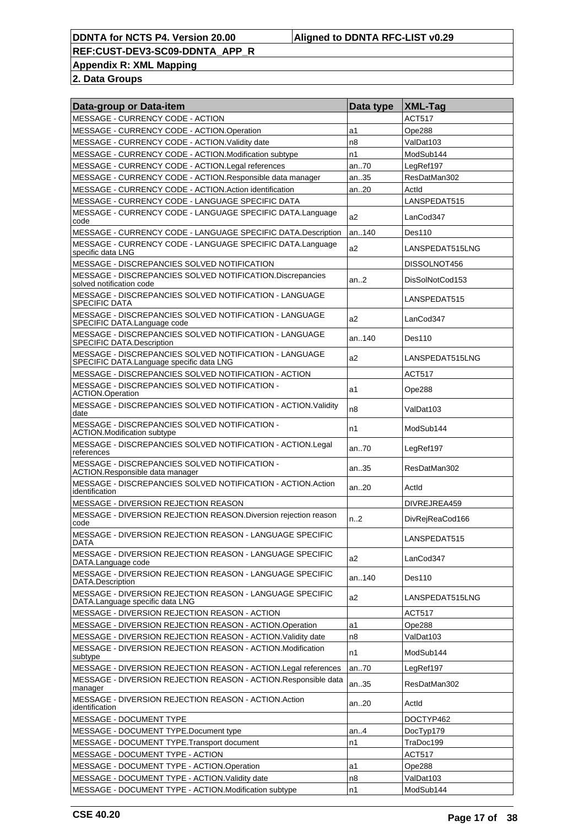**Appendix R: XML Mapping**

| Data-group or Data-item                                                                            | Data type | XML-Tag         |
|----------------------------------------------------------------------------------------------------|-----------|-----------------|
| MESSAGE - CURRENCY CODE - ACTION                                                                   |           | <b>ACT517</b>   |
| MESSAGE - CURRENCY CODE - ACTION.Operation                                                         | a1        | Ope288          |
| MESSAGE - CURRENCY CODE - ACTION. Validity date                                                    | n8        | ValDat103       |
| MESSAGE - CURRENCY CODE - ACTION.Modification subtype                                              | n1        | ModSub144       |
| MESSAGE - CURRENCY CODE - ACTION.Legal references                                                  | an70      | LegRef197       |
| MESSAGE - CURRENCY CODE - ACTION.Responsible data manager                                          | an35      | ResDatMan302    |
| MESSAGE - CURRENCY CODE - ACTION. Action identification                                            | an20      | ActId           |
| MESSAGE - CURRENCY CODE - LANGUAGE SPECIFIC DATA                                                   |           | LANSPEDAT515    |
| MESSAGE - CURRENCY CODE - LANGUAGE SPECIFIC DATA.Language<br>code                                  | a2        | LanCod347       |
| MESSAGE - CURRENCY CODE - LANGUAGE SPECIFIC DATA.Description                                       | an140     | Des110          |
| MESSAGE - CURRENCY CODE - LANGUAGE SPECIFIC DATA.Language<br>specific data LNG                     | a2        | LANSPEDAT515LNG |
| MESSAGE - DISCREPANCIES SOLVED NOTIFICATION                                                        |           | DISSOLNOT456    |
| MESSAGE - DISCREPANCIES SOLVED NOTIFICATION.Discrepancies<br>solved notification code              | an.2      | DisSolNotCod153 |
| MESSAGE - DISCREPANCIES SOLVED NOTIFICATION - LANGUAGE<br><b>SPECIFIC DATA</b>                     |           | LANSPEDAT515    |
| MESSAGE - DISCREPANCIES SOLVED NOTIFICATION - LANGUAGE<br>SPECIFIC DATA.Language code              | a2        | LanCod347       |
| MESSAGE - DISCREPANCIES SOLVED NOTIFICATION - LANGUAGE<br>SPECIFIC DATA.Description                | an140     | Des110          |
| MESSAGE - DISCREPANCIES SOLVED NOTIFICATION - LANGUAGE<br>SPECIFIC DATA.Language specific data LNG | a2        | LANSPEDAT515LNG |
| MESSAGE - DISCREPANCIES SOLVED NOTIFICATION - ACTION                                               |           | ACT517          |
| MESSAGE - DISCREPANCIES SOLVED NOTIFICATION -<br><b>ACTION.Operation</b>                           | a1        | Ope288          |
| MESSAGE - DISCREPANCIES SOLVED NOTIFICATION - ACTION. Validity<br>date                             | n8        | ValDat103       |
| MESSAGE - DISCREPANCIES SOLVED NOTIFICATION -<br><b>ACTION.Modification subtype</b>                | n1        | ModSub144       |
| MESSAGE - DISCREPANCIES SOLVED NOTIFICATION - ACTION.Legal<br>references                           | an70      | LegRef197       |
| MESSAGE - DISCREPANCIES SOLVED NOTIFICATION -<br>ACTION.Responsible data manager                   | an35      | ResDatMan302    |
| MESSAGE - DISCREPANCIES SOLVED NOTIFICATION - ACTION.Action<br>identification                      | an20      | Actid           |
| <b>MESSAGE - DIVERSION REJECTION REASON</b>                                                        |           | DIVREJREA459    |
| MESSAGE - DIVERSION REJECTION REASON. Diversion rejection reason<br>code                           | n2        | DivRejReaCod166 |
| MESSAGE - DIVERSION REJECTION REASON - LANGUAGE SPECIFIC<br>DATA                                   |           | LANSPEDAT515    |
| MESSAGE - DIVERSION REJECTION REASON - LANGUAGE SPECIFIC<br>DATA.Language code                     | a2        | LanCod347       |
| MESSAGE - DIVERSION REJECTION REASON - LANGUAGE SPECIFIC<br>DATA.Description                       | an140     | Des110          |
| MESSAGE - DIVERSION REJECTION REASON - LANGUAGE SPECIFIC<br>DATA.Language specific data LNG        | a2        | LANSPEDAT515LNG |
| MESSAGE - DIVERSION REJECTION REASON - ACTION                                                      |           | ACT517          |
| MESSAGE - DIVERSION REJECTION REASON - ACTION.Operation                                            | a1        | Ope288          |
| MESSAGE - DIVERSION REJECTION REASON - ACTION. Validity date                                       | n8        | ValDat103       |
| MESSAGE - DIVERSION REJECTION REASON - ACTION.Modification<br>subtype                              | n1        | ModSub144       |
| MESSAGE - DIVERSION REJECTION REASON - ACTION. Legal references                                    | an70      | LegRef197       |
| MESSAGE - DIVERSION REJECTION REASON - ACTION.Responsible data<br>manager                          | an35      | ResDatMan302    |
| MESSAGE - DIVERSION REJECTION REASON - ACTION.Action<br>identification                             | an20      | Actid           |
| MESSAGE - DOCUMENT TYPE                                                                            |           | DOCTYP462       |
| MESSAGE - DOCUMENT TYPE.Document type                                                              | an4       | DocTyp179       |
| MESSAGE - DOCUMENT TYPE.Transport document                                                         | n1        | TraDoc199       |
| MESSAGE - DOCUMENT TYPE - ACTION                                                                   |           | <b>ACT517</b>   |
| MESSAGE - DOCUMENT TYPE - ACTION.Operation                                                         | a1        | Ope288          |
| MESSAGE - DOCUMENT TYPE - ACTION. Validity date                                                    | n8        | ValDat103       |
| MESSAGE - DOCUMENT TYPE - ACTION.Modification subtype                                              | n1        | ModSub144       |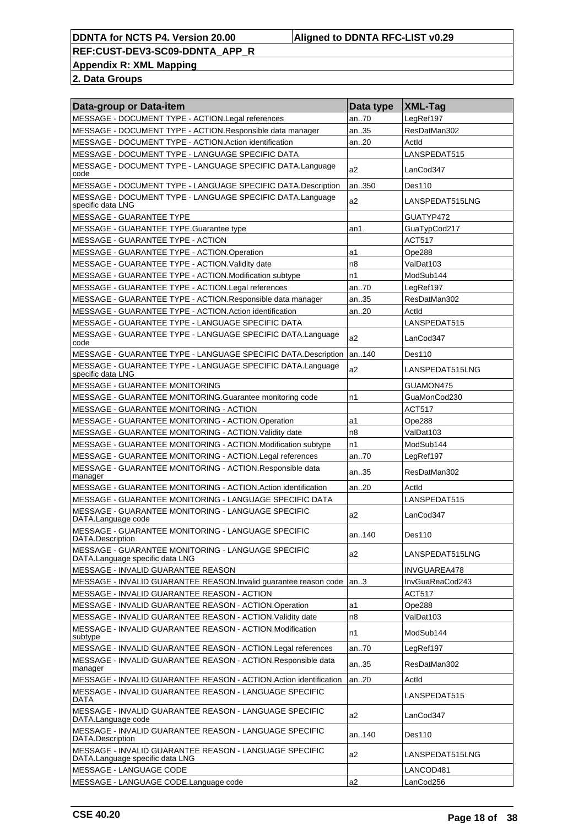**Appendix R: XML Mapping**

| Data-group or Data-item                                                                   | Data type      | XML-Tag         |
|-------------------------------------------------------------------------------------------|----------------|-----------------|
| MESSAGE - DOCUMENT TYPE - ACTION.Legal references                                         | an70           | LegRef197       |
| MESSAGE - DOCUMENT TYPE - ACTION.Responsible data manager                                 | an35           | ResDatMan302    |
| MESSAGE - DOCUMENT TYPE - ACTION.Action identification                                    | an20           | Actid           |
| MESSAGE - DOCUMENT TYPE - LANGUAGE SPECIFIC DATA                                          |                | LANSPEDAT515    |
| MESSAGE - DOCUMENT TYPE - LANGUAGE SPECIFIC DATA.Language<br>code                         | a <sub>2</sub> | LanCod347       |
| MESSAGE - DOCUMENT TYPE - LANGUAGE SPECIFIC DATA.Description                              | an350          | Des110          |
| MESSAGE - DOCUMENT TYPE - LANGUAGE SPECIFIC DATA.Language<br>specific data LNG            | a2             | LANSPEDAT515LNG |
| <b>MESSAGE - GUARANTEE TYPE</b>                                                           |                | GUATYP472       |
| MESSAGE - GUARANTEE TYPE.Guarantee type                                                   | an1            | GuaTypCod217    |
| MESSAGE - GUARANTEE TYPE - ACTION                                                         |                | ACT517          |
| MESSAGE - GUARANTEE TYPE - ACTION.Operation                                               | a1             | Ope288          |
| MESSAGE - GUARANTEE TYPE - ACTION. Validity date                                          | n <sub>8</sub> | ValDat103       |
| MESSAGE - GUARANTEE TYPE - ACTION.Modification subtype                                    | n1             | ModSub144       |
| MESSAGE - GUARANTEE TYPE - ACTION.Legal references                                        | an70           | LegRef197       |
| MESSAGE - GUARANTEE TYPE - ACTION.Responsible data manager                                | an35           | ResDatMan302    |
| MESSAGE - GUARANTEE TYPE - ACTION.Action identification                                   | an20           | ActId           |
| MESSAGE - GUARANTEE TYPE - LANGUAGE SPECIFIC DATA                                         |                | LANSPEDAT515    |
| MESSAGE - GUARANTEE TYPE - LANGUAGE SPECIFIC DATA.Language<br>code                        | a <sub>2</sub> | LanCod347       |
| MESSAGE - GUARANTEE TYPE - LANGUAGE SPECIFIC DATA.Description                             | an140          | Des110          |
| MESSAGE - GUARANTEE TYPE - LANGUAGE SPECIFIC DATA.Language<br>specific data LNG           | a <sub>2</sub> | LANSPEDAT515LNG |
| MESSAGE - GUARANTEE MONITORING                                                            |                | GUAMON475       |
| MESSAGE - GUARANTEE MONITORING.Guarantee monitoring code                                  | n1             | GuaMonCod230    |
| MESSAGE - GUARANTEE MONITORING - ACTION                                                   |                | <b>ACT517</b>   |
| MESSAGE - GUARANTEE MONITORING - ACTION.Operation                                         | a1             | Ope288          |
| MESSAGE - GUARANTEE MONITORING - ACTION. Validity date                                    | n8             | ValDat103       |
| MESSAGE - GUARANTEE MONITORING - ACTION.Modification subtype                              | n1             | ModSub144       |
| MESSAGE - GUARANTEE MONITORING - ACTION.Legal references                                  | an70           | LegRef197       |
| MESSAGE - GUARANTEE MONITORING - ACTION.Responsible data<br>manager                       | an35           | ResDatMan302    |
| MESSAGE - GUARANTEE MONITORING - ACTION.Action identification                             | an20           | ActId           |
| MESSAGE - GUARANTEE MONITORING - LANGUAGE SPECIFIC DATA                                   |                | LANSPEDAT515    |
| MESSAGE - GUARANTEE MONITORING - LANGUAGE SPECIFIC<br>DATA.Language code                  | a2             | LanCod347       |
| MESSAGE - GUARANTEE MONITORING - LANGUAGE SPECIFIC<br>DATA.Description                    | an140          | Des110          |
| MESSAGE - GUARANTEE MONITORING - LANGUAGE SPECIFIC<br>DATA.Language specific data LNG     | a2             | LANSPEDAT515LNG |
| MESSAGE - INVALID GUARANTEE REASON                                                        |                | INVGUAREA478    |
| MESSAGE - INVALID GUARANTEE REASON.Invalid guarantee reason code                          | an.3           | InvGuaReaCod243 |
| MESSAGE - INVALID GUARANTEE REASON - ACTION                                               |                | <b>ACT517</b>   |
| MESSAGE - INVALID GUARANTEE REASON - ACTION.Operation                                     | a1             | Ope288          |
| MESSAGE - INVALID GUARANTEE REASON - ACTION. Validity date                                | n <sub>8</sub> | ValDat103       |
| MESSAGE - INVALID GUARANTEE REASON - ACTION.Modification<br>subtype                       | n1             | ModSub144       |
| MESSAGE - INVALID GUARANTEE REASON - ACTION.Legal references                              | an70           | LegRef197       |
| MESSAGE - INVALID GUARANTEE REASON - ACTION.Responsible data<br>manager                   | an35           | ResDatMan302    |
| MESSAGE - INVALID GUARANTEE REASON - ACTION. Action identification                        | an20           | Actld           |
| MESSAGE - INVALID GUARANTEE REASON - LANGUAGE SPECIFIC<br>DATA                            |                | LANSPEDAT515    |
| MESSAGE - INVALID GUARANTEE REASON - LANGUAGE SPECIFIC<br>DATA.Language code              | a2             | LanCod347       |
| MESSAGE - INVALID GUARANTEE REASON - LANGUAGE SPECIFIC<br>DATA.Description                | an140          | Des110          |
| MESSAGE - INVALID GUARANTEE REASON - LANGUAGE SPECIFIC<br>DATA.Language specific data LNG | a2             | LANSPEDAT515LNG |
| MESSAGE - LANGUAGE CODE                                                                   |                | LANCOD481       |
| MESSAGE - LANGUAGE CODE.Language code                                                     | a2             | LanCod256       |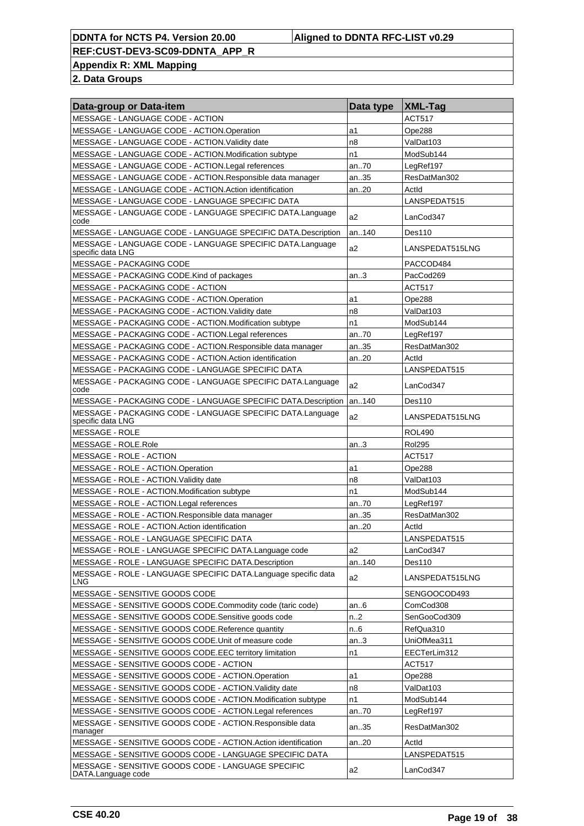**Appendix R: XML Mapping**

| Data-group or Data-item                                                         | Data type | <b>XML-Tag</b>  |
|---------------------------------------------------------------------------------|-----------|-----------------|
| MESSAGE - LANGUAGE CODE - ACTION                                                |           | <b>ACT517</b>   |
| MESSAGE - LANGUAGE CODE - ACTION.Operation                                      | a1        | Ope288          |
| MESSAGE - LANGUAGE CODE - ACTION. Validity date                                 | n8        | ValDat103       |
| MESSAGE - LANGUAGE CODE - ACTION.Modification subtype                           | n1        | ModSub144       |
| MESSAGE - LANGUAGE CODE - ACTION.Legal references                               | an70      | LegRef197       |
| MESSAGE - LANGUAGE CODE - ACTION.Responsible data manager                       | an35      | ResDatMan302    |
| MESSAGE - LANGUAGE CODE - ACTION. Action identification                         | an20      | ActId           |
| MESSAGE - LANGUAGE CODE - LANGUAGE SPECIFIC DATA                                |           | LANSPEDAT515    |
| MESSAGE - LANGUAGE CODE - LANGUAGE SPECIFIC DATA.Language<br>code               | a2        | LanCod347       |
| MESSAGE - LANGUAGE CODE - LANGUAGE SPECIFIC DATA.Description                    | an140     | Des110          |
| MESSAGE - LANGUAGE CODE - LANGUAGE SPECIFIC DATA.Language<br>specific data LNG  | a2        | LANSPEDAT515LNG |
| <b>MESSAGE - PACKAGING CODE</b>                                                 |           | PACCOD484       |
| MESSAGE - PACKAGING CODE. Kind of packages                                      | an.3      | PacCod269       |
| <b>MESSAGE - PACKAGING CODE - ACTION</b>                                        |           | <b>ACT517</b>   |
| MESSAGE - PACKAGING CODE - ACTION.Operation                                     | a1        | Ope288          |
| MESSAGE - PACKAGING CODE - ACTION. Validity date                                | n8        | ValDat103       |
| MESSAGE - PACKAGING CODE - ACTION.Modification subtype                          | n1        | ModSub144       |
| MESSAGE - PACKAGING CODE - ACTION.Legal references                              | an70      | LegRef197       |
| MESSAGE - PACKAGING CODE - ACTION.Responsible data manager                      | an35      | ResDatMan302    |
| MESSAGE - PACKAGING CODE - ACTION.Action identification                         | an20      | Actid           |
| MESSAGE - PACKAGING CODE - LANGUAGE SPECIFIC DATA                               |           | LANSPEDAT515    |
| MESSAGE - PACKAGING CODE - LANGUAGE SPECIFIC DATA.Language<br>code              | a2        | LanCod347       |
| MESSAGE - PACKAGING CODE - LANGUAGE SPECIFIC DATA.Description                   | an140     | Des110          |
| MESSAGE - PACKAGING CODE - LANGUAGE SPECIFIC DATA.Language<br>specific data LNG | a2        | LANSPEDAT515LNG |
| MESSAGE - ROLE                                                                  |           | <b>ROL490</b>   |
| MESSAGE - ROLE.Role                                                             | an3       | <b>Rol295</b>   |
| MESSAGE - ROLE - ACTION                                                         |           | ACT517          |
| MESSAGE - ROLE - ACTION.Operation                                               | a1        | Ope288          |
| MESSAGE - ROLE - ACTION. Validity date                                          | n8        | ValDat103       |
| MESSAGE - ROLE - ACTION.Modification subtype                                    | n1        | ModSub144       |
| MESSAGE - ROLE - ACTION.Legal references                                        | an70      | LegRef197       |
| MESSAGE - ROLE - ACTION.Responsible data manager                                | an35      | ResDatMan302    |
| MESSAGE - ROLE - ACTION.Action identification                                   | an20      | Actid           |
| MESSAGE - ROLE - LANGUAGE SPECIFIC DATA                                         |           | LANSPEDAT515    |
| MESSAGE - ROLE - LANGUAGE SPECIFIC DATA.Language code                           | a2        | LanCod347       |
| MESSAGE - ROLE - LANGUAGE SPECIFIC DATA.Description                             | an140     | Des110          |
| MESSAGE - ROLE - LANGUAGE SPECIFIC DATA.Language specific data<br><b>LNG</b>    | a2        | LANSPEDAT515LNG |
| MESSAGE - SENSITIVE GOODS CODE                                                  |           | SENGOOCOD493    |
| MESSAGE - SENSITIVE GOODS CODE.Commodity code (taric code)                      | an6       | ComCod308       |
| MESSAGE - SENSITIVE GOODS CODE.Sensitive goods code                             | n2        | SenGooCod309    |
| MESSAGE - SENSITIVE GOODS CODE. Reference quantity                              | n. 6      | RefQua310       |
| MESSAGE - SENSITIVE GOODS CODE. Unit of measure code                            | an.3      | UniOfMea311     |
| MESSAGE - SENSITIVE GOODS CODE.EEC territory limitation                         | n1        | EECTerLim312    |
| MESSAGE - SENSITIVE GOODS CODE - ACTION                                         |           | <b>ACT517</b>   |
| MESSAGE - SENSITIVE GOODS CODE - ACTION.Operation                               | a1        | Ope288          |
| MESSAGE - SENSITIVE GOODS CODE - ACTION. Validity date                          | n8        | ValDat103       |
| MESSAGE - SENSITIVE GOODS CODE - ACTION.Modification subtype                    | n1        | ModSub144       |
| MESSAGE - SENSITIVE GOODS CODE - ACTION. Legal references                       | an70      | LegRef197       |
| MESSAGE - SENSITIVE GOODS CODE - ACTION.Responsible data                        | an35      | ResDatMan302    |
| manager                                                                         |           |                 |
| MESSAGE - SENSITIVE GOODS CODE - ACTION.Action identification                   | an20      | Actid           |
| MESSAGE - SENSITIVE GOODS CODE - LANGUAGE SPECIFIC DATA                         |           | LANSPEDAT515    |
| MESSAGE - SENSITIVE GOODS CODE - LANGUAGE SPECIFIC<br>DATA.Language code        | a2        | LanCod347       |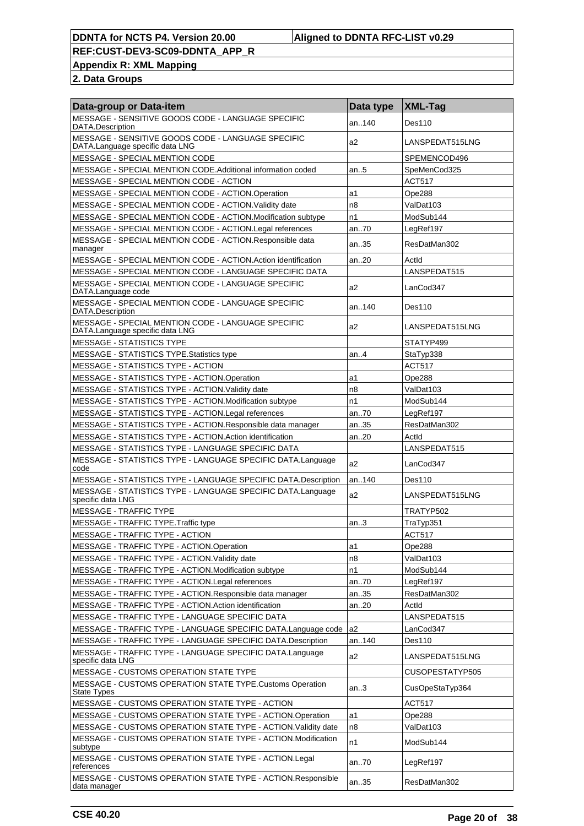**Appendix R: XML Mapping**

| Data-group or Data-item                                                               | Data type      | $ XML$ -Tag     |
|---------------------------------------------------------------------------------------|----------------|-----------------|
| MESSAGE - SENSITIVE GOODS CODE - LANGUAGE SPECIFIC<br>DATA.Description                | an140          | Des110          |
| MESSAGE - SENSITIVE GOODS CODE - LANGUAGE SPECIFIC<br>DATA.Language specific data LNG | a2             | LANSPEDAT515LNG |
| MESSAGE - SPECIAL MENTION CODE                                                        |                | SPEMENCOD496    |
| MESSAGE - SPECIAL MENTION CODE.Additional information coded                           | an5            | SpeMenCod325    |
| MESSAGE - SPECIAL MENTION CODE - ACTION                                               |                | <b>ACT517</b>   |
| MESSAGE - SPECIAL MENTION CODE - ACTION Operation                                     | a1             | Ope288          |
| MESSAGE - SPECIAL MENTION CODE - ACTION. Validity date                                | n <sub>8</sub> | ValDat103       |
| MESSAGE - SPECIAL MENTION CODE - ACTION.Modification subtype                          | n1             | ModSub144       |
| MESSAGE - SPECIAL MENTION CODE - ACTION.Legal references                              | an70           | LegRef197       |
| MESSAGE - SPECIAL MENTION CODE - ACTION.Responsible data<br>manager                   | an35           | ResDatMan302    |
| MESSAGE - SPECIAL MENTION CODE - ACTION. Action identification                        | an20           | ActId           |
| MESSAGE - SPECIAL MENTION CODE - LANGUAGE SPECIFIC DATA                               |                | LANSPEDAT515    |
| MESSAGE - SPECIAL MENTION CODE - LANGUAGE SPECIFIC<br>DATA.Language code              | a2             | LanCod347       |
| MESSAGE - SPECIAL MENTION CODE - LANGUAGE SPECIFIC<br>DATA.Description                | an.140         | Des110          |
| MESSAGE - SPECIAL MENTION CODE - LANGUAGE SPECIFIC<br>DATA.Language specific data LNG | a2             | LANSPEDAT515LNG |
| <b>MESSAGE - STATISTICS TYPE</b>                                                      |                | STATYP499       |
| MESSAGE - STATISTICS TYPE. Statistics type                                            | an.4           | StaTyp338       |
| <b>MESSAGE - STATISTICS TYPE - ACTION</b>                                             |                | <b>ACT517</b>   |
| MESSAGE - STATISTICS TYPE - ACTION.Operation                                          | a1             | Ope288          |
| MESSAGE - STATISTICS TYPE - ACTION. Validity date                                     | n <sub>8</sub> | ValDat103       |
| MESSAGE - STATISTICS TYPE - ACTION.Modification subtype                               | n1             | ModSub144       |
| MESSAGE - STATISTICS TYPE - ACTION.Legal references                                   | an70           | LegRef197       |
| MESSAGE - STATISTICS TYPE - ACTION. Responsible data manager                          | an35           | ResDatMan302    |
| MESSAGE - STATISTICS TYPE - ACTION.Action identification                              | an20           | Actid           |
| MESSAGE - STATISTICS TYPE - LANGUAGE SPECIFIC DATA                                    |                | LANSPEDAT515    |
| MESSAGE - STATISTICS TYPE - LANGUAGE SPECIFIC DATA.Language<br>code                   | a <sub>2</sub> | LanCod347       |
| MESSAGE - STATISTICS TYPE - LANGUAGE SPECIFIC DATA.Description                        | an140          | Des110          |
| MESSAGE - STATISTICS TYPE - LANGUAGE SPECIFIC DATA.Language<br>specific data LNG      | a2             | LANSPEDAT515LNG |
| <b>MESSAGE - TRAFFIC TYPE</b>                                                         |                | TRATYP502       |
| MESSAGE - TRAFFIC TYPE.Traffic type                                                   | an.3           | TraTyp351       |
| MESSAGE - TRAFFIC TYPE - ACTION                                                       |                | <b>ACT517</b>   |
| MESSAGE - TRAFFIC TYPE - ACTION.Operation                                             | a1             | Ope288          |
| MESSAGE - TRAFFIC TYPE - ACTION. Validity date                                        | n8             | ValDat103       |
| MESSAGE - TRAFFIC TYPE - ACTION.Modification subtype                                  | n1             | ModSub144       |
| MESSAGE - TRAFFIC TYPE - ACTION.Legal references                                      | an70           | LegRef197       |
| MESSAGE - TRAFFIC TYPE - ACTION.Responsible data manager                              | an35           | ResDatMan302    |
| MESSAGE - TRAFFIC TYPE - ACTION.Action identification                                 | an20           | Actld           |
| MESSAGE - TRAFFIC TYPE - LANGUAGE SPECIFIC DATA                                       |                | LANSPEDAT515    |
| MESSAGE - TRAFFIC TYPE - LANGUAGE SPECIFIC DATA.Language code                         | a <sub>2</sub> | LanCod347       |
| MESSAGE - TRAFFIC TYPE - LANGUAGE SPECIFIC DATA.Description                           | an140          | <b>Des110</b>   |
| MESSAGE - TRAFFIC TYPE - LANGUAGE SPECIFIC DATA.Language<br>specific data LNG         | a <sub>2</sub> | LANSPEDAT515LNG |
| <b>MESSAGE - CUSTOMS OPERATION STATE TYPE</b>                                         |                | CUSOPESTATYP505 |
| MESSAGE - CUSTOMS OPERATION STATE TYPE.Customs Operation                              | an.3           | CusOpeStaTyp364 |
| State Types<br>MESSAGE - CUSTOMS OPERATION STATE TYPE - ACTION                        |                | <b>ACT517</b>   |
| MESSAGE - CUSTOMS OPERATION STATE TYPE - ACTION.Operation                             | a1             | Ope288          |
| MESSAGE - CUSTOMS OPERATION STATE TYPE - ACTION. Validity date                        | n8             | ValDat103       |
| MESSAGE - CUSTOMS OPERATION STATE TYPE - ACTION.Modification                          |                |                 |
| subtype                                                                               | n1             | ModSub144       |
| MESSAGE - CUSTOMS OPERATION STATE TYPE - ACTION.Legal<br>references                   | an70           | LegRef197       |
| MESSAGE - CUSTOMS OPERATION STATE TYPE - ACTION.Responsible<br>data manager           | an35           | ResDatMan302    |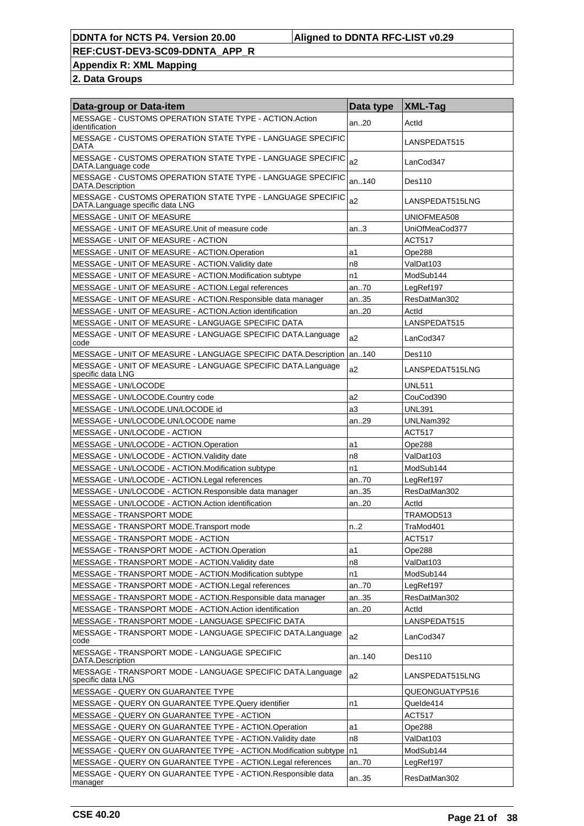**Appendix R: XML Mapping**

| <b>Data-group or Data-item</b>                                                                | Data type      | $ XML-Tag$      |
|-----------------------------------------------------------------------------------------------|----------------|-----------------|
| MESSAGE - CUSTOMS OPERATION STATE TYPE - ACTION Action<br>identification                      | an.20          | Actid           |
| MESSAGE - CUSTOMS OPERATION STATE TYPE - LANGUAGE SPECIFIC<br>DATA                            |                | LANSPEDAT515    |
| MESSAGE - CUSTOMS OPERATION STATE TYPE - LANGUAGE SPECIFIC<br>DATA.Language code              | a2             | LanCod347       |
| MESSAGE - CUSTOMS OPERATION STATE TYPE - LANGUAGE SPECIFIC<br>DATA.Description                | an140          | Des110          |
| MESSAGE - CUSTOMS OPERATION STATE TYPE - LANGUAGE SPECIFIC<br>DATA.Language specific data LNG | a2             | LANSPEDAT515LNG |
| MESSAGE - UNIT OF MEASURE                                                                     |                | UNIOFMEA508     |
| MESSAGE - UNIT OF MEASURE. Unit of measure code                                               | an.3           | UniOfMeaCod377  |
| MESSAGE - UNIT OF MEASURE - ACTION                                                            |                | <b>ACT517</b>   |
| MESSAGE - UNIT OF MEASURE - ACTION.Operation                                                  | a1             | Ope288          |
| MESSAGE - UNIT OF MEASURE - ACTION. Validity date                                             | n8             | ValDat103       |
| MESSAGE - UNIT OF MEASURE - ACTION.Modification subtype                                       | n1             | ModSub144       |
| MESSAGE - UNIT OF MEASURE - ACTION.Legal references                                           | an70           | LegRef197       |
| MESSAGE - UNIT OF MEASURE - ACTION. Responsible data manager                                  | an35           | ResDatMan302    |
| MESSAGE - UNIT OF MEASURE - ACTION Action identification                                      | an20           | ActId           |
| MESSAGE - UNIT OF MEASURE - LANGUAGE SPECIFIC DATA                                            |                | LANSPEDAT515    |
| MESSAGE - UNIT OF MEASURE - LANGUAGE SPECIFIC DATA.Language<br>code                           | a2             | LanCod347       |
| MESSAGE - UNIT OF MEASURE - LANGUAGE SPECIFIC DATA.Description                                | an140          | Des110          |
| MESSAGE - UNIT OF MEASURE - LANGUAGE SPECIFIC DATA.Language<br>specific data LNG              | a2             | LANSPEDAT515LNG |
| MESSAGE - UN/LOCODE                                                                           |                | <b>UNL511</b>   |
| MESSAGE - UN/LOCODE.Country code                                                              | a2             | CouCod390       |
| MESSAGE - UN/LOCODE.UN/LOCODE id                                                              | a3             | <b>UNL391</b>   |
| MESSAGE - UN/LOCODE.UN/LOCODE name                                                            | an29           | UNLNam392       |
| MESSAGE - UN/LOCODE - ACTION                                                                  |                | <b>ACT517</b>   |
| MESSAGE - UN/LOCODE - ACTION.Operation                                                        | a1             | Ope288          |
| MESSAGE - UN/LOCODE - ACTION. Validity date                                                   | n8             | ValDat103       |
| MESSAGE - UN/LOCODE - ACTION.Modification subtype                                             | n <sub>1</sub> | ModSub144       |
| MESSAGE - UN/LOCODE - ACTION.Legal references                                                 | an70           | LegRef197       |
| MESSAGE - UN/LOCODE - ACTION.Responsible data manager                                         | an35           | ResDatMan302    |
| MESSAGE - UN/LOCODE - ACTION.Action identification                                            | an20           | Actid           |
| MESSAGE - TRANSPORT MODE                                                                      |                | TRAMOD513       |
| MESSAGE - TRANSPORT MODE. Transport mode                                                      | n2             | TraMod401       |
| MESSAGE - TRANSPORT MODE - ACTION                                                             |                | ACT517          |
| MESSAGE - TRANSPORT MODE - ACTION.Operation                                                   | a1             | Ope288          |
| MESSAGE - TRANSPORT MODE - ACTION. Validity date                                              | n8             | ValDat103       |
| MESSAGE - TRANSPORT MODE - ACTION.Modification subtype                                        | n1             | ModSub144       |
| MESSAGE - TRANSPORT MODE - ACTION.Legal references                                            | an70           | LegRef197       |
| MESSAGE - TRANSPORT MODE - ACTION.Responsible data manager                                    | an35           | ResDatMan302    |
| MESSAGE - TRANSPORT MODE - ACTION.Action identification                                       | an20           | Actid           |
| MESSAGE - TRANSPORT MODE - LANGUAGE SPECIFIC DATA                                             |                | LANSPEDAT515    |
| MESSAGE - TRANSPORT MODE - LANGUAGE SPECIFIC DATA.Language<br>code                            | a2             | LanCod347       |
| MESSAGE - TRANSPORT MODE - LANGUAGE SPECIFIC<br>DATA.Description                              | an140          | Des110          |
| MESSAGE - TRANSPORT MODE - LANGUAGE SPECIFIC DATA.Language<br>specific data LNG               | a2             | LANSPEDAT515LNG |
| MESSAGE - QUERY ON GUARANTEE TYPE                                                             |                | QUEONGUATYP516  |
| MESSAGE - QUERY ON GUARANTEE TYPE.Query identifier                                            | n1             | Quelde414       |
| MESSAGE - QUERY ON GUARANTEE TYPE - ACTION                                                    |                | ACT517          |
| MESSAGE - QUERY ON GUARANTEE TYPE - ACTION.Operation                                          | a1             | Ope288          |
| MESSAGE - QUERY ON GUARANTEE TYPE - ACTION. Validity date                                     | n8             | ValDat103       |
| MESSAGE - QUERY ON GUARANTEE TYPE - ACTION.Modification subtype                               | In1            | ModSub144       |
| MESSAGE - QUERY ON GUARANTEE TYPE - ACTION.Legal references                                   | an70           | LegRef197       |
| MESSAGE - QUERY ON GUARANTEE TYPE - ACTION. Responsible data<br>manager                       | an35           | ResDatMan302    |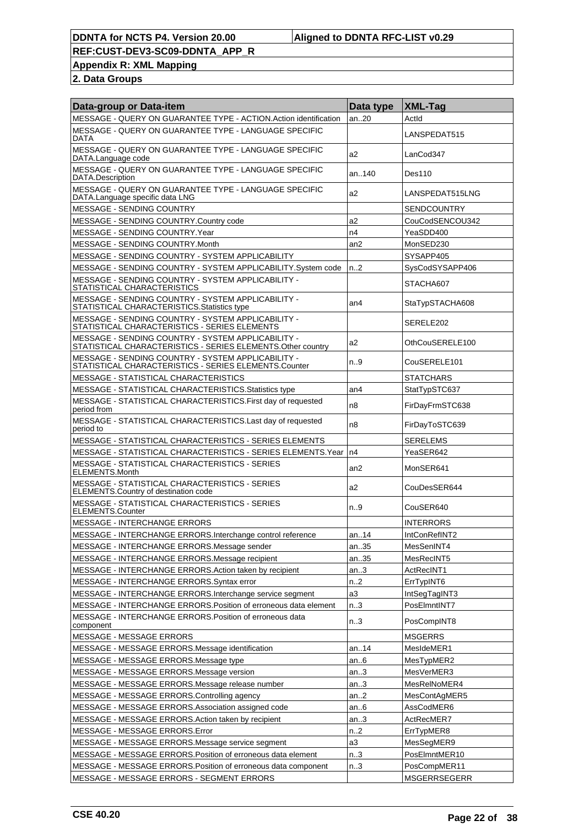#### **DDNTA for NCTS P4. Version 20.00 Aligned to DDNTA RFC-LIST v0.29**

**REF:CUST-DEV3-SC09-DDNTA\_APP\_R**

**Appendix R: XML Mapping**

| Data-group or Data-item                                                                                            | Data type        | $ XML$ -Taq         |
|--------------------------------------------------------------------------------------------------------------------|------------------|---------------------|
| MESSAGE - QUERY ON GUARANTEE TYPE - ACTION.Action identification                                                   | an20             | ActId               |
| MESSAGE - QUERY ON GUARANTEE TYPE - LANGUAGE SPECIFIC<br>DATA                                                      |                  | LANSPEDAT515        |
| MESSAGE - QUERY ON GUARANTEE TYPE - LANGUAGE SPECIFIC<br>DATA.Language code                                        | a2               | LanCod347           |
| MESSAGE - QUERY ON GUARANTEE TYPE - LANGUAGE SPECIFIC<br>DATA.Description                                          | an140            | Des110              |
| MESSAGE - QUERY ON GUARANTEE TYPE - LANGUAGE SPECIFIC<br>DATA.Language specific data LNG                           | a2               | LANSPEDAT515LNG     |
| MESSAGE - SENDING COUNTRY                                                                                          |                  | <b>SENDCOUNTRY</b>  |
| MESSAGE - SENDING COUNTRY.Country code                                                                             | a2               | CouCodSENCOU342     |
| MESSAGE - SENDING COUNTRY.Year                                                                                     | n4               | YeaSDD400           |
| MESSAGE - SENDING COUNTRY.Month                                                                                    | an2              | MonSED230           |
| MESSAGE - SENDING COUNTRY - SYSTEM APPLICABILITY                                                                   |                  | SYSAPP405           |
| MESSAGE - SENDING COUNTRY - SYSTEM APPLICABILITY.System code                                                       | n2               | SysCodSYSAPP406     |
| MESSAGE - SENDING COUNTRY - SYSTEM APPLICABILITY -<br>STATISTICAL CHARACTERISTICS                                  |                  | STACHA607           |
| MESSAGE - SENDING COUNTRY - SYSTEM APPLICABILITY -<br>STATISTICAL CHARACTERISTICS. Statistics type                 | an <sub>4</sub>  | StaTypSTACHA608     |
| MESSAGE - SENDING COUNTRY - SYSTEM APPLICABILITY -<br>STATISTICAL CHARACTERISTICS - SERIES ELEMENTS                |                  | SERELE202           |
| MESSAGE - SENDING COUNTRY - SYSTEM APPLICABILITY -<br>STATISTICAL CHARACTERISTICS - SERIES ELEMENTS. Other country | a2               | OthCouSERELE100     |
| MESSAGE - SENDING COUNTRY - SYSTEM APPLICABILITY -<br>STATISTICAL CHARACTERISTICS - SERIES ELEMENTS.Counter        | n.9              | CouSERELE101        |
| MESSAGE - STATISTICAL CHARACTERISTICS                                                                              |                  | <b>STATCHARS</b>    |
| MESSAGE - STATISTICAL CHARACTERISTICS. Statistics type                                                             | an4              | StatTypSTC637       |
| MESSAGE - STATISTICAL CHARACTERISTICS. First day of requested<br>period from                                       | n <sub>8</sub>   | FirDayFrmSTC638     |
| MESSAGE - STATISTICAL CHARACTERISTICS.Last day of requested<br>period to                                           | n <sub>8</sub>   | FirDayToSTC639      |
| <b>MESSAGE - STATISTICAL CHARACTERISTICS - SERIES ELEMENTS</b>                                                     |                  | SERELEMS            |
| MESSAGE - STATISTICAL CHARACTERISTICS - SERIES ELEMENTS. Year                                                      | n4               | YeaSER642           |
| <b>MESSAGE - STATISTICAL CHARACTERISTICS - SERIES</b><br><b>ELEMENTS.Month</b>                                     | an2              | MonSER641           |
| MESSAGE - STATISTICAL CHARACTERISTICS - SERIES<br>ELEMENTS.Country of destination code                             | a2               | CouDesSER644        |
| MESSAGE - STATISTICAL CHARACTERISTICS - SERIES<br><b>ELEMENTS.Counter</b>                                          | n.9              | CouSER640           |
| <b>MESSAGE - INTERCHANGE ERRORS</b>                                                                                |                  | <b>INTERRORS</b>    |
| MESSAGE - INTERCHANGE ERRORS.Interchange control reference                                                         | an. $.14$        | IntConRefINT2       |
| MESSAGE - INTERCHANGE ERRORS.Message sender                                                                        | an35             | MesSenINT4          |
| MESSAGE - INTERCHANGE ERRORS.Message recipient                                                                     | an35             | MesRecINT5          |
| MESSAGE - INTERCHANGE ERRORS. Action taken by recipient                                                            | an.3             | ActRecINT1          |
| MESSAGE - INTERCHANGE ERRORS.Syntax error                                                                          | n.2              | ErrTypINT6          |
| MESSAGE - INTERCHANGE ERRORS.Interchange service segment                                                           | a <sub>3</sub>   | IntSegTagINT3       |
| MESSAGE - INTERCHANGE ERRORS. Position of erroneous data element                                                   | n.3              | PosElmntINT7        |
| MESSAGE - INTERCHANGE ERRORS. Position of erroneous data<br>component                                              | n <sub>0</sub> 3 | PosCompINT8         |
| MESSAGE - MESSAGE ERRORS                                                                                           |                  | <b>MSGERRS</b>      |
| MESSAGE - MESSAGE ERRORS.Message identification                                                                    | an14             | MesIdeMER1          |
| MESSAGE - MESSAGE ERRORS. Message type                                                                             | an6              | MesTypMER2          |
| MESSAGE - MESSAGE ERRORS.Message version                                                                           | an3              | MesVerMER3          |
| MESSAGE - MESSAGE ERRORS.Message release number                                                                    | an3              | MesRelNoMER4        |
| MESSAGE - MESSAGE ERRORS.Controlling agency                                                                        | an2              | MesContAgMER5       |
| MESSAGE - MESSAGE ERRORS.Association assigned code                                                                 | an6              | AssCodMER6          |
| MESSAGE - MESSAGE ERRORS.Action taken by recipient                                                                 | an3              | ActRecMER7          |
| MESSAGE - MESSAGE ERRORS.Error                                                                                     | n <sub>1</sub> 2 | ErrTypMER8          |
| MESSAGE - MESSAGE ERRORS.Message service segment                                                                   | a3               | MesSegMER9          |
| MESSAGE - MESSAGE ERRORS. Position of erroneous data element                                                       | n.3              | PosElmntMER10       |
| MESSAGE - MESSAGE ERRORS. Position of erroneous data component                                                     | n.3              | PosCompMER11        |
| MESSAGE - MESSAGE ERRORS - SEGMENT ERRORS                                                                          |                  | <b>MSGERRSEGERR</b> |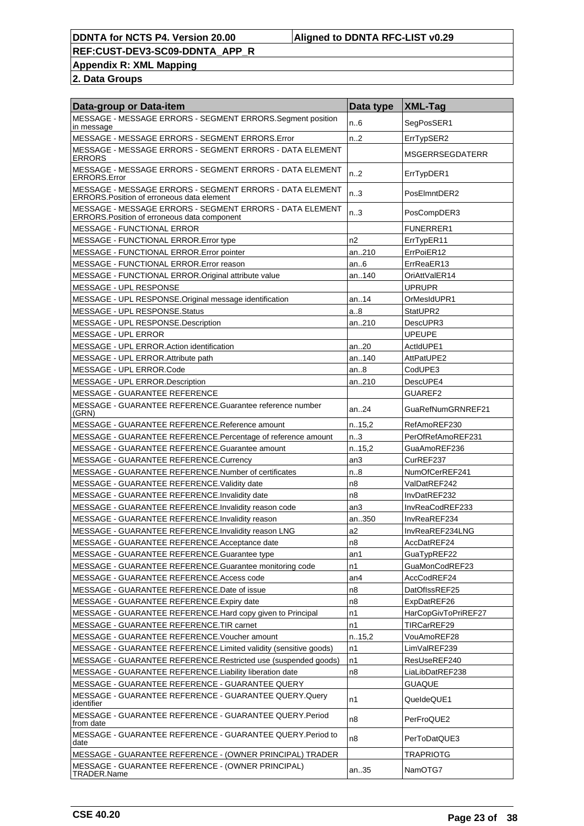## **Appendix R: XML Mapping**

| Data-group or Data-item                                                                                       | Data type        | <b>XML-Tag</b>         |
|---------------------------------------------------------------------------------------------------------------|------------------|------------------------|
| MESSAGE - MESSAGE ERRORS - SEGMENT ERRORS.Segment position<br>in message                                      | n.6              | SegPosSER1             |
| MESSAGE - MESSAGE ERRORS - SEGMENT ERRORS.Error                                                               | n2               | ErrTypSER2             |
| MESSAGE - MESSAGE ERRORS - SEGMENT ERRORS - DATA ELEMENT<br><b>ERRORS</b>                                     |                  | <b>MSGERRSEGDATERR</b> |
| MESSAGE - MESSAGE ERRORS - SEGMENT ERRORS - DATA ELEMENT<br><b>ERRORS.Error</b>                               | n <sub>1</sub> 2 | ErrTypDER1             |
| MESSAGE - MESSAGE ERRORS - SEGMENT ERRORS - DATA ELEMENT<br><b>ERRORS. Position of erroneous data element</b> | n <sub>0</sub> 3 | PosElmntDER2           |
| MESSAGE - MESSAGE ERRORS - SEGMENT ERRORS - DATA ELEMENT<br>ERRORS. Position of erroneous data component      | n <sub>0</sub> 3 | PosCompDER3            |
| <b>MESSAGE - FUNCTIONAL ERROR</b>                                                                             |                  | <b>FUNERRER1</b>       |
| MESSAGE - FUNCTIONAL ERROR.Error type                                                                         | n <sub>2</sub>   | ErrTypER11             |
| MESSAGE - FUNCTIONAL ERROR. Error pointer                                                                     | an210            | ErrPoiER12             |
| MESSAGE - FUNCTIONAL ERROR. Error reason                                                                      | an.6             | ErrReaER13             |
| MESSAGE - FUNCTIONAL ERROR. Original attribute value                                                          | an140            | OriAttValER14          |
| MESSAGE - UPL RESPONSE                                                                                        |                  | <b>UPRUPR</b>          |
| MESSAGE - UPL RESPONSE. Original message identification                                                       | an14             | OrMesIdUPR1            |
| MESSAGE - UPL RESPONSE. Status                                                                                | a8               | StatUPR2               |
| MESSAGE - UPL RESPONSE.Description                                                                            | an210            | DescUPR3               |
| MESSAGE - UPL ERROR                                                                                           |                  | <b>UPEUPE</b>          |
| MESSAGE - UPL ERROR.Action identification                                                                     | an20             | ActIdUPE1              |
| MESSAGE - UPL ERROR.Attribute path                                                                            | an140            | AttPatUPE2             |
| MESSAGE - UPL ERROR.Code                                                                                      | an8              | CodUPE3                |
| MESSAGE - UPL ERROR.Description                                                                               | an210            | DescUPE4               |
| MESSAGE - GUARANTEE REFERENCE                                                                                 |                  | GUAREF2                |
| MESSAGE - GUARANTEE REFERENCE.Guarantee reference number<br>(GRN)                                             | an24             | GuaRefNumGRNREF21      |
| MESSAGE - GUARANTEE REFERENCE.Reference amount                                                                | n.15,2           | RefAmoREF230           |
| MESSAGE - GUARANTEE REFERENCE.Percentage of reference amount                                                  | n.3              | PerOfRefAmoREF231      |
| MESSAGE - GUARANTEE REFERENCE.Guarantee amount                                                                | n.15,2           | GuaAmoREF236           |
| MESSAGE - GUARANTEE REFERENCE.Currency                                                                        | an3              | CurREF237              |
| MESSAGE - GUARANTEE REFERENCE.Number of certificates                                                          | n.8              | NumOfCerREF241         |
| MESSAGE - GUARANTEE REFERENCE. Validity date                                                                  | n8               | ValDatREF242           |
| MESSAGE - GUARANTEE REFERENCE. Invalidity date                                                                | n8               | InvDatREF232           |
| MESSAGE - GUARANTEE REFERENCE. Invalidity reason code                                                         | an3              | InvReaCodREF233        |
| MESSAGE - GUARANTEE REFERENCE.Invalidity reason                                                               | an350            | InvReaREF234           |
| MESSAGE - GUARANTEE REFERENCE. Invalidity reason LNG                                                          | a2               | InvReaREF234LNG        |
| MESSAGE - GUARANTEE REFERENCE.Acceptance date                                                                 | n8               | AccDatREF24            |
| MESSAGE - GUARANTEE REFERENCE.Guarantee type                                                                  | an1              | GuaTypREF22            |
| MESSAGE - GUARANTEE REFERENCE.Guarantee monitoring code                                                       | n1               | GuaMonCodREF23         |
| MESSAGE - GUARANTEE REFERENCE.Access code                                                                     | an4              | AccCodREF24            |
| MESSAGE - GUARANTEE REFERENCE.Date of issue                                                                   | n8               | DatOfIssREF25          |
| MESSAGE - GUARANTEE REFERENCE.Expiry date                                                                     | n8               | ExpDatREF26            |
| MESSAGE - GUARANTEE REFERENCE.Hard copy given to Principal                                                    | n1               | HarCopGivToPriREF27    |
| MESSAGE - GUARANTEE REFERENCE.TIR carnet                                                                      | n1               | TIRCarREF29            |
| MESSAGE - GUARANTEE REFERENCE. Voucher amount                                                                 | n.15,2           | VouAmoREF28            |
| MESSAGE - GUARANTEE REFERENCE.Limited validity (sensitive goods)                                              | n1               | LimValREF239           |
| MESSAGE - GUARANTEE REFERENCE.Restricted use (suspended goods)                                                | n1               | ResUseREF240           |
| MESSAGE - GUARANTEE REFERENCE.Liability liberation date                                                       | n8               | LiaLibDatREF238        |
| MESSAGE - GUARANTEE REFERENCE - GUARANTEE QUERY                                                               |                  | <b>GUAQUE</b>          |
| MESSAGE - GUARANTEE REFERENCE - GUARANTEE QUERY.Query<br>identifier                                           | n1               | QueldeQUE1             |
| MESSAGE - GUARANTEE REFERENCE - GUARANTEE QUERY.Period<br>from date                                           | n8               | PerFroQUE2             |
| MESSAGE - GUARANTEE REFERENCE - GUARANTEE QUERY. Period to<br>date                                            | n8               | PerToDatQUE3           |
| MESSAGE - GUARANTEE REFERENCE - (OWNER PRINCIPAL) TRADER                                                      |                  | <b>TRAPRIOTG</b>       |
| MESSAGE - GUARANTEE REFERENCE - (OWNER PRINCIPAL)<br>TRADER.Name                                              | an35             | NamOTG7                |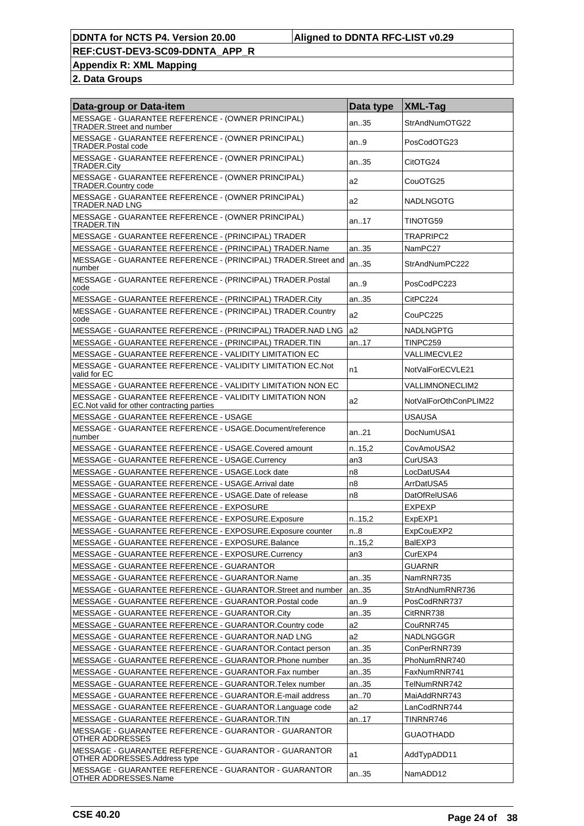**Appendix R: XML Mapping**

| Data-group or Data-item                                                                                | Data type | <b>XML-Tag</b>         |
|--------------------------------------------------------------------------------------------------------|-----------|------------------------|
| MESSAGE - GUARANTEE REFERENCE - (OWNER PRINCIPAL)<br>TRADER.Street and number                          | an35      | StrAndNumOTG22         |
| MESSAGE - GUARANTEE REFERENCE - (OWNER PRINCIPAL)<br><b>TRADER.Postal code</b>                         | an.9      | PosCodOTG23            |
| MESSAGE - GUARANTEE REFERENCE - (OWNER PRINCIPAL)<br><b>TRADER.City</b>                                | an35      | CitOTG24               |
| MESSAGE - GUARANTEE REFERENCE - (OWNER PRINCIPAL)<br><b>TRADER.Country code</b>                        | a2        | CouOTG25               |
| MESSAGE - GUARANTEE REFERENCE - (OWNER PRINCIPAL)<br>TRADER.NAD LNG                                    | a2        | <b>NADLNGOTG</b>       |
| MESSAGE - GUARANTEE REFERENCE - (OWNER PRINCIPAL)<br>TRADER.TIN                                        | an17      | TINOTG59               |
| MESSAGE - GUARANTEE REFERENCE - (PRINCIPAL) TRADER                                                     |           | TRAPRIPC2              |
| MESSAGE - GUARANTEE REFERENCE - (PRINCIPAL) TRADER.Name                                                | an35      | NamPC27                |
| MESSAGE - GUARANTEE REFERENCE - (PRINCIPAL) TRADER. Street and<br>number                               | an35      | StrAndNumPC222         |
| MESSAGE - GUARANTEE REFERENCE - (PRINCIPAL) TRADER.Postal<br>code                                      | an9       | PosCodPC223            |
| MESSAGE - GUARANTEE REFERENCE - (PRINCIPAL) TRADER.City                                                | an35      | CitPC224               |
| MESSAGE - GUARANTEE REFERENCE - (PRINCIPAL) TRADER.Country<br>code                                     | a2        | CouPC225               |
| MESSAGE - GUARANTEE REFERENCE - (PRINCIPAL) TRADER.NAD LNG                                             | a2        | <b>NADLNGPTG</b>       |
| MESSAGE - GUARANTEE REFERENCE - (PRINCIPAL) TRADER.TIN                                                 | an17      | TINPC259               |
| MESSAGE - GUARANTEE REFERENCE - VALIDITY LIMITATION EC                                                 |           | <b>VALLIMECVLE2</b>    |
| MESSAGE - GUARANTEE REFERENCE - VALIDITY LIMITATION EC.Not<br>valid for EC                             | n1        | NotValForECVLE21       |
| MESSAGE - GUARANTEE REFERENCE - VALIDITY LIMITATION NON EC                                             |           | <b>VALLIMNONECLIM2</b> |
| MESSAGE - GUARANTEE REFERENCE - VALIDITY LIMITATION NON<br>EC. Not valid for other contracting parties | a2        | NotValForOthConPLIM22  |
| MESSAGE - GUARANTEE REFERENCE - USAGE                                                                  |           | <b>USAUSA</b>          |
| MESSAGE - GUARANTEE REFERENCE - USAGE.Document/reference<br>number                                     | an21      | DocNumUSA1             |
| MESSAGE - GUARANTEE REFERENCE - USAGE.Covered amount                                                   | n.15,2    | CovAmoUSA2             |
| MESSAGE - GUARANTEE REFERENCE - USAGE.Currency                                                         | an3       | CurUSA3                |
| MESSAGE - GUARANTEE REFERENCE - USAGE.Lock date                                                        | n8        | LocDatUSA4             |
| MESSAGE - GUARANTEE REFERENCE - USAGE.Arrival date                                                     | n8        | ArrDatUSA5             |
| MESSAGE - GUARANTEE REFERENCE - USAGE.Date of release                                                  | n8        | DatOfReIUSA6           |
| MESSAGE - GUARANTEE REFERENCE - EXPOSURE                                                               |           | <b>EXPEXP</b>          |
| MESSAGE - GUARANTEE REFERENCE - EXPOSURE.Exposure                                                      | n.15,2    | ExpEXP1                |
| MESSAGE - GUARANTEE REFERENCE - EXPOSURE.Exposure counter                                              | n.8       | ExpCouEXP2             |
| MESSAGE - GUARANTEE REFERENCE - EXPOSURE.Balance                                                       | n.15,2    | BalEXP3                |
| MESSAGE - GUARANTEE REFERENCE - EXPOSURE.Currency                                                      | an3       | CurEXP4                |
| MESSAGE - GUARANTEE REFERENCE - GUARANTOR                                                              |           | <b>GUARNR</b>          |
| MESSAGE - GUARANTEE REFERENCE - GUARANTOR.Name                                                         | an35      | NamRNR735              |
| MESSAGE - GUARANTEE REFERENCE - GUARANTOR.Street and number                                            | an35      | StrAndNumRNR736        |
| MESSAGE - GUARANTEE REFERENCE - GUARANTOR. Postal code                                                 | an9       | PosCodRNR737           |
| MESSAGE - GUARANTEE REFERENCE - GUARANTOR.City                                                         | an35      | CitRNR738              |
| MESSAGE - GUARANTEE REFERENCE - GUARANTOR.Country code                                                 | a2        | CouRNR745              |
| MESSAGE - GUARANTEE REFERENCE - GUARANTOR.NAD LNG                                                      | a2        | NADLNGGGR              |
| MESSAGE - GUARANTEE REFERENCE - GUARANTOR.Contact person                                               | an35      | ConPerRNR739           |
| MESSAGE - GUARANTEE REFERENCE - GUARANTOR.Phone number                                                 | an35      | PhoNumRNR740           |
| MESSAGE - GUARANTEE REFERENCE - GUARANTOR.Fax number                                                   | an35      | FaxNumRNR741           |
| MESSAGE - GUARANTEE REFERENCE - GUARANTOR. Telex number                                                | an35      | TelNumRNR742           |
| MESSAGE - GUARANTEE REFERENCE - GUARANTOR.E-mail address                                               | an70      | MaiAddRNR743           |
| MESSAGE - GUARANTEE REFERENCE - GUARANTOR.Language code                                                | a2        | LanCodRNR744           |
| MESSAGE - GUARANTEE REFERENCE - GUARANTOR.TIN                                                          | an17      | TINRNR746              |
| MESSAGE - GUARANTEE REFERENCE - GUARANTOR - GUARANTOR<br>OTHER ADDRESSES                               |           | <b>GUAOTHADD</b>       |
| MESSAGE - GUARANTEE REFERENCE - GUARANTOR - GUARANTOR<br>OTHER ADDRESSES.Address type                  | a1        | AddTypADD11            |
| MESSAGE - GUARANTEE REFERENCE - GUARANTOR - GUARANTOR<br>OTHER ADDRESSES.Name                          | an35      | NamADD12               |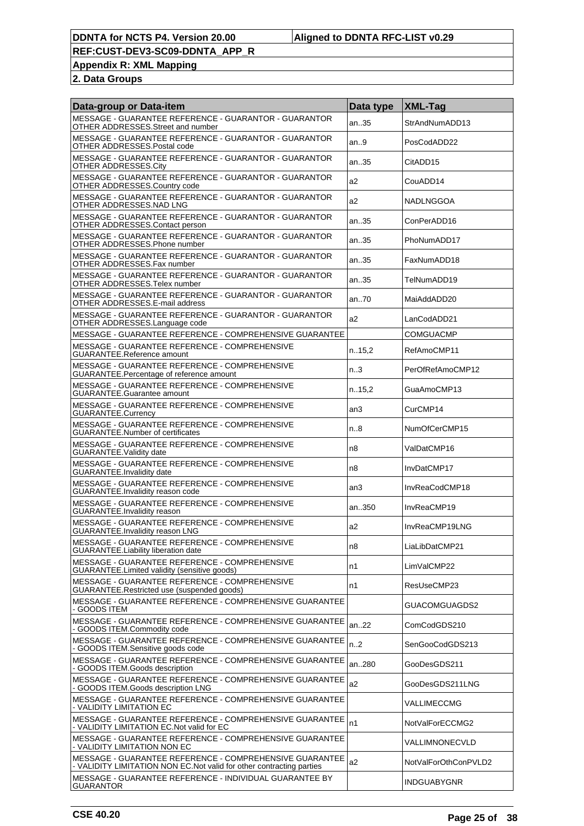**Appendix R: XML Mapping**

| Data-group or Data-item                                                                                                          | Data type        | XML-Tag              |
|----------------------------------------------------------------------------------------------------------------------------------|------------------|----------------------|
| MESSAGE - GUARANTEE REFERENCE - GUARANTOR - GUARANTOR<br>OTHER ADDRESSES.Street and number                                       | an35             | StrAndNumADD13       |
| MESSAGE - GUARANTEE REFERENCE - GUARANTOR - GUARANTOR<br>OTHER ADDRESSES.Postal code                                             | an9              | PosCodADD22          |
| MESSAGE - GUARANTEE REFERENCE - GUARANTOR - GUARANTOR<br>OTHER ADDRESSES.City                                                    | an35             | CitADD15             |
| MESSAGE - GUARANTEE REFERENCE - GUARANTOR - GUARANTOR<br>OTHER ADDRESSES.Country code                                            | a2               | CouADD14             |
| MESSAGE - GUARANTEE REFERENCE - GUARANTOR - GUARANTOR<br>OTHER ADDRESSES.NAD LNG                                                 | a2               | NADLNGGOA            |
| MESSAGE - GUARANTEE REFERENCE - GUARANTOR - GUARANTOR<br>OTHER ADDRESSES.Contact person                                          | an35             | ConPerADD16          |
| MESSAGE - GUARANTEE REFERENCE - GUARANTOR - GUARANTOR<br>OTHER ADDRESSES.Phone number                                            | an35             | PhoNumADD17          |
| MESSAGE - GUARANTEE REFERENCE - GUARANTOR - GUARANTOR<br>OTHER ADDRESSES.Fax number                                              | an35             | FaxNumADD18          |
| MESSAGE - GUARANTEE REFERENCE - GUARANTOR - GUARANTOR<br>OTHER ADDRESSES.Telex number                                            | an35             | TelNumADD19          |
| MESSAGE - GUARANTEE REFERENCE - GUARANTOR - GUARANTOR<br>OTHER ADDRESSES.E-mail address                                          | an70             | MaiAddADD20          |
| MESSAGE - GUARANTEE REFERENCE - GUARANTOR - GUARANTOR<br>OTHER ADDRESSES.Language code                                           | a2               | LanCodADD21          |
| MESSAGE - GUARANTEE REFERENCE - COMPREHENSIVE GUARANTEE                                                                          |                  | COMGUACMP            |
| MESSAGE - GUARANTEE REFERENCE - COMPREHENSIVE<br><b>GUARANTEE.Reference amount</b>                                               | n.15,2           | RefAmoCMP11          |
| MESSAGE - GUARANTEE REFERENCE - COMPREHENSIVE<br>GUARANTEE. Percentage of reference amount                                       | n <sub>0</sub> 3 | PerOfRefAmoCMP12     |
| MESSAGE - GUARANTEE REFERENCE - COMPREHENSIVE<br><b>GUARANTEE.Guarantee amount</b>                                               | n.15,2           | GuaAmoCMP13          |
| MESSAGE - GUARANTEE REFERENCE - COMPREHENSIVE<br>GUARANTEE.Currency                                                              | an3              | CurCMP14             |
| MESSAGE - GUARANTEE REFERENCE - COMPREHENSIVE<br><b>GUARANTEE.Number of certificates</b>                                         | n.8              | NumOfCerCMP15        |
| MESSAGE - GUARANTEE REFERENCE - COMPREHENSIVE<br><b>GUARANTEE. Validity date</b>                                                 | n8               | ValDatCMP16          |
| MESSAGE - GUARANTEE REFERENCE - COMPREHENSIVE<br><b>GUARANTEE.Invalidity date</b>                                                | n8               | InvDatCMP17          |
| MESSAGE - GUARANTEE REFERENCE - COMPREHENSIVE<br>GUARANTEE. Invalidity reason code                                               | an3              | InvReaCodCMP18       |
| MESSAGE - GUARANTEE REFERENCE - COMPREHENSIVE<br><b>GUARANTEE.Invalidity reason</b>                                              | an350            | InvReaCMP19          |
| MESSAGE - GUARANTEE REFERENCE - COMPREHENSIVE<br><b>GUARANTEE.Invalidity reason LNG</b>                                          | a2               | InvReaCMP19LNG       |
| MESSAGE - GUARANTEE REFERENCE - COMPREHENSIVE<br><b>GUARANTEE.Liability liberation date</b>                                      | n8               | LiaLibDatCMP21       |
| MESSAGE - GUARANTEE REFERENCE - COMPREHENSIVE<br>GUARANTEE.Limited validity (sensitive goods)                                    | n1               | LimValCMP22          |
| MESSAGE - GUARANTEE REFERENCE - COMPREHENSIVE<br>GUARANTEE.Restricted use (suspended goods)                                      | n1               | ResUseCMP23          |
| MESSAGE - GUARANTEE REFERENCE - COMPREHENSIVE GUARANTEE<br>- GOODS ITEM                                                          |                  | GUACOMGUAGDS2        |
| MESSAGE - GUARANTEE REFERENCE - COMPREHENSIVE GUARANTEE<br>- GOODS ITEM.Commodity code                                           | an.22            | ComCodGDS210         |
| MESSAGE - GUARANTEE REFERENCE - COMPREHENSIVE GUARANTEE<br>- GOODS ITEM.Sensitive goods code                                     | n.2              | SenGooCodGDS213      |
| MESSAGE - GUARANTEE REFERENCE - COMPREHENSIVE GUARANTEE<br>- GOODS ITEM.Goods description                                        | an280            | GooDesGDS211         |
| MESSAGE - GUARANTEE REFERENCE - COMPREHENSIVE GUARANTEE<br>- GOODS ITEM.Goods description LNG                                    | a2               | GooDesGDS211LNG      |
| MESSAGE - GUARANTEE REFERENCE - COMPREHENSIVE GUARANTEE<br>- VALIDITY LIMITATION EC                                              |                  | VALLIMECCMG          |
| MESSAGE - GUARANTEE REFERENCE - COMPREHENSIVE GUARANTEE<br>- VALIDITY LIMITATION EC. Not valid for EC                            | n1               | NotValForECCMG2      |
| MESSAGE - GUARANTEE REFERENCE - COMPREHENSIVE GUARANTEE<br>- VALIDITY LIMITATION NON EC                                          |                  | VALLIMNONECVLD       |
| MESSAGE - GUARANTEE REFERENCE - COMPREHENSIVE GUARANTEE<br>- VALIDITY LIMITATION NON EC. Not valid for other contracting parties | a2               | NotValForOthConPVLD2 |
| MESSAGE - GUARANTEE REFERENCE - INDIVIDUAL GUARANTEE BY<br><b>GUARANTOR</b>                                                      |                  | <b>INDGUABYGNR</b>   |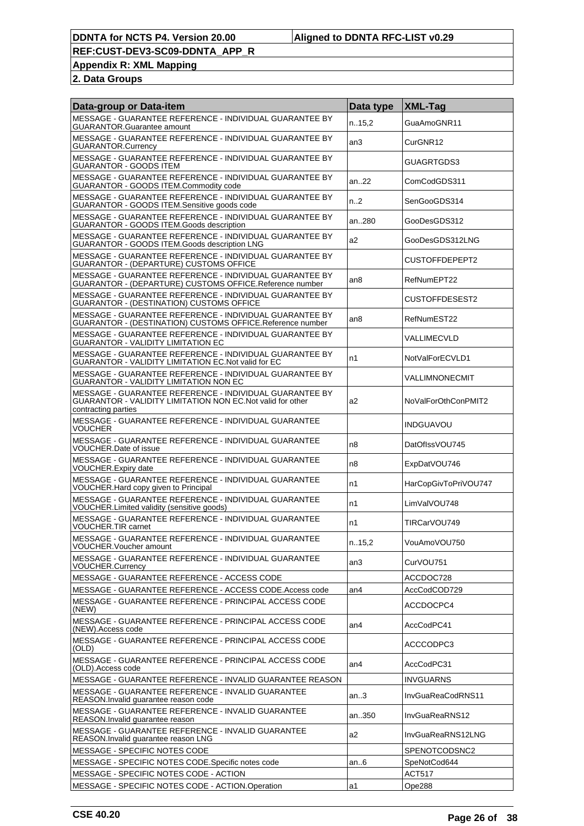**Appendix R: XML Mapping**

| Data-group or Data-item                                                                                                                       | Data type        | <b>XML-Tag</b>       |
|-----------------------------------------------------------------------------------------------------------------------------------------------|------------------|----------------------|
| MESSAGE - GUARANTEE REFERENCE - INDIVIDUAL GUARANTEE BY<br><b>GUARANTOR.Guarantee amount</b>                                                  | n.15,2           | GuaAmoGNR11          |
| MESSAGE - GUARANTEE REFERENCE - INDIVIDUAL GUARANTEE BY<br><b>GUARANTOR.Currency</b>                                                          | an3              | CurGNR12             |
| MESSAGE - GUARANTEE REFERENCE - INDIVIDUAL GUARANTEE BY<br><b>GUARANTOR - GOODS ITEM</b>                                                      |                  | GUAGRTGDS3           |
| MESSAGE - GUARANTEE REFERENCE - INDIVIDUAL GUARANTEE BY<br>GUARANTOR - GOODS ITEM.Commodity code                                              | an22             | ComCodGDS311         |
| MESSAGE - GUARANTEE REFERENCE - INDIVIDUAL GUARANTEE BY<br>GUARANTOR - GOODS ITEM.Sensitive goods code                                        | n <sub>1</sub> 2 | SenGooGDS314         |
| MESSAGE - GUARANTEE REFERENCE - INDIVIDUAL GUARANTEE BY<br>GUARANTOR - GOODS ITEM.Goods description                                           | an280            | GooDesGDS312         |
| MESSAGE - GUARANTEE REFERENCE - INDIVIDUAL GUARANTEE BY<br>GUARANTOR - GOODS ITEM.Goods description LNG                                       | a2               | GooDesGDS312LNG      |
| MESSAGE - GUARANTEE REFERENCE - INDIVIDUAL GUARANTEE BY<br><b>GUARANTOR - (DEPARTURE) CUSTOMS OFFICE</b>                                      |                  | CUSTOFFDEPEPT2       |
| MESSAGE - GUARANTEE REFERENCE - INDIVIDUAL GUARANTEE BY<br>GUARANTOR - (DEPARTURE) CUSTOMS OFFICE.Reference number                            | an <sub>8</sub>  | RefNumEPT22          |
| MESSAGE - GUARANTEE REFERENCE - INDIVIDUAL GUARANTEE BY<br><b>GUARANTOR - (DESTINATION) CUSTOMS OFFICE</b>                                    |                  | CUSTOFFDESEST2       |
| MESSAGE - GUARANTEE REFERENCE - INDIVIDUAL GUARANTEE BY<br>GUARANTOR - (DESTINATION) CUSTOMS OFFICE.Reference number                          | an8              | RefNumEST22          |
| MESSAGE - GUARANTEE REFERENCE - INDIVIDUAL GUARANTEE BY<br><b>GUARANTOR - VALIDITY LIMITATION EC</b>                                          |                  | VALLIMECVLD          |
| MESSAGE - GUARANTEE REFERENCE - INDIVIDUAL GUARANTEE BY<br><b>GUARANTOR - VALIDITY LIMITATION EC. Not valid for EC</b>                        | n1               | NotValForECVLD1      |
| MESSAGE - GUARANTEE REFERENCE - INDIVIDUAL GUARANTEE BY<br><b>GUARANTOR - VALIDITY LIMITATION NON EC</b>                                      |                  | VALLIMNONECMIT       |
| MESSAGE - GUARANTEE REFERENCE - INDIVIDUAL GUARANTEE BY<br>GUARANTOR - VALIDITY LIMITATION NON EC. Not valid for other<br>contracting parties | a2               | NoValForOthConPMIT2  |
| MESSAGE - GUARANTEE REFERENCE - INDIVIDUAL GUARANTEE<br><b>VOUCHER</b>                                                                        |                  | <b>INDGUAVOU</b>     |
| MESSAGE - GUARANTEE REFERENCE - INDIVIDUAL GUARANTEE<br>VOUCHER.Date of issue                                                                 | n8               | DatOfIssVOU745       |
| MESSAGE - GUARANTEE REFERENCE - INDIVIDUAL GUARANTEE<br>VOUCHER. Expiry date                                                                  | n <sub>8</sub>   | ExpDatVOU746         |
| MESSAGE - GUARANTEE REFERENCE - INDIVIDUAL GUARANTEE<br>VOUCHER.Hard copy given to Principal                                                  | n1               | HarCopGivToPriVOU747 |
| MESSAGE - GUARANTEE REFERENCE - INDIVIDUAL GUARANTEE<br>VOUCHER.Limited validity (sensitive goods)                                            | n1               | LimValVOU748         |
| MESSAGE - GUARANTEE REFERENCE - INDIVIDUAL GUARANTEE<br><b>VOUCHER.TIR carnet</b>                                                             | n1               | TIRCarVOU749         |
| MESSAGE - GUARANTEE REFERENCE - INDIVIDUAL GUARANTEE<br>VOUCHER. Voucher amount                                                               | n.15,2           | VouAmoVOU750         |
| MESSAGE - GUARANTEE REFERENCE - INDIVIDUAL GUARANTEE<br><b>VOUCHER.Currency</b>                                                               | an <sub>3</sub>  | CurVOU751            |
| MESSAGE - GUARANTEE REFERENCE - ACCESS CODE                                                                                                   |                  | ACCDOC728            |
| MESSAGE - GUARANTEE REFERENCE - ACCESS CODE.Access code                                                                                       | an4              | AccCodCOD729         |
| MESSAGE - GUARANTEE REFERENCE - PRINCIPAL ACCESS CODE<br>(NEW)                                                                                |                  | ACCDOCPC4            |
| MESSAGE - GUARANTEE REFERENCE - PRINCIPAL ACCESS CODE<br>(NEW). Access code                                                                   | an4              | AccCodPC41           |
| MESSAGE - GUARANTEE REFERENCE - PRINCIPAL ACCESS CODE<br>(OLD)                                                                                |                  | ACCCODPC3            |
| MESSAGE - GUARANTEE REFERENCE - PRINCIPAL ACCESS CODE<br>(OLD). Access code                                                                   | an <sub>4</sub>  | AccCodPC31           |
| MESSAGE - GUARANTEE REFERENCE - INVALID GUARANTEE REASON                                                                                      |                  | INVGUARNS            |
| MESSAGE - GUARANTEE REFERENCE - INVALID GUARANTEE<br>REASON. Invalid guarantee reason code                                                    | an.3             | InvGuaReaCodRNS11    |
| MESSAGE - GUARANTEE REFERENCE - INVALID GUARANTEE<br>REASON.Invalid guarantee reason                                                          | an350            | InvGuaReaRNS12       |
| MESSAGE - GUARANTEE REFERENCE - INVALID GUARANTEE<br>REASON. Invalid guarantee reason LNG                                                     | a2               | InvGuaReaRNS12LNG    |
| MESSAGE - SPECIFIC NOTES CODE                                                                                                                 |                  | SPENOTCODSNC2        |
| MESSAGE - SPECIFIC NOTES CODE.Specific notes code                                                                                             | an6              | SpeNotCod644         |
| MESSAGE - SPECIFIC NOTES CODE - ACTION                                                                                                        |                  | ACT517               |
| MESSAGE - SPECIFIC NOTES CODE - ACTION.Operation                                                                                              | a1               | Ope288               |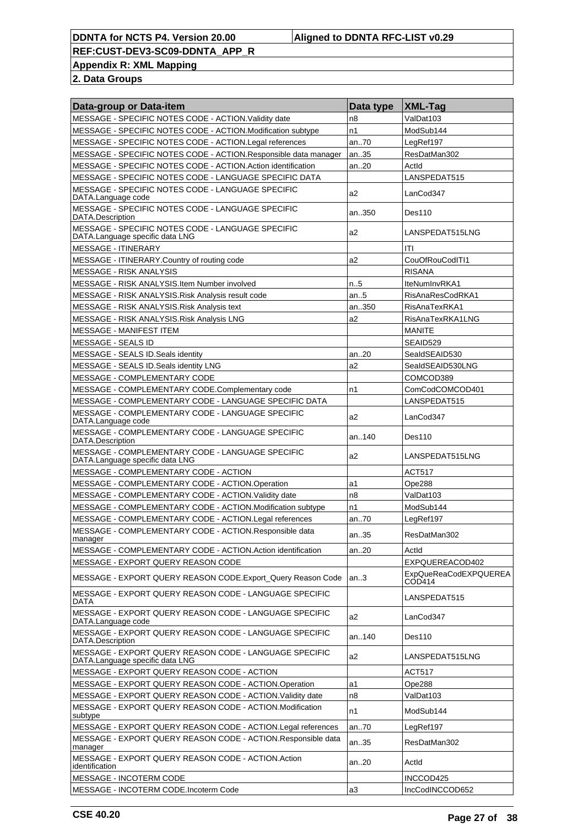**Appendix R: XML Mapping**

| Data-group or Data-item                                                                   | Data type | <b>XML-Tag</b>                         |
|-------------------------------------------------------------------------------------------|-----------|----------------------------------------|
| MESSAGE - SPECIFIC NOTES CODE - ACTION. Validity date                                     | n8        | ValDat103                              |
| MESSAGE - SPECIFIC NOTES CODE - ACTION.Modification subtype                               | n1        | ModSub144                              |
| MESSAGE - SPECIFIC NOTES CODE - ACTION. Legal references                                  | an70      | LegRef197                              |
| MESSAGE - SPECIFIC NOTES CODE - ACTION. Responsible data manager                          | an35      | ResDatMan302                           |
| MESSAGE - SPECIFIC NOTES CODE - ACTION.Action identification                              | an20      | Actid                                  |
| MESSAGE - SPECIFIC NOTES CODE - LANGUAGE SPECIFIC DATA                                    |           | LANSPEDAT515                           |
| MESSAGE - SPECIFIC NOTES CODE - LANGUAGE SPECIFIC<br>DATA.Language code                   | a2        | LanCod347                              |
| MESSAGE - SPECIFIC NOTES CODE - LANGUAGE SPECIFIC<br>DATA.Description                     | an350     | Des110                                 |
| MESSAGE - SPECIFIC NOTES CODE - LANGUAGE SPECIFIC<br>DATA.Language specific data LNG      | a2        | LANSPEDAT515LNG                        |
| <b>MESSAGE - ITINERARY</b>                                                                |           | ITI                                    |
| MESSAGE - ITINERARY.Country of routing code                                               | a2        | CouOfRouCodITI1                        |
| MESSAGE - RISK ANALYSIS                                                                   |           | <b>RISANA</b>                          |
| MESSAGE - RISK ANALYSIS.Item Number involved                                              | n.5       | IteNumInvRKA1                          |
| MESSAGE - RISK ANALYSIS. Risk Analysis result code                                        | an5       | RisAnaResCodRKA1                       |
| MESSAGE - RISK ANALYSIS. Risk Analysis text                                               | an350     | RisAnaTexRKA1                          |
| MESSAGE - RISK ANALYSIS.Risk Analysis LNG                                                 | a2        | RisAnaTexRKA1LNG                       |
| <b>MESSAGE - MANIFEST ITEM</b>                                                            |           | <b>MANITE</b>                          |
| MESSAGE - SEALS ID                                                                        |           | SEAID529                               |
| MESSAGE - SEALS ID. Seals identity                                                        | an20      | SealdSEAID530                          |
| MESSAGE - SEALS ID.Seals identity LNG                                                     | a2        | SealdSEAID530LNG                       |
| MESSAGE - COMPLEMENTARY CODE                                                              |           | COMCOD389                              |
| MESSAGE - COMPLEMENTARY CODE.Complementary code                                           | n1        | ComCodCOMCOD401                        |
| MESSAGE - COMPLEMENTARY CODE - LANGUAGE SPECIFIC DATA                                     |           | LANSPEDAT515                           |
| MESSAGE - COMPLEMENTARY CODE - LANGUAGE SPECIFIC<br>DATA.Language code                    | a2        | LanCod347                              |
| MESSAGE - COMPLEMENTARY CODE - LANGUAGE SPECIFIC<br>DATA.Description                      | an140     | Des110                                 |
| MESSAGE - COMPLEMENTARY CODE - LANGUAGE SPECIFIC<br>DATA.Language specific data LNG       | a2        | LANSPEDAT515LNG                        |
| MESSAGE - COMPLEMENTARY CODE - ACTION                                                     |           | <b>ACT517</b>                          |
| MESSAGE - COMPLEMENTARY CODE - ACTION.Operation                                           | a1        | Ope288                                 |
| MESSAGE - COMPLEMENTARY CODE - ACTION. Validity date                                      | n8        | ValDat103                              |
| MESSAGE - COMPLEMENTARY CODE - ACTION.Modification subtype                                | n1        | ModSub144                              |
| MESSAGE - COMPLEMENTARY CODE - ACTION.Legal references                                    | an70      | LegRef197                              |
| MESSAGE - COMPLEMENTARY CODE - ACTION.Responsible data<br>manager                         | an35      | ResDatMan302                           |
| MESSAGE - COMPLEMENTARY CODE - ACTION.Action identification                               | an20      | Actid                                  |
| MESSAGE - EXPORT QUERY REASON CODE                                                        |           | EXPQUEREACOD402                        |
| MESSAGE - EXPORT QUERY REASON CODE.Export_Query Reason Code                               | an.3      | <b>ExpQueReaCodEXPQUEREA</b><br>COD414 |
| MESSAGE - EXPORT QUERY REASON CODE - LANGUAGE SPECIFIC<br>DATA                            |           | LANSPEDAT515                           |
| MESSAGE - EXPORT QUERY REASON CODE - LANGUAGE SPECIFIC<br>DATA.Language code              | a2        | LanCod347                              |
| MESSAGE - EXPORT QUERY REASON CODE - LANGUAGE SPECIFIC<br>DATA.Description                | an140     | Des110                                 |
| MESSAGE - EXPORT QUERY REASON CODE - LANGUAGE SPECIFIC<br>DATA.Language specific data LNG | a2        | LANSPEDAT515LNG                        |
| MESSAGE - EXPORT QUERY REASON CODE - ACTION                                               |           | ACT517                                 |
| MESSAGE - EXPORT QUERY REASON CODE - ACTION.Operation                                     | a1        | Ope288                                 |
| MESSAGE - EXPORT QUERY REASON CODE - ACTION. Validity date                                | n8        | ValDat103                              |
| MESSAGE - EXPORT QUERY REASON CODE - ACTION.Modification<br>subtype                       | n1        | ModSub144                              |
| MESSAGE - EXPORT QUERY REASON CODE - ACTION.Legal references                              | an70      | LegRef197                              |
| MESSAGE - EXPORT QUERY REASON CODE - ACTION.Responsible data<br>manager                   | an35      | ResDatMan302                           |
| MESSAGE - EXPORT QUERY REASON CODE - ACTION.Action<br>identification                      | an20      | Actid                                  |
| <b>MESSAGE - INCOTERM CODE</b>                                                            |           | INCCOD425                              |
| MESSAGE - INCOTERM CODE.Incoterm Code                                                     | a3        | IncCodINCCOD652                        |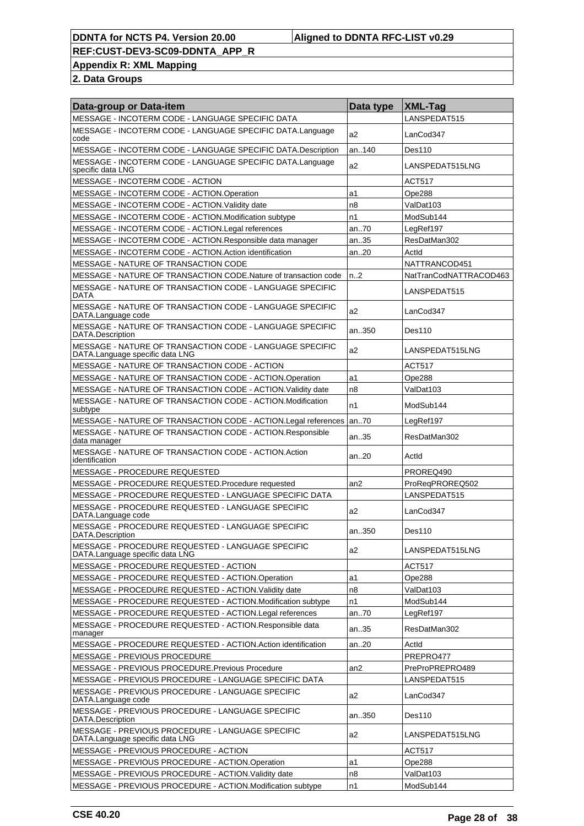**Appendix R: XML Mapping**

| Data-group or Data-item                                                                     | Data type | XML-Tag                |
|---------------------------------------------------------------------------------------------|-----------|------------------------|
| MESSAGE - INCOTERM CODE - LANGUAGE SPECIFIC DATA                                            |           | LANSPEDAT515           |
| MESSAGE - INCOTERM CODE - LANGUAGE SPECIFIC DATA.Language<br>code                           | a2        | LanCod347              |
| MESSAGE - INCOTERM CODE - LANGUAGE SPECIFIC DATA.Description                                | an140     | Des110                 |
| MESSAGE - INCOTERM CODE - LANGUAGE SPECIFIC DATA.Language<br>specific data LNG              | a2        | LANSPEDAT515LNG        |
| MESSAGE - INCOTERM CODE - ACTION                                                            |           | ACT517                 |
| MESSAGE - INCOTERM CODE - ACTION.Operation                                                  | a1        | Ope288                 |
| MESSAGE - INCOTERM CODE - ACTION. Validity date                                             | n8        | ValDat103              |
| MESSAGE - INCOTERM CODE - ACTION.Modification subtype                                       | n1        | ModSub144              |
| MESSAGE - INCOTERM CODE - ACTION.Legal references                                           | an70      | LegRef197              |
| MESSAGE - INCOTERM CODE - ACTION.Responsible data manager                                   | an35      | ResDatMan302           |
| MESSAGE - INCOTERM CODE - ACTION.Action identification                                      | an20      | Actld                  |
| MESSAGE - NATURE OF TRANSACTION CODE                                                        |           | NATTRANCOD451          |
| MESSAGE - NATURE OF TRANSACTION CODE. Nature of transaction code                            | n2        | NatTranCodNATTRACOD463 |
| MESSAGE - NATURE OF TRANSACTION CODE - LANGUAGE SPECIFIC<br>DATA                            |           | LANSPEDAT515           |
| MESSAGE - NATURE OF TRANSACTION CODE - LANGUAGE SPECIFIC<br>DATA.Language code              | a2        | LanCod347              |
| MESSAGE - NATURE OF TRANSACTION CODE - LANGUAGE SPECIFIC<br>DATA.Description                | an350     | Des110                 |
| MESSAGE - NATURE OF TRANSACTION CODE - LANGUAGE SPECIFIC<br>DATA.Language specific data LNG | a2        | LANSPEDAT515LNG        |
| MESSAGE - NATURE OF TRANSACTION CODE - ACTION                                               |           | <b>ACT517</b>          |
| MESSAGE - NATURE OF TRANSACTION CODE - ACTION. Operation                                    | a1        | Ope288                 |
| MESSAGE - NATURE OF TRANSACTION CODE - ACTION. Validity date                                | n8        | ValDat103              |
| MESSAGE - NATURE OF TRANSACTION CODE - ACTION.Modification<br>subtype                       | n1        | ModSub144              |
| MESSAGE - NATURE OF TRANSACTION CODE - ACTION. Legal references                             | an70      | LegRef197              |
| MESSAGE - NATURE OF TRANSACTION CODE - ACTION.Responsible<br>data manager                   | an35      | ResDatMan302           |
| MESSAGE - NATURE OF TRANSACTION CODE - ACTION.Action<br>identification                      | an20      | Actid                  |
| MESSAGE - PROCEDURE REQUESTED                                                               |           | PROREQ490              |
| MESSAGE - PROCEDURE REQUESTED.Procedure requested                                           | an2       | ProRegPROREQ502        |
| MESSAGE - PROCEDURE REQUESTED - LANGUAGE SPECIFIC DATA                                      |           | LANSPEDAT515           |
| MESSAGE - PROCEDURE REQUESTED - LANGUAGE SPECIFIC<br>DATA.Language code                     | a2        | LanCod347              |
| MESSAGE - PROCEDURE REQUESTED - LANGUAGE SPECIFIC<br>DATA.Description                       | an350     | Des110                 |
| MESSAGE - PROCEDURE REQUESTED - LANGUAGE SPECIFIC<br>DATA.Language specific data LNG        | a2        | LANSPEDAT515LNG        |
| MESSAGE - PROCEDURE REQUESTED - ACTION                                                      |           | <b>ACT517</b>          |
| MESSAGE - PROCEDURE REQUESTED - ACTION.Operation                                            | a1        | Ope288                 |
| MESSAGE - PROCEDURE REQUESTED - ACTION. Validity date                                       | n8        | ValDat103              |
| MESSAGE - PROCEDURE REQUESTED - ACTION.Modification subtype                                 | n1        | ModSub144              |
| MESSAGE - PROCEDURE REQUESTED - ACTION.Legal references                                     | an70      | LegRef197              |
| MESSAGE - PROCEDURE REQUESTED - ACTION.Responsible data<br>manager                          | an35      | ResDatMan302           |
| MESSAGE - PROCEDURE REQUESTED - ACTION.Action identification                                | an20      | Actid                  |
| MESSAGE - PREVIOUS PROCEDURE                                                                |           | PREPRO477              |
| MESSAGE - PREVIOUS PROCEDURE. Previous Procedure                                            | an2       | PreProPREPRO489        |
| MESSAGE - PREVIOUS PROCEDURE - LANGUAGE SPECIFIC DATA                                       |           | LANSPEDAT515           |
| MESSAGE - PREVIOUS PROCEDURE - LANGUAGE SPECIFIC<br>DATA.Language code                      | a2        | LanCod347              |
| MESSAGE - PREVIOUS PROCEDURE - LANGUAGE SPECIFIC<br>DATA.Description                        | an350     | Des110                 |
| MESSAGE - PREVIOUS PROCEDURE - LANGUAGE SPECIFIC<br>DATA.Language specific data LNG         | a2        | LANSPEDAT515LNG        |
| MESSAGE - PREVIOUS PROCEDURE - ACTION                                                       |           | ACT517                 |
| MESSAGE - PREVIOUS PROCEDURE - ACTION.Operation                                             | a1        | Ope288                 |
| MESSAGE - PREVIOUS PROCEDURE - ACTION.Validity date                                         | n8        | ValDat103              |
| MESSAGE - PREVIOUS PROCEDURE - ACTION.Modification subtype                                  | n1        | ModSub144              |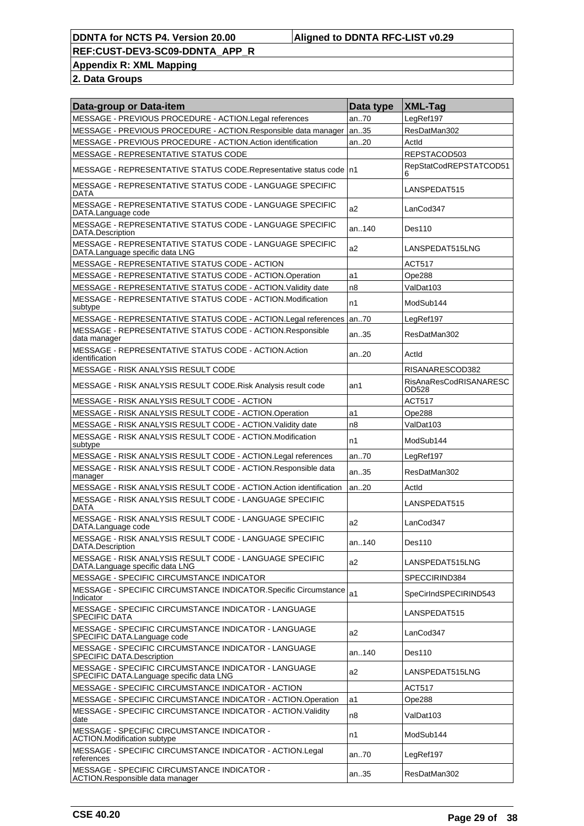#### **DDNTA for NCTS P4. Version 20.00 Aligned to DDNTA RFC-LIST v0.29**

**REF:CUST-DEV3-SC09-DDNTA\_APP\_R**

**Appendix R: XML Mapping**

| Data-group or Data-item                                                                          | Data type      | <b>XML-Tag</b>                  |
|--------------------------------------------------------------------------------------------------|----------------|---------------------------------|
| MESSAGE - PREVIOUS PROCEDURE - ACTION.Legal references                                           | an70           | LegRef197                       |
| MESSAGE - PREVIOUS PROCEDURE - ACTION.Responsible data manager                                   | an35           | ResDatMan302                    |
| MESSAGE - PREVIOUS PROCEDURE - ACTION.Action identification                                      | an20           | ActId                           |
| MESSAGE - REPRESENTATIVE STATUS CODE                                                             |                | REPSTACOD503                    |
| MESSAGE - REPRESENTATIVE STATUS CODE.Representative status code   n1                             |                | RepStatCodREPSTATCOD51<br>6     |
| MESSAGE - REPRESENTATIVE STATUS CODE - LANGUAGE SPECIFIC<br><b>DATA</b>                          |                | LANSPEDAT515                    |
| MESSAGE - REPRESENTATIVE STATUS CODE - LANGUAGE SPECIFIC<br>DATA.Language code                   | a2             | LanCod347                       |
| MESSAGE - REPRESENTATIVE STATUS CODE - LANGUAGE SPECIFIC<br>DATA.Description                     | an.140         | Des110                          |
| MESSAGE - REPRESENTATIVE STATUS CODE - LANGUAGE SPECIFIC<br>DATA.Language specific data LNG      | a <sub>2</sub> | LANSPEDAT515LNG                 |
| MESSAGE - REPRESENTATIVE STATUS CODE - ACTION                                                    |                | ACT517                          |
| MESSAGE - REPRESENTATIVE STATUS CODE - ACTION.Operation                                          | a1             | Ope288                          |
| MESSAGE - REPRESENTATIVE STATUS CODE - ACTION. Validity date                                     | n <sub>8</sub> | ValDat103                       |
| MESSAGE - REPRESENTATIVE STATUS CODE - ACTION.Modification<br>subtype                            | n1             | ModSub144                       |
| MESSAGE - REPRESENTATIVE STATUS CODE - ACTION.Legal references                                   | an70           | LegRef197                       |
| MESSAGE - REPRESENTATIVE STATUS CODE - ACTION.Responsible<br>data manager                        | an35           | ResDatMan302                    |
| MESSAGE - REPRESENTATIVE STATUS CODE - ACTION.Action<br>identification                           | an.20          | Actid                           |
| MESSAGE - RISK ANALYSIS RESULT CODE                                                              |                | RISANARESCOD382                 |
| MESSAGE - RISK ANALYSIS RESULT CODE. Risk Analysis result code                                   | an1            | RisAnaResCodRISANARESC<br>OD528 |
| MESSAGE - RISK ANALYSIS RESULT CODE - ACTION                                                     |                | <b>ACT517</b>                   |
| MESSAGE - RISK ANALYSIS RESULT CODE - ACTION.Operation                                           | a1             | Ope288                          |
| MESSAGE - RISK ANALYSIS RESULT CODE - ACTION. Validity date                                      | n <sub>8</sub> | ValDat103                       |
| MESSAGE - RISK ANALYSIS RESULT CODE - ACTION.Modification<br>subtype                             | n1             | ModSub144                       |
| MESSAGE - RISK ANALYSIS RESULT CODE - ACTION.Legal references                                    | an70           | LegRef197                       |
| MESSAGE - RISK ANALYSIS RESULT CODE - ACTION. Responsible data<br>manager                        | an35           | ResDatMan302                    |
| MESSAGE - RISK ANALYSIS RESULT CODE - ACTION.Action identification                               | an20           | ActId                           |
| MESSAGE - RISK ANALYSIS RESULT CODE - LANGUAGE SPECIFIC                                          |                | LANSPEDAT515                    |
| DATA<br>MESSAGE - RISK ANALYSIS RESULT CODE - LANGUAGE SPECIFIC                                  | a2             | LanCod347                       |
| DATA.Language code<br>MESSAGE - RISK ANALYSIS RESULT CODE - LANGUAGE SPECIFIC                    | an140          | <b>Des110</b>                   |
| DATA Description<br>MESSAGE - RISK ANALYSIS RESULT CODE - LANGUAGE SPECIFIC                      | a2             | LANSPEDAT515LNG                 |
| DATA.Language specific data LNG                                                                  |                |                                 |
| MESSAGE - SPECIFIC CIRCUMSTANCE INDICATOR                                                        |                | SPECCIRIND384                   |
| MESSAGE - SPECIFIC CIRCUMSTANCE INDICATOR.Specific Circumstance<br>Indicator                     | a1             | SpeCirIndSPECIRIND543           |
| MESSAGE - SPECIFIC CIRCUMSTANCE INDICATOR - LANGUAGE<br><b>SPECIFIC DATA</b>                     |                | LANSPEDAT515                    |
| MESSAGE - SPECIFIC CIRCUMSTANCE INDICATOR - LANGUAGE<br>SPECIFIC DATA.Language code              | a <sub>2</sub> | LanCod347                       |
| MESSAGE - SPECIFIC CIRCUMSTANCE INDICATOR - LANGUAGE<br>SPECIFIC DATA.Description                | an140          | Des110                          |
| MESSAGE - SPECIFIC CIRCUMSTANCE INDICATOR - LANGUAGE<br>SPECIFIC DATA.Language specific data LNG | a <sub>2</sub> | LANSPEDAT515LNG                 |
| MESSAGE - SPECIFIC CIRCUMSTANCE INDICATOR - ACTION                                               |                | ACT517                          |
| MESSAGE - SPECIFIC CIRCUMSTANCE INDICATOR - ACTION.Operation                                     | a1             | Ope288                          |
| MESSAGE - SPECIFIC CIRCUMSTANCE INDICATOR - ACTION. Validity<br>date                             | n8             | ValDat103                       |
| MESSAGE - SPECIFIC CIRCUMSTANCE INDICATOR -<br><b>ACTION.Modification subtype</b>                | n1             | ModSub144                       |
| MESSAGE - SPECIFIC CIRCUMSTANCE INDICATOR - ACTION.Legal<br>references                           | an.70          | LegRef197                       |
| MESSAGE - SPECIFIC CIRCUMSTANCE INDICATOR -<br>ACTION.Responsible data manager                   | an35           | ResDatMan302                    |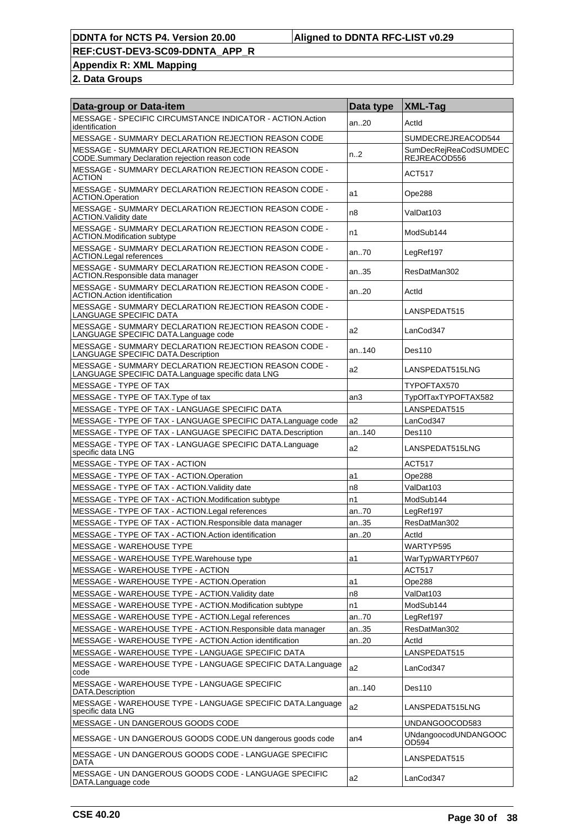**Appendix R: XML Mapping**

| Data-group or Data-item                                                                                    | Data type       | <b>XML-Tag</b>                        |
|------------------------------------------------------------------------------------------------------------|-----------------|---------------------------------------|
| MESSAGE - SPECIFIC CIRCUMSTANCE INDICATOR - ACTION.Action<br>identification                                | an20            | Actid                                 |
| MESSAGE - SUMMARY DECLARATION REJECTION REASON CODE                                                        |                 | SUMDECREJREACOD544                    |
| <b>MESSAGE - SUMMARY DECLARATION REJECTION REASON</b><br>CODE.Summary Declaration rejection reason code    | n2              | SumDecRejReaCodSUMDEC<br>REJREACÓD556 |
| MESSAGE - SUMMARY DECLARATION REJECTION REASON CODE -<br><b>ACTION</b>                                     |                 | <b>ACT517</b>                         |
| MESSAGE - SUMMARY DECLARATION REJECTION REASON CODE -<br><b>ACTION.Operation</b>                           | a1              | Ope288                                |
| MESSAGE - SUMMARY DECLARATION REJECTION REASON CODE -<br><b>ACTION. Validity date</b>                      | n8              | ValDat103                             |
| MESSAGE - SUMMARY DECLARATION REJECTION REASON CODE -<br><b>ACTION.Modification subtype</b>                | n1              | ModSub144                             |
| MESSAGE - SUMMARY DECLARATION REJECTION REASON CODE -<br><b>ACTION.Legal references</b>                    | an70            | LegRef197                             |
| MESSAGE - SUMMARY DECLARATION REJECTION REASON CODE -<br>ACTION.Responsible data manager                   | an35            | ResDatMan302                          |
| MESSAGE - SUMMARY DECLARATION REJECTION REASON CODE -<br><b>ACTION.Action identification</b>               | an.20           | Actid                                 |
| MESSAGE - SUMMARY DECLARATION REJECTION REASON CODE -<br>LANGUAGE SPECIFIC DATA                            |                 | LANSPEDAT515                          |
| MESSAGE - SUMMARY DECLARATION REJECTION REASON CODE -<br>LANGUAGE SPECIFIC DATA.Language code              | a2              | LanCod347                             |
| MESSAGE - SUMMARY DECLARATION REJECTION REASON CODE -<br>LANGUAGE SPECIFIC DATA.Description                | an140           | Des110                                |
| MESSAGE - SUMMARY DECLARATION REJECTION REASON CODE -<br>LANGUAGE SPECIFIC DATA.Language specific data LNG | a2              | LANSPEDAT515LNG                       |
| MESSAGE - TYPE OF TAX                                                                                      |                 | TYPOFTAX570                           |
| MESSAGE - TYPE OF TAX. Type of tax                                                                         | an3             | TypOfTaxTYPOFTAX582                   |
| MESSAGE - TYPE OF TAX - LANGUAGE SPECIFIC DATA                                                             |                 | LANSPEDAT515                          |
| MESSAGE - TYPE OF TAX - LANGUAGE SPECIFIC DATA.Language code                                               | a2              | LanCod347                             |
| MESSAGE - TYPE OF TAX - LANGUAGE SPECIFIC DATA.Description                                                 | an140           | Des110                                |
| MESSAGE - TYPE OF TAX - LANGUAGE SPECIFIC DATA.Language<br>specific data LNG                               | a2              | LANSPEDAT515LNG                       |
| MESSAGE - TYPE OF TAX - ACTION                                                                             |                 | <b>ACT517</b>                         |
| MESSAGE - TYPE OF TAX - ACTION.Operation                                                                   | a1              | Ope288                                |
| MESSAGE - TYPE OF TAX - ACTION. Validity date                                                              | n8              | ValDat103                             |
| MESSAGE - TYPE OF TAX - ACTION.Modification subtype                                                        | n1              | ModSub144                             |
| MESSAGE - TYPE OF TAX - ACTION. Legal references                                                           | an70            | LegRef197                             |
| MESSAGE - TYPE OF TAX - ACTION.Responsible data manager                                                    | an35            | ResDatMan302                          |
|                                                                                                            |                 |                                       |
| MESSAGE - TYPE OF TAX - ACTION.Action identification                                                       | an20            | Actid<br>WARTYP595                    |
| MESSAGE - WAREHOUSE TYPE                                                                                   |                 |                                       |
| MESSAGE - WAREHOUSE TYPE. Warehouse type                                                                   | a1              | WarTypWARTYP607                       |
| MESSAGE - WAREHOUSE TYPE - ACTION                                                                          |                 | <b>ACT517</b>                         |
| MESSAGE - WAREHOUSE TYPE - ACTION.Operation                                                                | a1              | Ope288                                |
| MESSAGE - WAREHOUSE TYPE - ACTION. Validity date                                                           | n8              | ValDat103                             |
| MESSAGE - WAREHOUSE TYPE - ACTION.Modification subtype                                                     | n1              | ModSub144                             |
| MESSAGE - WAREHOUSE TYPE - ACTION.Legal references                                                         | an70            | LegRef197                             |
| MESSAGE - WAREHOUSE TYPE - ACTION.Responsible data manager                                                 | an35            | ResDatMan302                          |
| MESSAGE - WAREHOUSE TYPE - ACTION.Action identification                                                    | an20            | Actid                                 |
| MESSAGE - WAREHOUSE TYPE - LANGUAGE SPECIFIC DATA                                                          |                 | LANSPEDAT515                          |
| MESSAGE - WAREHOUSE TYPE - LANGUAGE SPECIFIC DATA.Language<br>code                                         | a2              | LanCod347                             |
| MESSAGE - WAREHOUSE TYPE - LANGUAGE SPECIFIC<br>DATA.Description                                           | an140           | Des110                                |
| MESSAGE - WAREHOUSE TYPE - LANGUAGE SPECIFIC DATA.Language<br>specific data LNG                            | a2              | LANSPEDAT515LNG                       |
| MESSAGE - UN DANGEROUS GOODS CODE                                                                          |                 | UNDANGOOCOD583                        |
| MESSAGE - UN DANGEROUS GOODS CODE.UN dangerous goods code                                                  | an <sub>4</sub> | UNdangoocodUNDANGOOC<br>OD594         |
| MESSAGE - UN DANGEROUS GOODS CODE - LANGUAGE SPECIFIC<br>DATA                                              |                 | LANSPEDAT515                          |
| MESSAGE - UN DANGEROUS GOODS CODE - LANGUAGE SPECIFIC<br>DATA.Language code                                | a2              | LanCod347                             |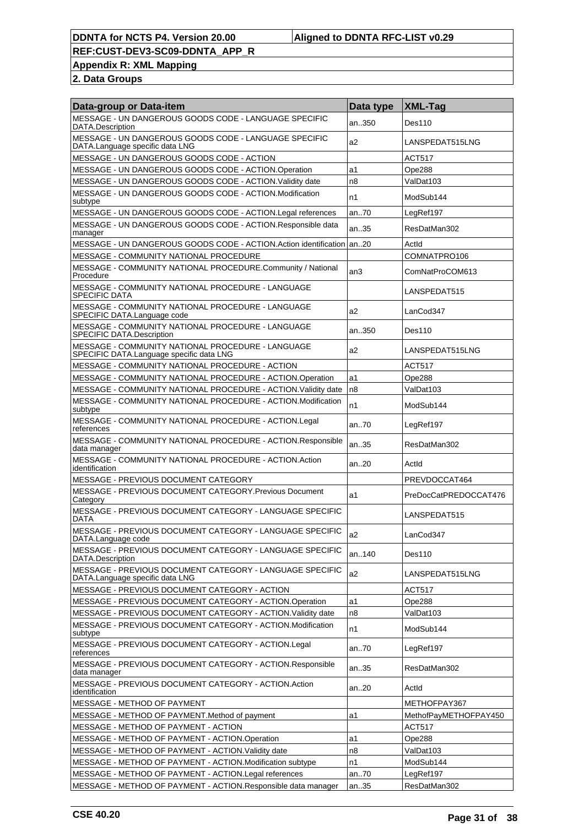**Appendix R: XML Mapping**

| Data-group or Data-item                                                                       | Data type | <b>XML-Tag</b>        |
|-----------------------------------------------------------------------------------------------|-----------|-----------------------|
| MESSAGE - UN DANGEROUS GOODS CODE - LANGUAGE SPECIFIC<br>DATA.Description                     | an350     | <b>Des110</b>         |
| MESSAGE - UN DANGEROUS GOODS CODE - LANGUAGE SPECIFIC<br>DATA.Language specific data LNG      | a2        | LANSPEDAT515LNG       |
| MESSAGE - UN DANGEROUS GOODS CODE - ACTION                                                    |           | ACT517                |
| MESSAGE - UN DANGEROUS GOODS CODE - ACTION.Operation                                          | a1        | Ope288                |
| MESSAGE - UN DANGEROUS GOODS CODE - ACTION. Validity date                                     | n8        | ValDat103             |
| MESSAGE - UN DANGEROUS GOODS CODE - ACTION.Modification<br>subtype                            | n1        | ModSub144             |
| MESSAGE - UN DANGEROUS GOODS CODE - ACTION.Legal references                                   | an70      | LegRef197             |
| MESSAGE - UN DANGEROUS GOODS CODE - ACTION.Responsible data<br>manager                        | an35      | ResDatMan302          |
| MESSAGE - UN DANGEROUS GOODS CODE - ACTION.Action identification an20                         |           | Actid                 |
| MESSAGE - COMMUNITY NATIONAL PROCEDURE                                                        |           | COMNATPRO106          |
| MESSAGE - COMMUNITY NATIONAL PROCEDURE.Community / National<br>Procedure                      | an3       | ComNatProCOM613       |
| MESSAGE - COMMUNITY NATIONAL PROCEDURE - LANGUAGE<br><b>SPECIFIC DATA</b>                     |           | LANSPEDAT515          |
| MESSAGE - COMMUNITY NATIONAL PROCEDURE - LANGUAGE<br>SPECIFIC DATA.Language code              | a2        | LanCod347             |
| MESSAGE - COMMUNITY NATIONAL PROCEDURE - LANGUAGE<br>SPECIFIC DATA.Description                | an350     | Des110                |
| MESSAGE - COMMUNITY NATIONAL PROCEDURE - LANGUAGE<br>SPECIFIC DATA.Language specific data LNG | a2        | LANSPEDAT515LNG       |
| MESSAGE - COMMUNITY NATIONAL PROCEDURE - ACTION                                               |           | <b>ACT517</b>         |
| MESSAGE - COMMUNITY NATIONAL PROCEDURE - ACTION.Operation                                     | a1        | Ope288                |
| MESSAGE - COMMUNITY NATIONAL PROCEDURE - ACTION. Validity date                                | n8        | ValDat103             |
| MESSAGE - COMMUNITY NATIONAL PROCEDURE - ACTION.Modification<br>subtype                       | n1        | ModSub144             |
| MESSAGE - COMMUNITY NATIONAL PROCEDURE - ACTION.Legal<br>references                           | an70      | LegRef197             |
| MESSAGE - COMMUNITY NATIONAL PROCEDURE - ACTION.Responsible<br>data manager                   | an35      | ResDatMan302          |
| MESSAGE - COMMUNITY NATIONAL PROCEDURE - ACTION.Action<br>identification                      | an20      | Actid                 |
| MESSAGE - PREVIOUS DOCUMENT CATEGORY                                                          |           | PREVDOCCAT464         |
| MESSAGE - PREVIOUS DOCUMENT CATEGORY.Previous Document<br>Category                            | a1        | PreDocCatPREDOCCAT476 |
| MESSAGE - PREVIOUS DOCUMENT CATEGORY - LANGUAGE SPECIFIC<br><b>DATA</b>                       |           | LANSPEDAT515          |
| MESSAGE - PREVIOUS DOCUMENT CATEGORY - LANGUAGE SPECIFIC<br>DATA.Language code                | a2        | LanCod347             |
| MESSAGE - PREVIOUS DOCUMENT CATEGORY - LANGUAGE SPECIFIC<br>DATA.Description                  | an140     | Des110                |
| MESSAGE - PREVIOUS DOCUMENT CATEGORY - LANGUAGE SPECIFIC<br>DATA.Language specific data LNG   | a2        | LANSPEDAT515LNG       |
| MESSAGE - PREVIOUS DOCUMENT CATEGORY - ACTION                                                 |           | <b>ACT517</b>         |
| MESSAGE - PREVIOUS DOCUMENT CATEGORY - ACTION.Operation                                       | a1        | Ope288                |
| MESSAGE - PREVIOUS DOCUMENT CATEGORY - ACTION. Validity date                                  | n8        | ValDat103             |
| MESSAGE - PREVIOUS DOCUMENT CATEGORY - ACTION.Modification<br>subtype                         | n1        | ModSub144             |
| MESSAGE - PREVIOUS DOCUMENT CATEGORY - ACTION.Legal<br>references                             | an70      | LegRef197             |
| MESSAGE - PREVIOUS DOCUMENT CATEGORY - ACTION.Responsible<br>data manager                     | an35      | ResDatMan302          |
| MESSAGE - PREVIOUS DOCUMENT CATEGORY - ACTION.Action<br>identification                        | an20      | Actid                 |
| MESSAGE - METHOD OF PAYMENT                                                                   |           | METHOFPAY367          |
| MESSAGE - METHOD OF PAYMENT. Method of payment                                                | a1        | MethofPayMETHOFPAY450 |
| MESSAGE - METHOD OF PAYMENT - ACTION                                                          |           | ACT517                |
| MESSAGE - METHOD OF PAYMENT - ACTION.Operation                                                | a1        | Ope288                |
| MESSAGE - METHOD OF PAYMENT - ACTION. Validity date                                           | n8        | ValDat103             |
| MESSAGE - METHOD OF PAYMENT - ACTION.Modification subtype                                     | n1        | ModSub144             |
| MESSAGE - METHOD OF PAYMENT - ACTION. Legal references                                        | an70      | LegRef197             |
| MESSAGE - METHOD OF PAYMENT - ACTION.Responsible data manager                                 | an35      | ResDatMan302          |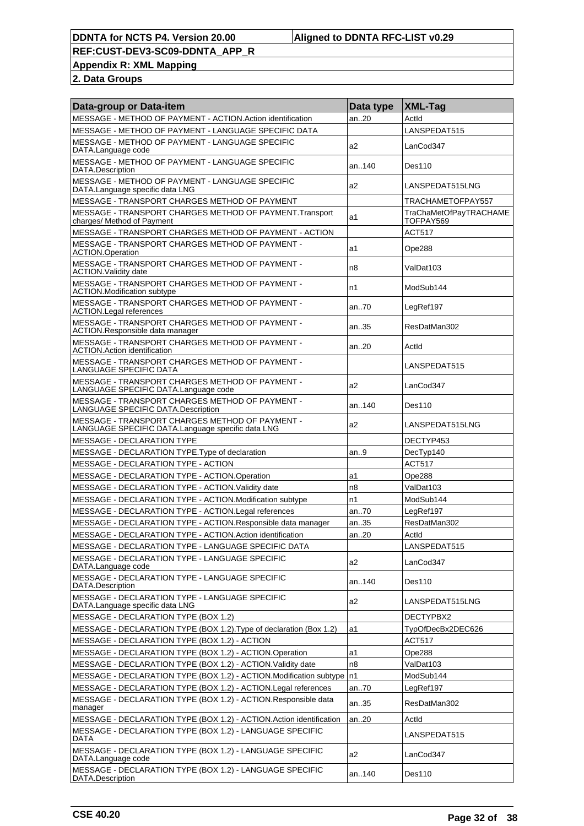**Appendix R: XML Mapping**

| Data-group or Data-item                                                                              | Data type      | XML-Tag                                    |
|------------------------------------------------------------------------------------------------------|----------------|--------------------------------------------|
| MESSAGE - METHOD OF PAYMENT - ACTION.Action identification                                           | an20           | Actid                                      |
| MESSAGE - METHOD OF PAYMENT - LANGUAGE SPECIFIC DATA                                                 |                | LANSPEDAT515                               |
| MESSAGE - METHOD OF PAYMENT - LANGUAGE SPECIFIC<br>DATA.Language code                                | a2             | LanCod347                                  |
| MESSAGE - METHOD OF PAYMENT - LANGUAGE SPECIFIC<br>DATA.Description                                  | an140          | Des110                                     |
| MESSAGE - METHOD OF PAYMENT - LANGUAGE SPECIFIC<br>DATA.Language specific data LNG                   | a2             | LANSPEDAT515LNG                            |
| MESSAGE - TRANSPORT CHARGES METHOD OF PAYMENT                                                        |                | TRACHAMETOFPAY557                          |
| MESSAGE - TRANSPORT CHARGES METHOD OF PAYMENT. Transport<br>charges/ Method of Payment               | a1             | <b>TraChaMetOfPayTRACHAME</b><br>TOFPAY569 |
| MESSAGE - TRANSPORT CHARGES METHOD OF PAYMENT - ACTION                                               |                | <b>ACT517</b>                              |
| MESSAGE - TRANSPORT CHARGES METHOD OF PAYMENT -<br><b>ACTION.Operation</b>                           | a1             | Ope288                                     |
| MESSAGE - TRANSPORT CHARGES METHOD OF PAYMENT -<br><b>ACTION. Validity date</b>                      | n8             | ValDat103                                  |
| MESSAGE - TRANSPORT CHARGES METHOD OF PAYMENT -<br>ACTION.Modification subtype                       | n1             | ModSub144                                  |
| MESSAGE - TRANSPORT CHARGES METHOD OF PAYMENT -<br>ACTION.Legal references                           | an70           | LegRef197                                  |
| MESSAGE - TRANSPORT CHARGES METHOD OF PAYMENT -<br>ACTION.Responsible data manager                   | an35           | ResDatMan302                               |
| MESSAGE - TRANSPORT CHARGES METHOD OF PAYMENT -<br><b>ACTION.Action identification</b>               | an20           | Actid                                      |
| MESSAGE - TRANSPORT CHARGES METHOD OF PAYMENT -<br>LANGUAGE SPECIFIC DATA                            |                | LANSPEDAT515                               |
| MESSAGE - TRANSPORT CHARGES METHOD OF PAYMENT -<br>LANGUAGE SPECIFIC DATA.Language code              | a2             | LanCod347                                  |
| MESSAGE - TRANSPORT CHARGES METHOD OF PAYMENT -<br>LANGUAGE SPECIFIC DATA.Description                | an140          | Des110                                     |
| MESSAGE - TRANSPORT CHARGES METHOD OF PAYMENT -<br>LANGUAGE SPECIFIC DATA.Language specific data LNG | a <sub>2</sub> | LANSPEDAT515LNG                            |
| <b>MESSAGE - DECLARATION TYPE</b>                                                                    |                | DECTYP453                                  |
| MESSAGE - DECLARATION TYPE. Type of declaration                                                      | an9            | DecTyp140                                  |
| MESSAGE - DECLARATION TYPE - ACTION                                                                  |                | <b>ACT517</b>                              |
| MESSAGE - DECLARATION TYPE - ACTION.Operation                                                        | a1             | Ope288                                     |
| MESSAGE - DECLARATION TYPE - ACTION. Validity date                                                   | n8             | ValDat103                                  |
| MESSAGE - DECLARATION TYPE - ACTION.Modification subtype                                             | n1             | ModSub144                                  |
| MESSAGE - DECLARATION TYPE - ACTION.Legal references                                                 | an70           | LegRef197                                  |
| MESSAGE - DECLARATION TYPE - ACTION.Responsible data manager                                         | an35           | ResDatMan302                               |
| MESSAGE - DECLARATION TYPE - ACTION.Action identification                                            | an20           | Actid                                      |
| MESSAGE - DECLARATION TYPE - LANGUAGE SPECIFIC DATA                                                  |                | LANSPEDAT515                               |
| <b>MESSAGE - DECLARATION TYPE - LANGUAGE SPECIFIC</b><br>DATA.Language code                          | a2             | LanCod347                                  |
| MESSAGE - DECLARATION TYPE - LANGUAGE SPECIFIC<br>DATA.Description                                   | an140          | Des110                                     |
| MESSAGE - DECLARATION TYPE - LANGUAGE SPECIFIC<br>DATA.Language specific data LNG                    | a2             | LANSPEDAT515LNG                            |
| MESSAGE - DECLARATION TYPE (BOX 1.2)                                                                 |                | DECTYPBX2                                  |
| MESSAGE - DECLARATION TYPE (BOX 1.2). Type of declaration (Box 1.2)                                  | a1             | TypOfDecBx2DEC626                          |
| MESSAGE - DECLARATION TYPE (BOX 1.2) - ACTION                                                        |                | <b>ACT517</b>                              |
| MESSAGE - DECLARATION TYPE (BOX 1.2) - ACTION.Operation                                              | a1             | Ope288                                     |
| MESSAGE - DECLARATION TYPE (BOX 1.2) - ACTION. Validity date                                         | n8             | ValDat103                                  |
| MESSAGE - DECLARATION TYPE (BOX 1.2) - ACTION.Modification subtype                                   | n1             | ModSub144                                  |
| MESSAGE - DECLARATION TYPE (BOX 1.2) - ACTION. Legal references                                      | an70           | LegRef197                                  |
| MESSAGE - DECLARATION TYPE (BOX 1.2) - ACTION.Responsible data<br>manager                            | an35           | ResDatMan302                               |
| MESSAGE - DECLARATION TYPE (BOX 1.2) - ACTION.Action identification                                  | an20           | Actid                                      |
| MESSAGE - DECLARATION TYPE (BOX 1.2) - LANGUAGE SPECIFIC<br>DATA                                     |                | LANSPEDAT515                               |
| MESSAGE - DECLARATION TYPE (BOX 1.2) - LANGUAGE SPECIFIC<br>DATA.Language code                       | a2             | LanCod347                                  |
| MESSAGE - DECLARATION TYPE (BOX 1.2) - LANGUAGE SPECIFIC<br>DATA.Description                         | an140          | Des110                                     |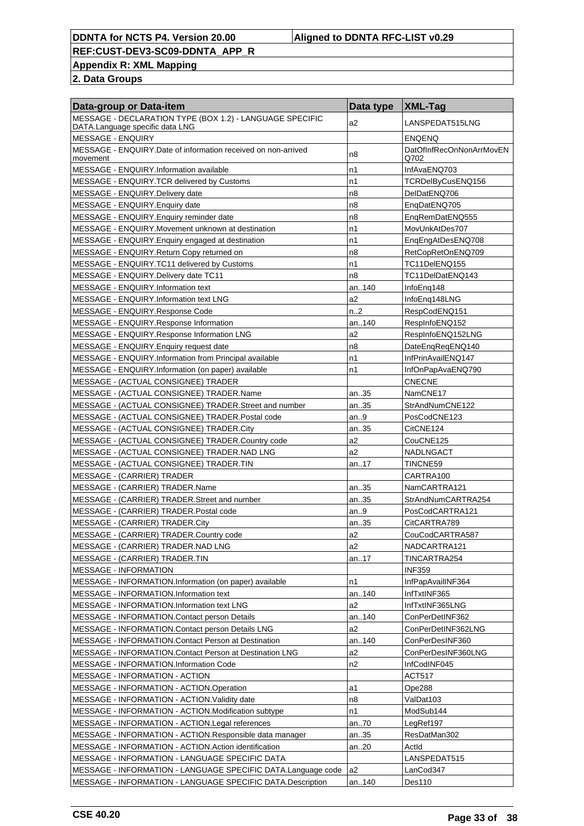**Appendix R: XML Mapping**

| Data-group or Data-item                                                                     | Data type        | $ XML-Tag$                       |
|---------------------------------------------------------------------------------------------|------------------|----------------------------------|
| MESSAGE - DECLARATION TYPE (BOX 1.2) - LANGUAGE SPECIFIC<br>DATA.Language specific data LNG | a2               | LANSPEDAT515LNG                  |
| <b>MESSAGE - ENQUIRY</b>                                                                    |                  | <b>ENQENQ</b>                    |
| MESSAGE - ENQUIRY Date of information received on non-arrived<br>movement                   | n8               | DatOfInfRecOnNonArrMovEN<br>Q702 |
| MESSAGE - ENQUIRY.Information available                                                     | n1               | InfAvaENQ703                     |
| MESSAGE - ENQUIRY.TCR delivered by Customs                                                  | n1               | TCRDelByCusENQ156                |
| MESSAGE - ENQUIRY.Delivery date                                                             | n8               | DelDatENQ706                     |
| MESSAGE - ENQUIRY. Enquiry date                                                             | n8               | EngDatENQ705                     |
| MESSAGE - ENQUIRY. Enquiry reminder date                                                    | n8               | EngRemDatENQ555                  |
| MESSAGE - ENQUIRY. Movement unknown at destination                                          | n1               | MovUnkAtDes707                   |
| MESSAGE - ENQUIRY. Enquiry engaged at destination                                           | n1               | EnqEngAtDesENQ708                |
| MESSAGE - ENQUIRY.Return Copy returned on                                                   | n8               | RetCopRetOnENQ709                |
| MESSAGE - ENQUIRY.TC11 delivered by Customs                                                 | n1               | TC11DelENQ155                    |
| MESSAGE - ENQUIRY. Delivery date TC11                                                       | n8               | TC11DelDatENQ143                 |
| MESSAGE - ENQUIRY.Information text                                                          | an140            | InfoEng148                       |
| MESSAGE - ENQUIRY.Information text LNG                                                      | a2               | InfoEng148LNG                    |
| MESSAGE - ENQUIRY.Response Code                                                             | n <sub>1</sub> 2 | RespCodENQ151                    |
| MESSAGE - ENQUIRY.Response Information                                                      | an140            | RespInfoENQ152                   |
| MESSAGE - ENQUIRY.Response Information LNG                                                  | a2               | RespInfoENQ152LNG                |
| MESSAGE - ENQUIRY. Enquiry request date                                                     | n <sub>8</sub>   | DateEngRegENQ140                 |
| MESSAGE - ENQUIRY.Information from Principal available                                      | n1               | InfPrinAvailENQ147               |
| MESSAGE - ENQUIRY.Information (on paper) available                                          | n1               | InfOnPapAvaENQ790                |
| MESSAGE - (ACTUAL CONSIGNEE) TRADER                                                         |                  | <b>CNECNE</b>                    |
| MESSAGE - (ACTUAL CONSIGNEE) TRADER.Name                                                    | an35             | NamCNE17                         |
| MESSAGE - (ACTUAL CONSIGNEE) TRADER.Street and number                                       | an35             | StrAndNumCNE122                  |
| MESSAGE - (ACTUAL CONSIGNEE) TRADER Postal code                                             | an9              | PosCodCNE123                     |
| MESSAGE - (ACTUAL CONSIGNEE) TRADER.City                                                    | an35             | CitCNE124                        |
| MESSAGE - (ACTUAL CONSIGNEE) TRADER Country code                                            | a2               | CouCNE125                        |
| MESSAGE - (ACTUAL CONSIGNEE) TRADER.NAD LNG                                                 | a2               | NADLNGACT                        |
| MESSAGE - (ACTUAL CONSIGNEE) TRADER.TIN                                                     | an17             | TINCNE59                         |
| MESSAGE - (CARRIER) TRADER                                                                  |                  | CARTRA100                        |
| MESSAGE - (CARRIER) TRADER.Name                                                             | an35             | NamCARTRA121                     |
| MESSAGE - (CARRIER) TRADER. Street and number                                               | an35             | StrAndNumCARTRA254               |
| MESSAGE - (CARRIER) TRADER. Postal code                                                     | an9              | PosCodCARTRA121                  |
| MESSAGE - (CARRIER) TRADER.City                                                             | an35             | CitCARTRA789                     |
| MESSAGE - (CARRIER) TRADER.Country code                                                     | a <sub>2</sub>   | CouCodCARTRA587                  |
| MESSAGE - (CARRIER) TRADER.NAD LNG                                                          | a2               | NADCARTRA121                     |
| MESSAGE - (CARRIER) TRADER.TIN                                                              | an17             | TINCARTRA254                     |
| <b>MESSAGE - INFORMATION</b>                                                                |                  | <b>INF359</b>                    |
| MESSAGE - INFORMATION.Information (on paper) available                                      | n1               | InfPapAvailINF364                |
| MESSAGE - INFORMATION.Information text                                                      | an140            | InfTxtINF365                     |
| MESSAGE - INFORMATION.Information text LNG                                                  | a2               | InfTxtINF365LNG                  |
| MESSAGE - INFORMATION.Contact person Details                                                | an140            | ConPerDetINF362                  |
| MESSAGE - INFORMATION.Contact person Details LNG                                            | a2               | ConPerDetINF362LNG               |
| MESSAGE - INFORMATION.Contact Person at Destination                                         | an140            | ConPerDesINF360                  |
| MESSAGE - INFORMATION.Contact Person at Destination LNG                                     | a2               | ConPerDesINF360LNG               |
| <b>MESSAGE - INFORMATION.Information Code</b>                                               | n2               | InfCodINF045                     |
| MESSAGE - INFORMATION - ACTION                                                              |                  | <b>ACT517</b>                    |
| MESSAGE - INFORMATION - ACTION.Operation                                                    | a1               | Ope288                           |
| MESSAGE - INFORMATION - ACTION. Validity date                                               | n8               | ValDat103                        |
| MESSAGE - INFORMATION - ACTION.Modification subtype                                         | n1               | ModSub144                        |
| MESSAGE - INFORMATION - ACTION.Legal references                                             | an70             | LegRef197                        |
| MESSAGE - INFORMATION - ACTION.Responsible data manager                                     | an35             | ResDatMan302                     |
| MESSAGE - INFORMATION - ACTION.Action identification                                        | an20             | Actld                            |
| MESSAGE - INFORMATION - LANGUAGE SPECIFIC DATA                                              |                  | LANSPEDAT515                     |
| MESSAGE - INFORMATION - LANGUAGE SPECIFIC DATA.Language code                                | a2               | LanCod347                        |
| MESSAGE - INFORMATION - LANGUAGE SPECIFIC DATA.Description                                  | an140            | Des110                           |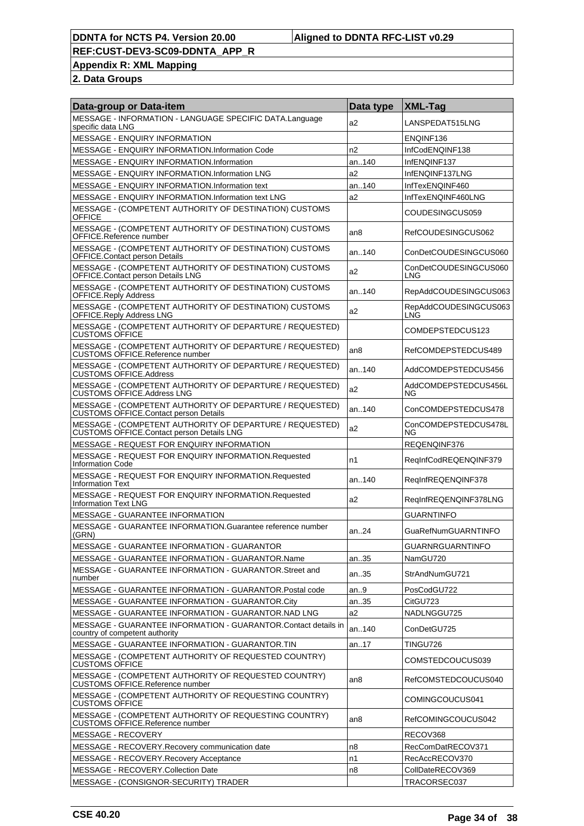**Appendix R: XML Mapping**

| Data-group or Data-item                                                                                      | Data type       | <b>XML-Tag</b>               |
|--------------------------------------------------------------------------------------------------------------|-----------------|------------------------------|
| MESSAGE - INFORMATION - LANGUAGE SPECIFIC DATA.Language<br>specific data LNG                                 | a2              | LANSPEDAT515LNG              |
| <b>MESSAGE - ENQUIRY INFORMATION</b>                                                                         |                 | ENQINF136                    |
| MESSAGE - ENQUIRY INFORMATION.Information Code                                                               | n2              | InfCodENQINF138              |
| MESSAGE - ENQUIRY INFORMATION.Information                                                                    | an140           | InfENQINF137                 |
| MESSAGE - ENQUIRY INFORMATION.Information LNG                                                                | a2              | InfENQINF137LNG              |
| MESSAGE - ENQUIRY INFORMATION.Information text                                                               | an140           | InfTexENQINF460              |
| MESSAGE - ENQUIRY INFORMATION.Information text LNG                                                           | a2              | InfTexENQINF460LNG           |
| MESSAGE - (COMPETENT AUTHORITY OF DESTINATION) CUSTOMS<br><b>OFFICE</b>                                      |                 | COUDESINGCUS059              |
| MESSAGE - (COMPETENT AUTHORITY OF DESTINATION) CUSTOMS<br>OFFICE.Reference number                            | an8             | RefCOUDESINGCUS062           |
| MESSAGE - (COMPETENT AUTHORITY OF DESTINATION) CUSTOMS<br>OFFICE.Contact person Details                      | an140           | ConDetCOUDESINGCUS060        |
| MESSAGE - (COMPETENT AUTHORITY OF DESTINATION) CUSTOMS<br>OFFICE.Contact person Details LNG                  | a2              | ConDetCOUDESINGCUS060<br>LNG |
| MESSAGE - (COMPETENT AUTHORITY OF DESTINATION) CUSTOMS<br><b>OFFICE.Reply Address</b>                        | an140           | RepAddCOUDESINGCUS063        |
| MESSAGE - (COMPETENT AUTHORITY OF DESTINATION) CUSTOMS<br>OFFICE.Reply Address LNG                           | a2              | RepAddCOUDESINGCUS063<br>LNG |
| MESSAGE - (COMPETENT AUTHORITY OF DEPARTURE / REQUESTED)<br><b>CUSTOMS OFFICE</b>                            |                 | COMDEPSTEDCUS123             |
| MESSAGE - (COMPETENT AUTHORITY OF DEPARTURE / REQUESTED)<br><b>CUSTOMS OFFICE.Reference number</b>           | an <sub>8</sub> | RefCOMDEPSTEDCUS489          |
| MESSAGE - (COMPETENT AUTHORITY OF DEPARTURE / REQUESTED)<br><b>CUSTOMS OFFICE.Address</b>                    | an140           | AddCOMDEPSTEDCUS456          |
| MESSAGE - (COMPETENT AUTHORITY OF DEPARTURE / REQUESTED)<br><b>CUSTOMS OFFICE.Address LNG</b>                | a2              | AddCOMDEPSTEDCUS456L<br>NG   |
| MESSAGE - (COMPETENT AUTHORITY OF DEPARTURE / REQUESTED)<br><b>CUSTOMS OFFICE.Contact person Details</b>     | an140           | ConCOMDEPSTEDCUS478          |
| MESSAGE - (COMPETENT AUTHORITY OF DEPARTURE / REQUESTED)<br><b>CUSTOMS OFFICE.Contact person Details LNG</b> | a2              | ConCOMDEPSTEDCUS478L<br>NG   |
| MESSAGE - REQUEST FOR ENQUIRY INFORMATION                                                                    |                 | REQENQINF376                 |
| MESSAGE - REQUEST FOR ENQUIRY INFORMATION.Requested<br><b>Information Code</b>                               | n1              | RegInfCodREQENQINF379        |
| MESSAGE - REQUEST FOR ENQUIRY INFORMATION.Requested<br><b>Information Text</b>                               | an140           | RegInfREQENQINF378           |
| MESSAGE - REQUEST FOR ENQUIRY INFORMATION.Requested<br><b>Information Text LNG</b>                           | a2              | RegInfREQENQINF378LNG        |
| <b>MESSAGE - GUARANTEE INFORMATION</b>                                                                       |                 | <b>GUARNTINFO</b>            |
| MESSAGE - GUARANTEE INFORMATION.Guarantee reference number<br>(GRN)                                          | an24            | GuaRefNumGUARNTINFO          |
| MESSAGE - GUARANTEE INFORMATION - GUARANTOR                                                                  |                 | <b>GUARNRGUARNTINFO</b>      |
| MESSAGE - GUARANTEE INFORMATION - GUARANTOR.Name                                                             | an35            | NamGU720                     |
| MESSAGE - GUARANTEE INFORMATION - GUARANTOR.Street and<br>number                                             | an35            | StrAndNumGU721               |
| MESSAGE - GUARANTEE INFORMATION - GUARANTOR.Postal code                                                      | an.9            | PosCodGU722                  |
| MESSAGE - GUARANTEE INFORMATION - GUARANTOR.City                                                             | an35            | CitGU723                     |
| MESSAGE - GUARANTEE INFORMATION - GUARANTOR.NAD LNG                                                          | a2              | NADLNGGU725                  |
| MESSAGE - GUARANTEE INFORMATION - GUARANTOR.Contact details in<br>country of competent authority             | an140           | ConDetGU725                  |
| MESSAGE - GUARANTEE INFORMATION - GUARANTOR.TIN                                                              | an17            | TINGU726                     |
| MESSAGE - (COMPETENT AUTHORITY OF REQUESTED COUNTRY)<br><b>CUSTOMS OFFICE</b>                                |                 | COMSTEDCOUCUS039             |
| MESSAGE - (COMPETENT AUTHORITY OF REQUESTED COUNTRY)<br><b>CUSTOMS OFFICE.Reference number</b>               | an8             | RefCOMSTEDCOUCUS040          |
| MESSAGE - (COMPETENT AUTHORITY OF REQUESTING COUNTRY)<br><b>CUSTOMS OFFICE</b>                               |                 | COMINGCOUCUS041              |
| MESSAGE - (COMPETENT AUTHORITY OF REQUESTING COUNTRY)<br><b>CUSTOMS OFFICE.Reference number</b>              | an <sub>8</sub> | RefCOMINGCOUCUS042           |
| MESSAGE - RECOVERY                                                                                           |                 | RECOV368                     |
| MESSAGE - RECOVERY.Recovery communication date                                                               | n8              | RecComDatRECOV371            |
| MESSAGE - RECOVERY. Recovery Acceptance                                                                      | n1              | RecAccRECOV370               |
| MESSAGE - RECOVERY.Collection Date                                                                           | n8              | CollDateRECOV369             |
| MESSAGE - (CONSIGNOR-SECURITY) TRADER                                                                        |                 | TRACORSEC037                 |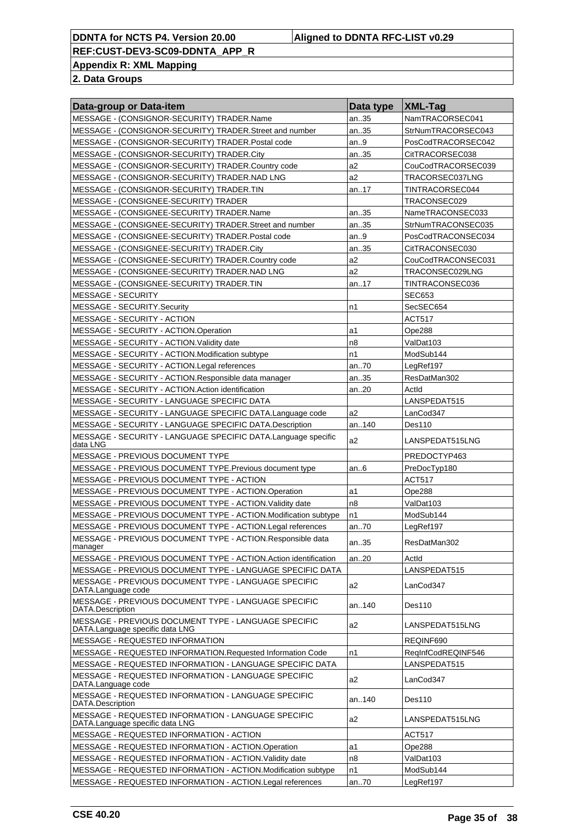**Appendix R: XML Mapping**

| Data-group or Data-item                                                                 | Data type      | $ XML-Tag $        |
|-----------------------------------------------------------------------------------------|----------------|--------------------|
| MESSAGE - (CONSIGNOR-SECURITY) TRADER.Name                                              | an35           | NamTRACORSEC041    |
| MESSAGE - (CONSIGNOR-SECURITY) TRADER.Street and number                                 | an35           | StrNumTRACORSEC043 |
| MESSAGE - (CONSIGNOR-SECURITY) TRADER. Postal code                                      | an9            | PosCodTRACORSEC042 |
| MESSAGE - (CONSIGNOR-SECURITY) TRADER.City                                              | an35           | CitTRACORSEC038    |
| MESSAGE - (CONSIGNOR-SECURITY) TRADER.Country code                                      | a2             | CouCodTRACORSEC039 |
| MESSAGE - (CONSIGNOR-SECURITY) TRADER.NAD LNG                                           | a2             | TRACORSEC037LNG    |
| MESSAGE - (CONSIGNOR-SECURITY) TRADER.TIN                                               | an17           | TINTRACORSEC044    |
| MESSAGE - (CONSIGNEE-SECURITY) TRADER                                                   |                | TRACONSEC029       |
| MESSAGE - (CONSIGNEE-SECURITY) TRADER.Name                                              | an35           | NameTRACONSEC033   |
| MESSAGE - (CONSIGNEE-SECURITY) TRADER.Street and number                                 | an35           | StrNumTRACONSEC035 |
| MESSAGE - (CONSIGNEE-SECURITY) TRADER. Postal code                                      | an9            | PosCodTRACONSEC034 |
| MESSAGE - (CONSIGNEE-SECURITY) TRADER.City                                              | an35           | CitTRACONSEC030    |
| MESSAGE - (CONSIGNEE-SECURITY) TRADER Country code                                      | a2             | CouCodTRACONSEC031 |
| MESSAGE - (CONSIGNEE-SECURITY) TRADER.NAD LNG                                           | a2             | TRACONSEC029LNG    |
| MESSAGE - (CONSIGNEE-SECURITY) TRADER.TIN                                               | an17           | TINTRACONSEC036    |
| MESSAGE - SECURITY                                                                      |                | <b>SEC653</b>      |
| MESSAGE - SECURITY Security                                                             | n1             | SecSEC654          |
| MESSAGE - SECURITY - ACTION                                                             |                | <b>ACT517</b>      |
| MESSAGE - SECURITY - ACTION.Operation                                                   | a1             | Ope288             |
| MESSAGE - SECURITY - ACTION. Validity date                                              | n8             | ValDat103          |
| MESSAGE - SECURITY - ACTION.Modification subtype                                        | n1             | ModSub144          |
| MESSAGE - SECURITY - ACTION.Legal references                                            | an70           | LegRef197          |
| MESSAGE - SECURITY - ACTION.Responsible data manager                                    | an35           | ResDatMan302       |
| MESSAGE - SECURITY - ACTION.Action identification                                       | an20           | ActId              |
| MESSAGE - SECURITY - LANGUAGE SPECIFIC DATA                                             |                | LANSPEDAT515       |
| MESSAGE - SECURITY - LANGUAGE SPECIFIC DATA.Language code                               | a <sub>2</sub> | LanCod347          |
| MESSAGE - SECURITY - LANGUAGE SPECIFIC DATA.Description                                 | an140          | Des110             |
| MESSAGE - SECURITY - LANGUAGE SPECIFIC DATA.Language specific<br>data LNG               | a2             | LANSPEDAT515LNG    |
| MESSAGE - PREVIOUS DOCUMENT TYPE                                                        |                | PREDOCTYP463       |
| MESSAGE - PREVIOUS DOCUMENT TYPE.Previous document type                                 | an6            | PreDocTyp180       |
| MESSAGE - PREVIOUS DOCUMENT TYPE - ACTION                                               |                | ACT517             |
| MESSAGE - PREVIOUS DOCUMENT TYPE - ACTION.Operation                                     | a1             | Ope288             |
| MESSAGE - PREVIOUS DOCUMENT TYPE - ACTION. Validity date                                | n8             | ValDat103          |
| MESSAGE - PREVIOUS DOCUMENT TYPE - ACTION.Modification subtype                          | n1             | ModSub144          |
| MESSAGE - PREVIOUS DOCUMENT TYPE - ACTION.Legal references                              | an70           | LegRef197          |
| MESSAGE - PREVIOUS DOCUMENT TYPE - ACTION.Responsible data<br>manager                   | an35           | ResDatMan302       |
| MESSAGE - PREVIOUS DOCUMENT TYPE - ACTION.Action identification                         | an20           | Actid              |
| MESSAGE - PREVIOUS DOCUMENT TYPE - LANGUAGE SPECIFIC DATA                               |                | LANSPEDAT515       |
| MESSAGE - PREVIOUS DOCUMENT TYPE - LANGUAGE SPECIFIC<br>DATA.Language code              | a2             | LanCod347          |
| MESSAGE - PREVIOUS DOCUMENT TYPE - LANGUAGE SPECIFIC<br>DATA.Description                | an140          | <b>Des110</b>      |
| MESSAGE - PREVIOUS DOCUMENT TYPE - LANGUAGE SPECIFIC<br>DATA.Language specific data LNG | a2             | LANSPEDAT515LNG    |
| MESSAGE - REQUESTED INFORMATION                                                         |                | REQINF690          |
| MESSAGE - REQUESTED INFORMATION.Requested Information Code                              | n1             | RegInfCodREQINF546 |
| MESSAGE - REQUESTED INFORMATION - LANGUAGE SPECIFIC DATA                                |                | LANSPEDAT515       |
| MESSAGE - REQUESTED INFORMATION - LANGUAGE SPECIFIC<br>DATA.Language code               | a2             | LanCod347          |
| MESSAGE - REQUESTED INFORMATION - LANGUAGE SPECIFIC<br>DATA.Description                 | an140          | Des110             |
| MESSAGE - REQUESTED INFORMATION - LANGUAGE SPECIFIC<br>DATA.Language specific data LNG  | a2             | LANSPEDAT515LNG    |
| MESSAGE - REQUESTED INFORMATION - ACTION                                                |                | <b>ACT517</b>      |
| MESSAGE - REQUESTED INFORMATION - ACTION.Operation                                      | a1             | Ope288             |
| MESSAGE - REQUESTED INFORMATION - ACTION. Validity date                                 | n8             | ValDat103          |
| MESSAGE - REQUESTED INFORMATION - ACTION.Modification subtype                           | n1             | ModSub144          |
| MESSAGE - REQUESTED INFORMATION - ACTION.Legal references                               | an70           | LegRef197          |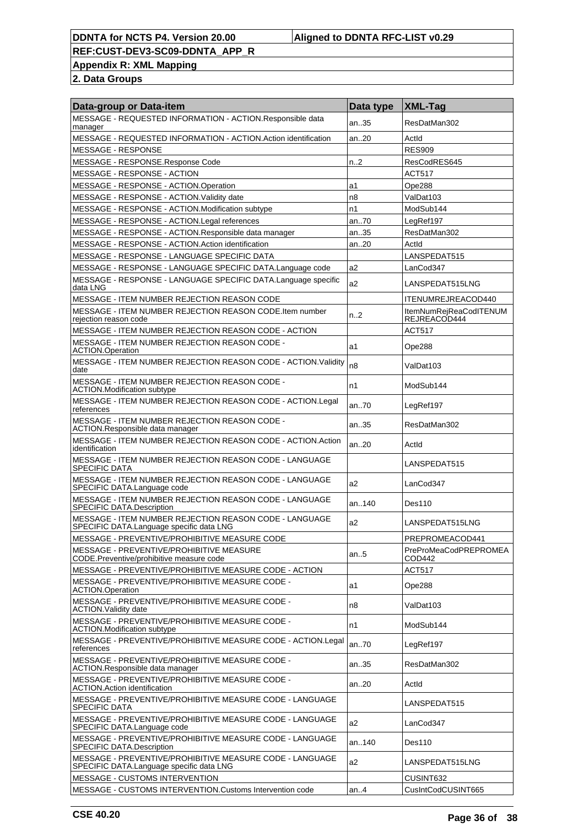**Appendix R: XML Mapping**

| Data-group or Data-item                                                                              | Data type | <b>XML-Tag</b>                         |
|------------------------------------------------------------------------------------------------------|-----------|----------------------------------------|
| MESSAGE - REQUESTED INFORMATION - ACTION.Responsible data<br>manager                                 | an35      | ResDatMan302                           |
| MESSAGE - REQUESTED INFORMATION - ACTION. Action identification                                      | an20      | Actid                                  |
| <b>MESSAGE - RESPONSE</b>                                                                            |           | <b>RES909</b>                          |
| MESSAGE - RESPONSE.Response Code                                                                     | n2        | ResCodRES645                           |
| MESSAGE - RESPONSE - ACTION                                                                          |           | <b>ACT517</b>                          |
| MESSAGE - RESPONSE - ACTION.Operation                                                                | a1        | Ope288                                 |
| MESSAGE - RESPONSE - ACTION. Validity date                                                           | n8        | ValDat103                              |
| MESSAGE - RESPONSE - ACTION.Modification subtype                                                     | n1        | ModSub144                              |
| MESSAGE - RESPONSE - ACTION.Legal references                                                         | an70      | LegRef197                              |
| MESSAGE - RESPONSE - ACTION.Responsible data manager                                                 | an35      | ResDatMan302                           |
| MESSAGE - RESPONSE - ACTION.Action identification                                                    | an20      | Actid                                  |
| MESSAGE - RESPONSE - LANGUAGE SPECIFIC DATA                                                          |           | LANSPEDAT515                           |
| MESSAGE - RESPONSE - LANGUAGE SPECIFIC DATA.Language code                                            | a2        | LanCod347                              |
| MESSAGE - RESPONSE - LANGUAGE SPECIFIC DATA.Language specific<br>data LNG                            | a2        | LANSPEDAT515LNG                        |
| MESSAGE - ITEM NUMBER REJECTION REASON CODE                                                          |           | ITENUMREJREACOD440                     |
| MESSAGE - ITEM NUMBER REJECTION REASON CODE. Item number<br>rejection reason code                    | n2        | ItemNumRejReaCodITENUM<br>REJREACOD444 |
| MESSAGE - ITEM NUMBER REJECTION REASON CODE - ACTION                                                 |           | <b>ACT517</b>                          |
| MESSAGE - ITEM NUMBER REJECTION REASON CODE -<br><b>ACTION.Operation</b>                             | a1        | Ope288                                 |
| MESSAGE - ITEM NUMBER REJECTION REASON CODE - ACTION. Validity<br>date                               | n8        | ValDat103                              |
| MESSAGE - ITEM NUMBER REJECTION REASON CODE -<br><b>ACTION.Modification subtype</b>                  | n1        | ModSub144                              |
| MESSAGE - ITEM NUMBER REJECTION REASON CODE - ACTION.Legal<br>references                             | an70      | LegRef197                              |
| MESSAGE - ITEM NUMBER REJECTION REASON CODE -<br>ACTION.Responsible data manager                     | an35      | ResDatMan302                           |
| MESSAGE - ITEM NUMBER REJECTION REASON CODE - ACTION.Action<br>identification                        | an20      | Actid                                  |
| MESSAGE - ITEM NUMBER REJECTION REASON CODE - LANGUAGE<br><b>SPECIFIC DATA</b>                       |           | LANSPEDAT515                           |
| MESSAGE - ITEM NUMBER REJECTION REASON CODE - LANGUAGE<br>SPECIFIC DATA.Language code                | a2        | LanCod347                              |
| MESSAGE - ITEM NUMBER REJECTION REASON CODE - LANGUAGE<br>SPECIFIC DATA.Description                  | an140     | Des110                                 |
| MESSAGE - ITEM NUMBER REJECTION REASON CODE - LANGUAGE<br>SPECIFIC DATA.Language specific data LNG   | a2        | LANSPEDAT515LNG                        |
| MESSAGE - PREVENTIVE/PROHIBITIVE MEASURE CODE                                                        |           | PREPROMEACOD441                        |
| MESSAGE - PREVENTIVE/PROHIBITIVE MEASURE<br>CODE.Preventive/prohibitive measure code                 | an5       | PreProMeaCodPREPROMEA<br>COD442        |
| MESSAGE - PREVENTIVE/PROHIBITIVE MEASURE CODE - ACTION                                               |           | <b>ACT517</b>                          |
| MESSAGE - PREVENTIVE/PROHIBITIVE MEASURE CODE -<br>ACTION.Operation                                  | a1        | Ope288                                 |
| MESSAGE - PREVENTIVE/PROHIBITIVE MEASURE CODE -<br><b>ACTION. Validity date</b>                      | n8        | ValDat103                              |
| MESSAGE - PREVENTIVE/PROHIBITIVE MEASURE CODE -<br><b>ACTION.Modification subtype</b>                | n1        | ModSub144                              |
| MESSAGE - PREVENTIVE/PROHIBITIVE MEASURE CODE - ACTION.Legal<br>references                           | an70      | LegRef197                              |
| MESSAGE - PREVENTIVE/PROHIBITIVE MEASURE CODE -<br>ACTION.Responsible data manager                   | an35      | ResDatMan302                           |
| MESSAGE - PREVENTIVE/PROHIBITIVE MEASURE CODE -<br><b>ACTION.Action identification</b>               | an20      | Actld                                  |
| MESSAGE - PREVENTIVE/PROHIBITIVE MEASURE CODE - LANGUAGE<br><b>SPECIFIC DATA</b>                     |           | LANSPEDAT515                           |
| MESSAGE - PREVENTIVE/PROHIBITIVE MEASURE CODE - LANGUAGE<br>SPECIFIC DATA.Language code              | a2        | LanCod347                              |
| MESSAGE - PREVENTIVE/PROHIBITIVE MEASURE CODE - LANGUAGE<br><b>SPECIFIC DATA Description</b>         | an140     | Des110                                 |
| MESSAGE - PREVENTIVE/PROHIBITIVE MEASURE CODE - LANGUAGE<br>SPECIFIC DATA.Language specific data LNG | a2        | LANSPEDAT515LNG                        |
| MESSAGE - CUSTOMS INTERVENTION                                                                       |           | CUSINT632                              |
| MESSAGE - CUSTOMS INTERVENTION.Customs Intervention code                                             | an4       | CusIntCodCUSINT665                     |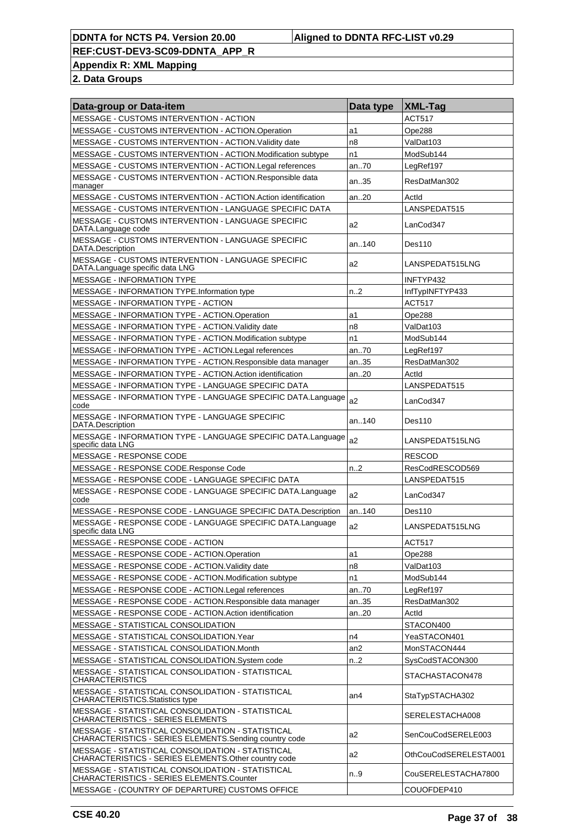**Appendix R: XML Mapping**

| Data-group or Data-item                                                                                     | Data type      | XML-Tag               |
|-------------------------------------------------------------------------------------------------------------|----------------|-----------------------|
| MESSAGE - CUSTOMS INTERVENTION - ACTION                                                                     |                | <b>ACT517</b>         |
| MESSAGE - CUSTOMS INTERVENTION - ACTION.Operation                                                           | a1             | Ope288                |
| MESSAGE - CUSTOMS INTERVENTION - ACTION. Validity date                                                      | n8             | ValDat103             |
| MESSAGE - CUSTOMS INTERVENTION - ACTION.Modification subtype                                                | n1             | ModSub144             |
| MESSAGE - CUSTOMS INTERVENTION - ACTION.Legal references                                                    | an70           | LegRef197             |
| MESSAGE - CUSTOMS INTERVENTION - ACTION.Responsible data<br>manager                                         | an35           | ResDatMan302          |
| MESSAGE - CUSTOMS INTERVENTION - ACTION.Action identification                                               | an.20          | Actid                 |
| MESSAGE - CUSTOMS INTERVENTION - LANGUAGE SPECIFIC DATA                                                     |                | LANSPEDAT515          |
| MESSAGE - CUSTOMS INTERVENTION - LANGUAGE SPECIFIC<br>DATA.Language code                                    | a2             | LanCod347             |
| MESSAGE - CUSTOMS INTERVENTION - LANGUAGE SPECIFIC<br>DATA.Description                                      | an140          | Des110                |
| MESSAGE - CUSTOMS INTERVENTION - LANGUAGE SPECIFIC<br>DATA.Language specific data LNG                       | a2             | LANSPEDAT515LNG       |
| <b>MESSAGE - INFORMATION TYPE</b>                                                                           |                | INFTYP432             |
| MESSAGE - INFORMATION TYPE.Information type                                                                 | n.2            | InfTypINFTYP433       |
| MESSAGE - INFORMATION TYPE - ACTION                                                                         |                | <b>ACT517</b>         |
| MESSAGE - INFORMATION TYPE - ACTION.Operation                                                               | a1             | Ope288                |
| MESSAGE - INFORMATION TYPE - ACTION. Validity date                                                          | n8             | ValDat103             |
| MESSAGE - INFORMATION TYPE - ACTION.Modification subtype                                                    | n1             | ModSub144             |
| MESSAGE - INFORMATION TYPE - ACTION. Legal references                                                       | an70           | LegRef197             |
| MESSAGE - INFORMATION TYPE - ACTION.Responsible data manager                                                | an35           | ResDatMan302          |
| MESSAGE - INFORMATION TYPE - ACTION. Action identification                                                  | an20           | Actid                 |
| MESSAGE - INFORMATION TYPE - LANGUAGE SPECIFIC DATA                                                         |                | LANSPEDAT515          |
| MESSAGE - INFORMATION TYPE - LANGUAGE SPECIFIC DATA.Language<br>code                                        | a <sub>2</sub> | LanCod347             |
| MESSAGE - INFORMATION TYPE - LANGUAGE SPECIFIC<br>DATA.Description                                          | an140          | Des110                |
| MESSAGE - INFORMATION TYPE - LANGUAGE SPECIFIC DATA.Language<br>specific data LNG                           | a2             | LANSPEDAT515LNG       |
| MESSAGE - RESPONSE CODE                                                                                     |                | <b>RESCOD</b>         |
| MESSAGE - RESPONSE CODE.Response Code                                                                       | n.2            | ResCodRESCOD569       |
| MESSAGE - RESPONSE CODE - LANGUAGE SPECIFIC DATA                                                            |                | LANSPEDAT515          |
| MESSAGE - RESPONSE CODE - LANGUAGE SPECIFIC DATA.Language<br>code                                           | a2             | LanCod347             |
| MESSAGE - RESPONSE CODE - LANGUAGE SPECIFIC DATA.Description                                                | an140          | Des110                |
| MESSAGE - RESPONSE CODE - LANGUAGE SPECIFIC DATA.Language<br>specific data LNG                              | a2             | LANSPEDAT515LNG       |
| MESSAGE - RESPONSE CODE - ACTION                                                                            |                | <b>ACT517</b>         |
| MESSAGE - RESPONSE CODE - ACTION.Operation                                                                  | a1             | Ope288                |
| MESSAGE - RESPONSE CODE - ACTION. Validity date                                                             | n8             | ValDat103             |
| MESSAGE - RESPONSE CODE - ACTION.Modification subtype                                                       | n1             | ModSub144             |
| MESSAGE - RESPONSE CODE - ACTION.Legal references                                                           | an70           | LegRef197             |
| MESSAGE - RESPONSE CODE - ACTION.Responsible data manager                                                   | an35           | ResDatMan302          |
| MESSAGE - RESPONSE CODE - ACTION.Action identification                                                      | an20           | Actld                 |
| MESSAGE - STATISTICAL CONSOLIDATION                                                                         |                | STACON400             |
| MESSAGE - STATISTICAL CONSOLIDATION. Year                                                                   | n4             | YeaSTACON401          |
| MESSAGE - STATISTICAL CONSOLIDATION.Month                                                                   | an2            | MonSTACON444          |
| MESSAGE - STATISTICAL CONSOLIDATION.System code                                                             | n2             | SysCodSTACON300       |
| MESSAGE - STATISTICAL CONSOLIDATION - STATISTICAL<br><b>CHARACTERISTICS</b>                                 |                | STACHASTACON478       |
| MESSAGE - STATISTICAL CONSOLIDATION - STATISTICAL<br><b>CHARACTERISTICS Statistics type</b>                 | an4            | StaTypSTACHA302       |
| MESSAGE - STATISTICAL CONSOLIDATION - STATISTICAL<br><b>CHARACTERISTICS - SERIES ELEMENTS</b>               |                | SERELESTACHA008       |
| MESSAGE - STATISTICAL CONSOLIDATION - STATISTICAL<br>CHARACTERISTICS - SERIES ELEMENTS.Sending country code | a2             | SenCouCodSERELE003    |
| MESSAGE - STATISTICAL CONSOLIDATION - STATISTICAL<br>CHARACTERISTICS - SERIES ELEMENTS. Other country code  | a2             | OthCouCodSERELESTA001 |
| MESSAGE - STATISTICAL CONSOLIDATION - STATISTICAL<br>CHARACTERISTICS - SERIES ELEMENTS.Counter              | n9             | CouSERELESTACHA7800   |
| MESSAGE - (COUNTRY OF DEPARTURE) CUSTOMS OFFICE                                                             |                | COUOFDEP410           |